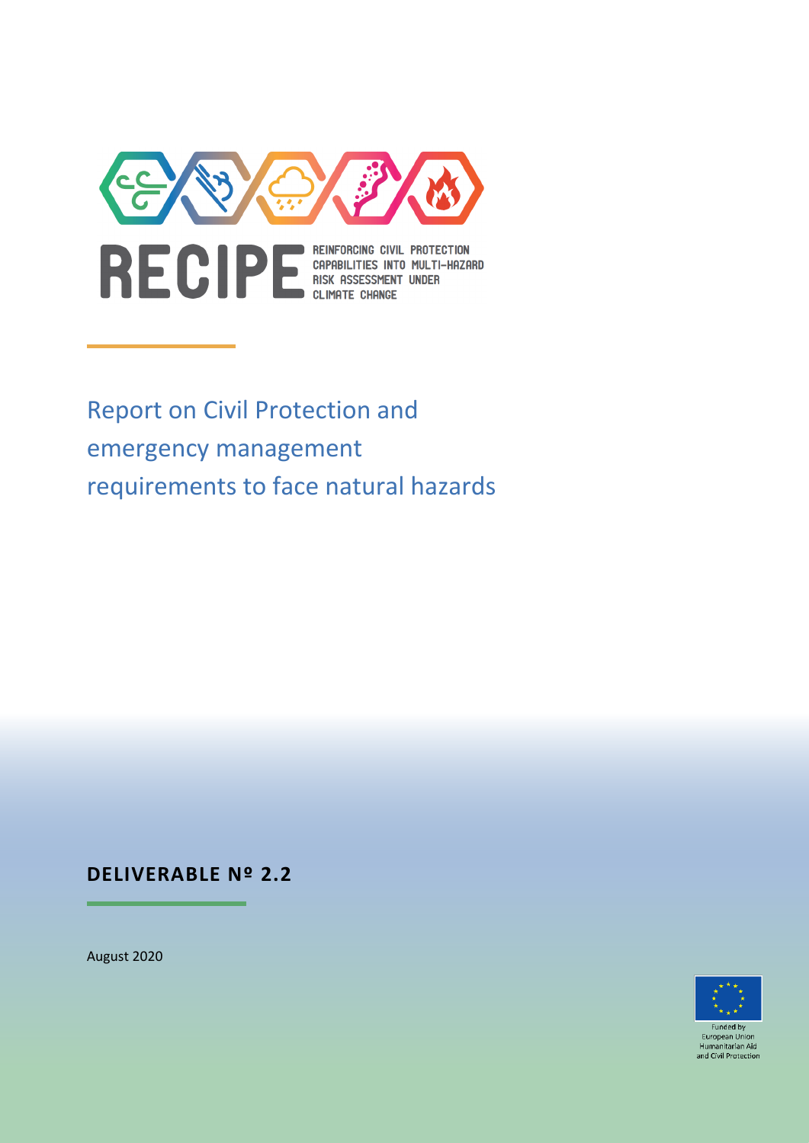

Report on Civil Protection and emergency management requirements to face natural hazards

# **DELIVERABLE Nº 2.2**

August 2020



Funded b European Unio Humanitarian Aid and Civil Protection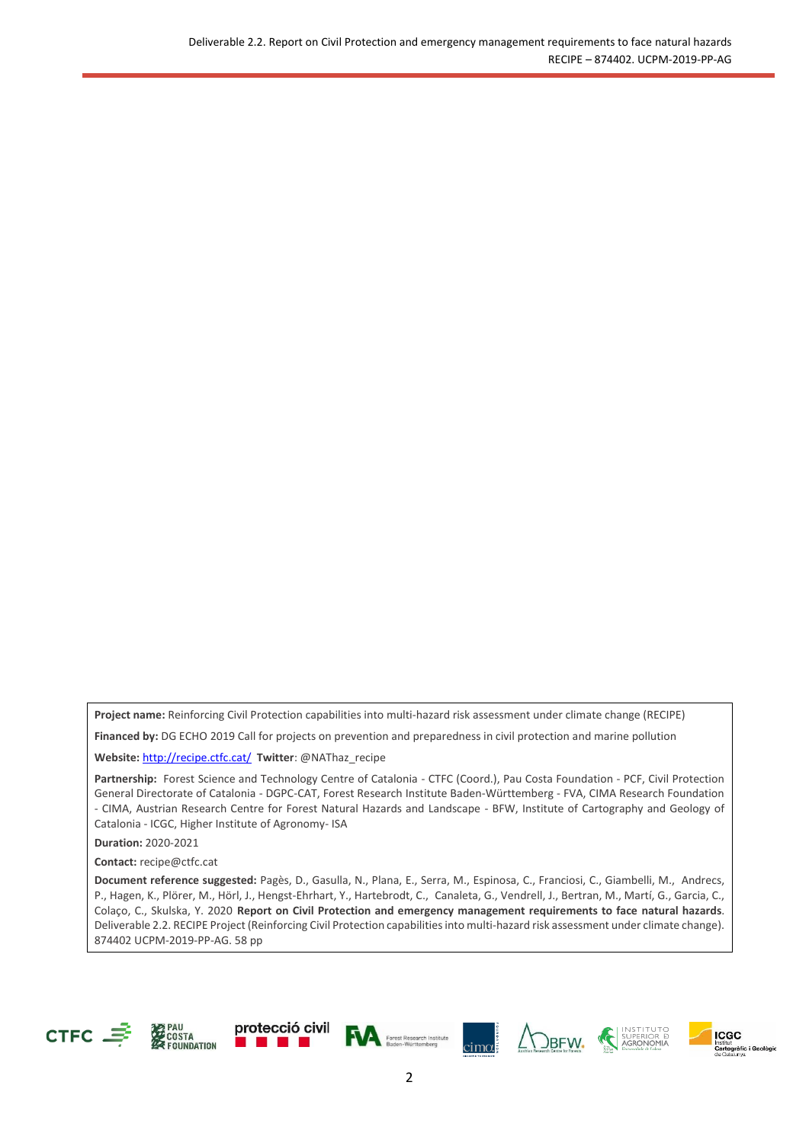**Project name:** Reinforcing Civil Protection capabilities into multi-hazard risk assessment under climate change (RECIPE)

**Financed by:** DG ECHO 2019 Call for projects on prevention and preparedness in civil protection and marine pollution

**Website:** <http://recipe.ctfc.cat/> **Twitter**: @NAThaz\_recipe

Partnership: Forest Science and Technology Centre of Catalonia - CTFC (Coord.), Pau Costa Foundation - PCF, Civil Protection General Directorate of Catalonia - DGPC-CAT, Forest Research Institute Baden-Württemberg - FVA, CIMA Research Foundation - CIMA, Austrian Research Centre for Forest Natural Hazards and Landscape - BFW, Institute of Cartography and Geology of Catalonia - ICGC, Higher Institute of Agronomy- ISA

**Duration:** 2020-2021

**Contact:** [recipe@ctfc.cat](mailto:recipe@ctfc.cat)

**Document reference suggested:** Pagès, D., Gasulla, N., Plana, E., Serra, M., Espinosa, C., Franciosi, C., Giambelli, M., Andrecs, P., Hagen, K., Plörer, M., Hörl, J., Hengst-Ehrhart, Y., Hartebrodt, C., Canaleta, G., Vendrell, J., Bertran, M., Martí, G., Garcia, C., Colaço, C., Skulska, Y. 2020 **Report on Civil Protection and emergency management requirements to face natural hazards**. Deliverable 2.2. RECIPE Project (Reinforcing Civil Protection capabilities into multi-hazard risk assessment under climate change). 874402 UCPM-2019-PP-AG. 58 pp













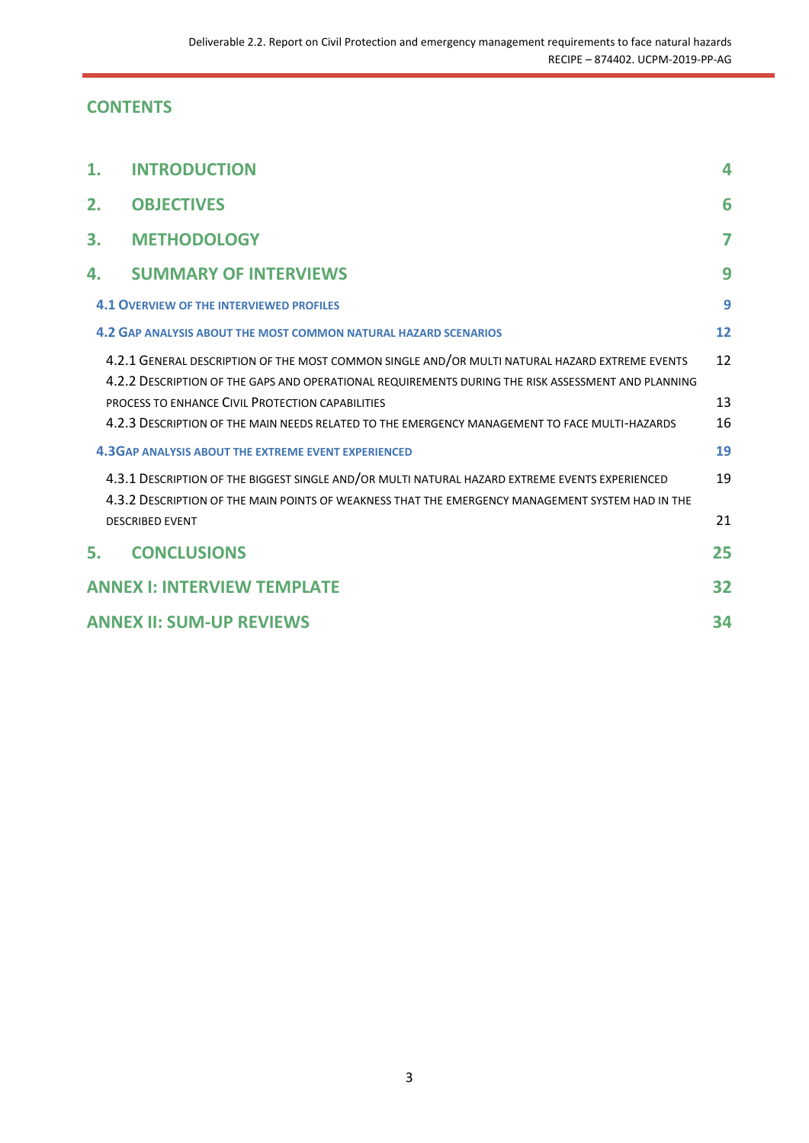# **CONTENTS**

| 1. | <b>INTRODUCTION</b>                                                                                                                                                                                                                                      | 4        |
|----|----------------------------------------------------------------------------------------------------------------------------------------------------------------------------------------------------------------------------------------------------------|----------|
| 2. | <b>OBJECTIVES</b>                                                                                                                                                                                                                                        | 6        |
| 3. | <b>METHODOLOGY</b>                                                                                                                                                                                                                                       | 7        |
| 4. | <b>SUMMARY OF INTERVIEWS</b>                                                                                                                                                                                                                             | 9        |
|    | <b>4.1 OVERVIEW OF THE INTERVIEWED PROFILES</b>                                                                                                                                                                                                          | 9        |
|    | 4.2 GAP ANALYSIS ABOUT THE MOST COMMON NATURAL HAZARD SCENARIOS                                                                                                                                                                                          | 12       |
|    | 4.2.1 GENERAL DESCRIPTION OF THE MOST COMMON SINGLE AND/OR MULTI NATURAL HAZARD EXTREME EVENTS<br>4.2.2 DESCRIPTION OF THE GAPS AND OPERATIONAL REQUIREMENTS DURING THE RISK ASSESSMENT AND PLANNING<br>PROCESS TO ENHANCE CIVIL PROTECTION CAPABILITIES | 12<br>13 |
|    | 4.2.3 DESCRIPTION OF THE MAIN NEEDS RELATED TO THE EMERGENCY MANAGEMENT TO FACE MULTI-HAZARDS                                                                                                                                                            | 16       |
|    | <b>4.3GAP ANALYSIS ABOUT THE EXTREME EVENT EXPERIENCED</b>                                                                                                                                                                                               | 19       |
|    | 4.3.1 DESCRIPTION OF THE BIGGEST SINGLE AND/OR MULTI NATURAL HAZARD EXTREME EVENTS EXPERIENCED<br>4.3.2 DESCRIPTION OF THE MAIN POINTS OF WEAKNESS THAT THE EMERGENCY MANAGEMENT SYSTEM HAD IN THE<br><b>DESCRIBED EVENT</b>                             | 19<br>21 |
| 5. | <b>CONCLUSIONS</b>                                                                                                                                                                                                                                       | 25       |
|    | <b>ANNEX I: INTERVIEW TEMPLATE</b>                                                                                                                                                                                                                       | 32       |
|    | <b>ANNEX II: SUM-UP REVIEWS</b>                                                                                                                                                                                                                          | 34       |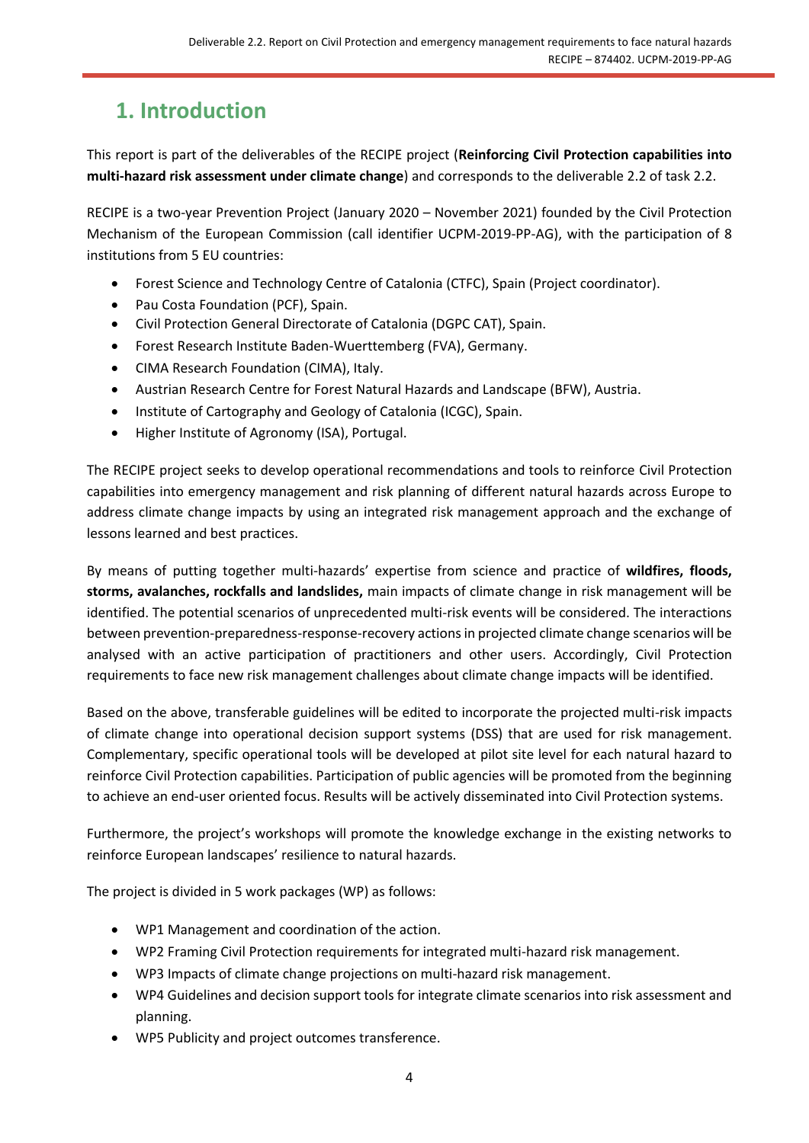# <span id="page-3-0"></span>**1. Introduction**

This report is part of the deliverables of the RECIPE project (**Reinforcing Civil Protection capabilities into multi-hazard risk assessment under climate change**) and corresponds to the deliverable 2.2 of task 2.2.

RECIPE is a two-year Prevention Project (January 2020 – November 2021) founded by the Civil Protection Mechanism of the European Commission (call identifier UCPM-2019-PP-AG), with the participation of 8 institutions from 5 EU countries:

- Forest Science and Technology Centre of Catalonia (CTFC), Spain (Project coordinator).
- Pau Costa Foundation (PCF), Spain.
- Civil Protection General Directorate of Catalonia (DGPC CAT), Spain.
- Forest Research Institute Baden-Wuerttemberg (FVA), Germany.
- CIMA Research Foundation (CIMA), Italy.
- Austrian Research Centre for Forest Natural Hazards and Landscape (BFW), Austria.
- Institute of Cartography and Geology of Catalonia (ICGC), Spain.
- Higher Institute of Agronomy (ISA), Portugal.

The RECIPE project seeks to develop operational recommendations and tools to reinforce Civil Protection capabilities into emergency management and risk planning of different natural hazards across Europe to address climate change impacts by using an integrated risk management approach and the exchange of lessons learned and best practices.

By means of putting together multi-hazards' expertise from science and practice of **wildfires, floods, storms, avalanches, rockfalls and landslides,** main impacts of climate change in risk management will be identified. The potential scenarios of unprecedented multi-risk events will be considered. The interactions between prevention-preparedness-response-recovery actions in projected climate change scenarios will be analysed with an active participation of practitioners and other users. Accordingly, Civil Protection requirements to face new risk management challenges about climate change impacts will be identified.

Based on the above, transferable guidelines will be edited to incorporate the projected multi-risk impacts of climate change into operational decision support systems (DSS) that are used for risk management. Complementary, specific operational tools will be developed at pilot site level for each natural hazard to reinforce Civil Protection capabilities. Participation of public agencies will be promoted from the beginning to achieve an end-user oriented focus. Results will be actively disseminated into Civil Protection systems.

Furthermore, the project's workshops will promote the knowledge exchange in the existing networks to reinforce European landscapes' resilience to natural hazards.

The project is divided in 5 work packages (WP) as follows:

- WP1 Management and coordination of the action.
- WP2 Framing Civil Protection requirements for integrated multi-hazard risk management.
- WP3 Impacts of climate change projections on multi-hazard risk management.
- WP4 Guidelines and decision support tools for integrate climate scenarios into risk assessment and planning.
- WP5 Publicity and project outcomes transference.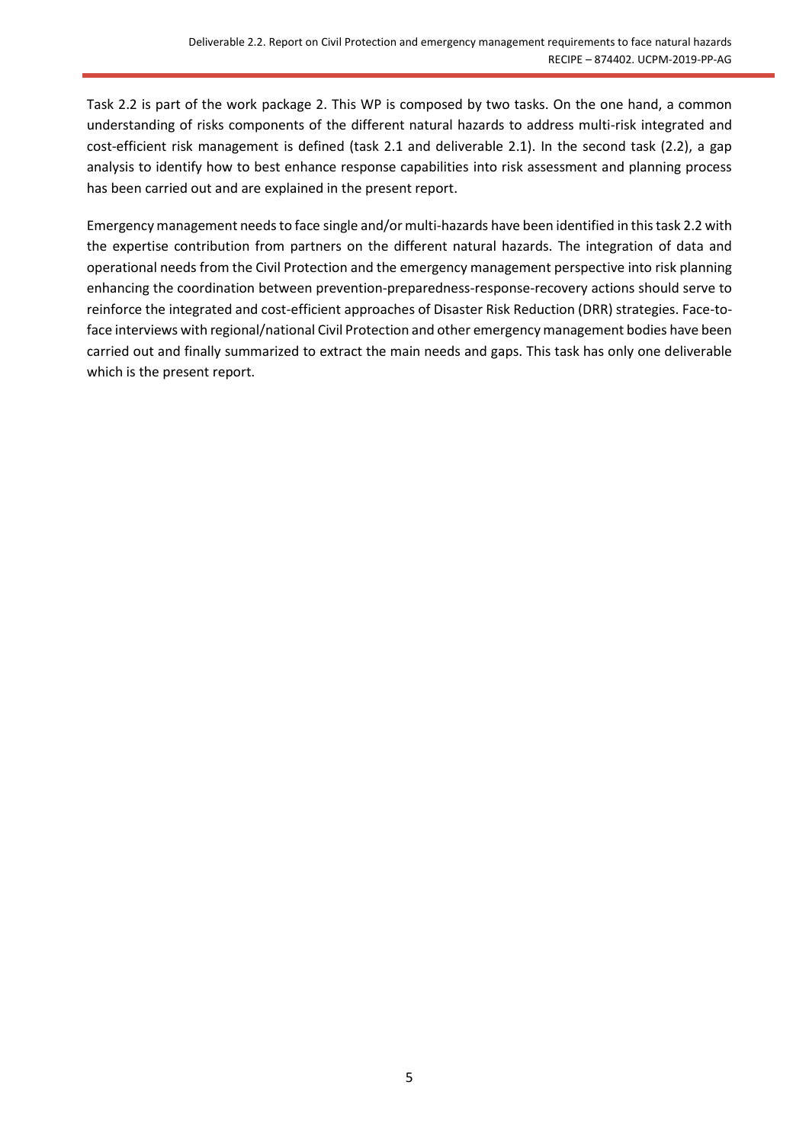Task 2.2 is part of the work package 2. This WP is composed by two tasks. On the one hand, a common understanding of risks components of the different natural hazards to address multi-risk integrated and cost-efficient risk management is defined (task 2.1 and deliverable 2.1). In the second task (2.2), a gap analysis to identify how to best enhance response capabilities into risk assessment and planning process has been carried out and are explained in the present report.

Emergency management needs to face single and/or multi-hazards have been identified in this task 2.2 with the expertise contribution from partners on the different natural hazards. The integration of data and operational needs from the Civil Protection and the emergency management perspective into risk planning enhancing the coordination between prevention-preparedness-response-recovery actions should serve to reinforce the integrated and cost-efficient approaches of Disaster Risk Reduction (DRR) strategies. Face-toface interviews with regional/national Civil Protection and other emergency management bodies have been carried out and finally summarized to extract the main needs and gaps. This task has only one deliverable which is the present report.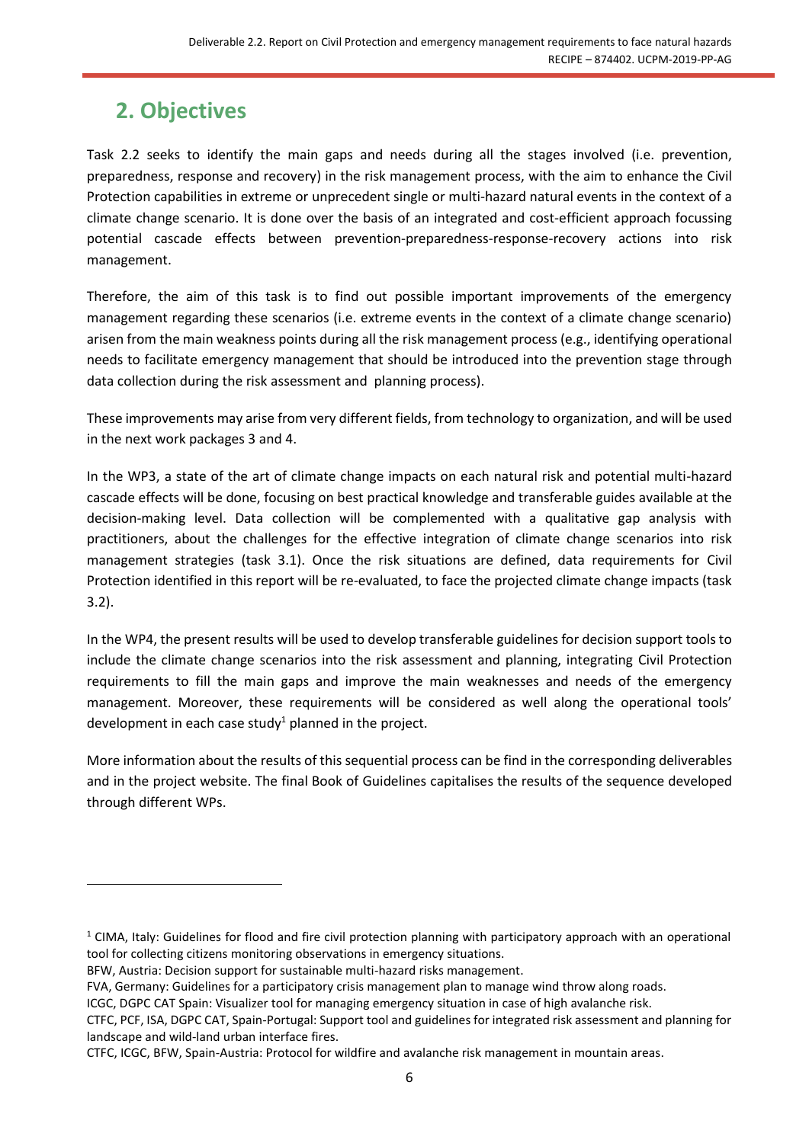# <span id="page-5-0"></span>**2. Objectives**

Task 2.2 seeks to identify the main gaps and needs during all the stages involved (i.e. prevention, preparedness, response and recovery) in the risk management process, with the aim to enhance the Civil Protection capabilities in extreme or unprecedent single or multi-hazard natural events in the context of a climate change scenario. It is done over the basis of an integrated and cost-efficient approach focussing potential cascade effects between prevention-preparedness-response-recovery actions into risk management.

Therefore, the aim of this task is to find out possible important improvements of the emergency management regarding these scenarios (i.e. extreme events in the context of a climate change scenario) arisen from the main weakness points during all the risk management process (e.g., identifying operational needs to facilitate emergency management that should be introduced into the prevention stage through data collection during the risk assessment and planning process).

These improvements may arise from very different fields, from technology to organization, and will be used in the next work packages 3 and 4.

In the WP3, a state of the art of climate change impacts on each natural risk and potential multi-hazard cascade effects will be done, focusing on best practical knowledge and transferable guides available at the decision-making level. Data collection will be complemented with a qualitative gap analysis with practitioners, about the challenges for the effective integration of climate change scenarios into risk management strategies (task 3.1). Once the risk situations are defined, data requirements for Civil Protection identified in this report will be re-evaluated, to face the projected climate change impacts (task 3.2).

In the WP4, the present results will be used to develop transferable guidelines for decision support tools to include the climate change scenarios into the risk assessment and planning, integrating Civil Protection requirements to fill the main gaps and improve the main weaknesses and needs of the emergency management. Moreover, these requirements will be considered as well along the operational tools' development in each case study<sup>1</sup> planned in the project.

More information about the results of this sequential process can be find in the corresponding deliverables and in the project website. The final Book of Guidelines capitalises the results of the sequence developed through different WPs.

 $1$  CIMA, Italy: Guidelines for flood and fire civil protection planning with participatory approach with an operational tool for collecting citizens monitoring observations in emergency situations.

BFW, Austria: Decision support for sustainable multi-hazard risks management.

FVA, Germany: Guidelines for a participatory crisis management plan to manage wind throw along roads.

ICGC, DGPC CAT Spain: Visualizer tool for managing emergency situation in case of high avalanche risk.

CTFC, PCF, ISA, DGPC CAT, Spain-Portugal: Support tool and guidelines for integrated risk assessment and planning for landscape and wild-land urban interface fires.

CTFC, ICGC, BFW, Spain-Austria: Protocol for wildfire and avalanche risk management in mountain areas.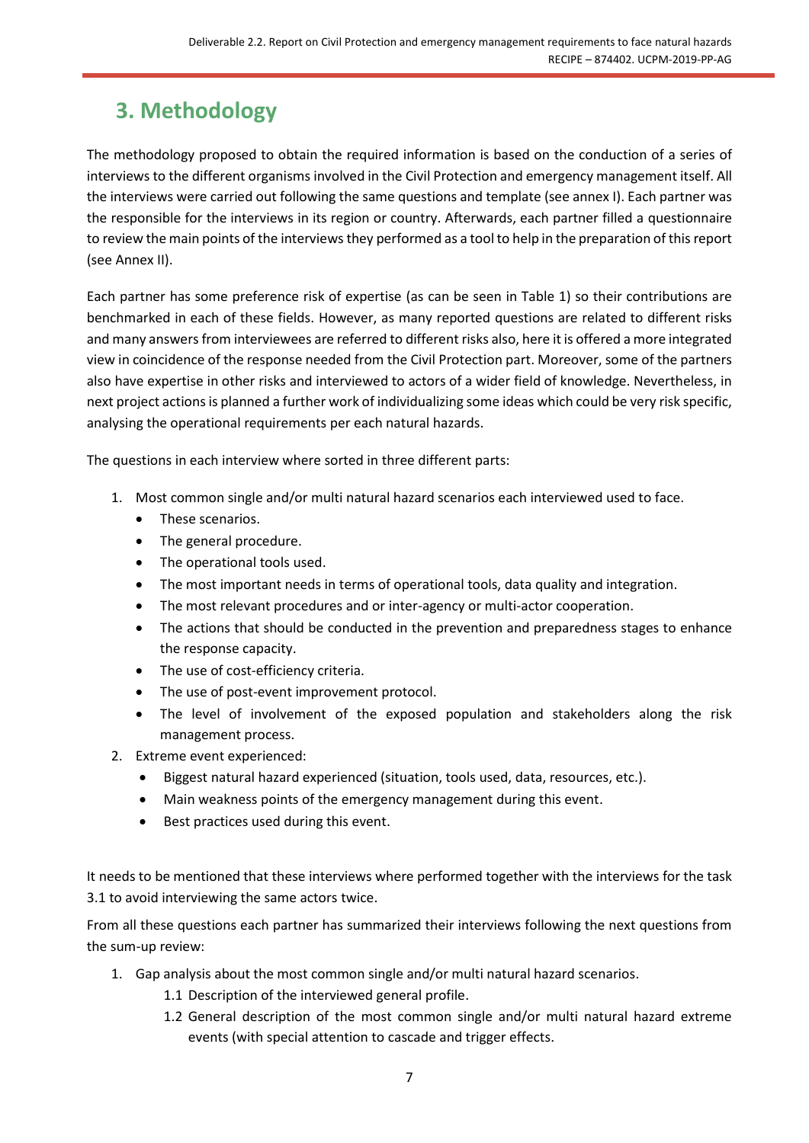# <span id="page-6-0"></span>**3. Methodology**

The methodology proposed to obtain the required information is based on the conduction of a series of interviews to the different organisms involved in the Civil Protection and emergency management itself. All the interviews were carried out following the same questions and template (see annex I). Each partner was the responsible for the interviews in its region or country. Afterwards, each partner filled a questionnaire to review the main points of the interviews they performed as a tool to help in the preparation of this report (see Annex II).

Each partner has some preference risk of expertise (as can be seen in Table 1) so their contributions are benchmarked in each of these fields. However, as many reported questions are related to different risks and many answers from interviewees are referred to different risks also, here it is offered a more integrated view in coincidence of the response needed from the Civil Protection part. Moreover, some of the partners also have expertise in other risks and interviewed to actors of a wider field of knowledge. Nevertheless, in next project actions is planned a further work of individualizing some ideas which could be very risk specific, analysing the operational requirements per each natural hazards.

The questions in each interview where sorted in three different parts:

- 1. Most common single and/or multi natural hazard scenarios each interviewed used to face.
	- These scenarios.
	- The general procedure.
	- The operational tools used.
	- The most important needs in terms of operational tools, data quality and integration.
	- The most relevant procedures and or inter-agency or multi-actor cooperation.
	- The actions that should be conducted in the prevention and preparedness stages to enhance the response capacity.
	- The use of cost-efficiency criteria.
	- The use of post-event improvement protocol.
	- The level of involvement of the exposed population and stakeholders along the risk management process.
- 2. Extreme event experienced:
	- Biggest natural hazard experienced (situation, tools used, data, resources, etc.).
	- Main weakness points of the emergency management during this event.
	- Best practices used during this event.

It needs to be mentioned that these interviews where performed together with the interviews for the task 3.1 to avoid interviewing the same actors twice.

From all these questions each partner has summarized their interviews following the next questions from the sum-up review:

- 1. Gap analysis about the most common single and/or multi natural hazard scenarios.
	- 1.1 Description of the interviewed general profile.
	- 1.2 General description of the most common single and/or multi natural hazard extreme events (with special attention to cascade and trigger effects.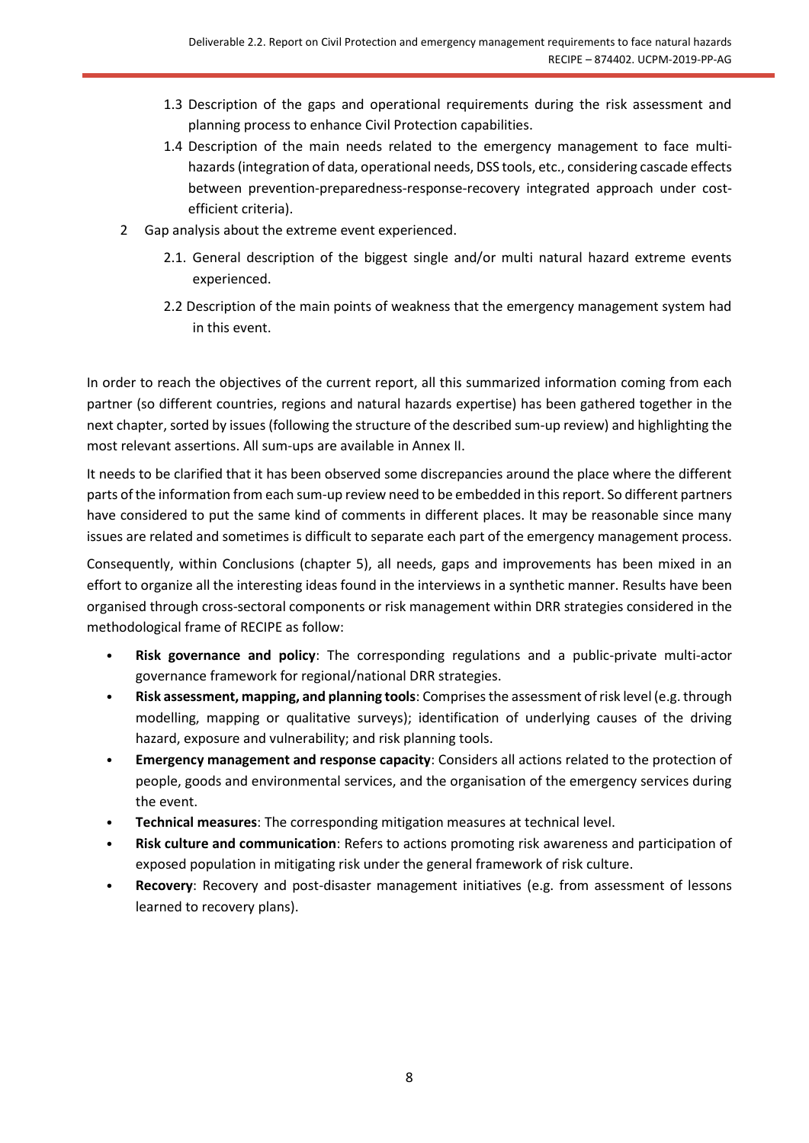- 1.3 Description of the gaps and operational requirements during the risk assessment and planning process to enhance Civil Protection capabilities.
- 1.4 Description of the main needs related to the emergency management to face multihazards (integration of data, operational needs, DSS tools, etc., considering cascade effects between prevention-preparedness-response-recovery integrated approach under costefficient criteria).
- 2 Gap analysis about the extreme event experienced.
	- 2.1. General description of the biggest single and/or multi natural hazard extreme events experienced.
	- 2.2 Description of the main points of weakness that the emergency management system had in this event.

In order to reach the objectives of the current report, all this summarized information coming from each partner (so different countries, regions and natural hazards expertise) has been gathered together in the next chapter, sorted by issues (following the structure of the described sum-up review) and highlighting the most relevant assertions. All sum-ups are available in Annex II.

It needs to be clarified that it has been observed some discrepancies around the place where the different parts of the information from each sum-up review need to be embedded in this report. So different partners have considered to put the same kind of comments in different places. It may be reasonable since many issues are related and sometimes is difficult to separate each part of the emergency management process.

Consequently, within Conclusions (chapter 5), all needs, gaps and improvements has been mixed in an effort to organize all the interesting ideas found in the interviews in a synthetic manner. Results have been organised through cross-sectoral components or risk management within DRR strategies considered in the methodological frame of RECIPE as follow:

- **Risk governance and policy**: The corresponding regulations and a public-private multi-actor governance framework for regional/national DRR strategies.
- **Risk assessment, mapping, and planning tools**: Comprises the assessment of risk level (e.g. through modelling, mapping or qualitative surveys); identification of underlying causes of the driving hazard, exposure and vulnerability; and risk planning tools.
- **Emergency management and response capacity**: Considers all actions related to the protection of people, goods and environmental services, and the organisation of the emergency services during the event.
- **Technical measures**: The corresponding mitigation measures at technical level.
- **Risk culture and communication**: Refers to actions promoting risk awareness and participation of exposed population in mitigating risk under the general framework of risk culture.
- **Recovery**: Recovery and post-disaster management initiatives (e.g. from assessment of lessons learned to recovery plans).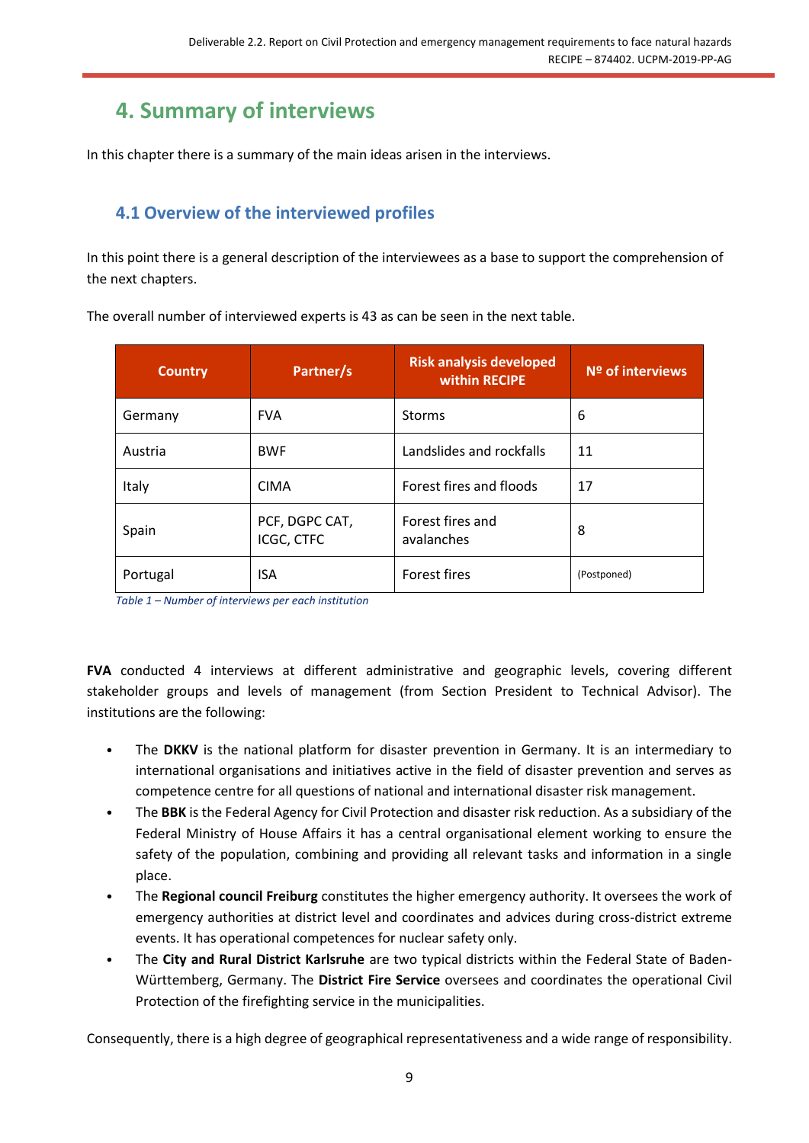# <span id="page-8-0"></span>**4. Summary of interviews**

In this chapter there is a summary of the main ideas arisen in the interviews.

# <span id="page-8-1"></span>**4.1 Overview of the interviewed profiles**

In this point there is a general description of the interviewees as a base to support the comprehension of the next chapters.

| <b>Country</b> | Partner/s                    | <b>Risk analysis developed</b><br>within RECIPE | Nº of interviews |
|----------------|------------------------------|-------------------------------------------------|------------------|
| Germany        | <b>FVA</b>                   | <b>Storms</b>                                   | 6                |
| Austria        | <b>BWF</b>                   | Landslides and rockfalls                        | 11               |
| Italy          | <b>CIMA</b>                  | Forest fires and floods                         | 17               |
| Spain          | PCF, DGPC CAT,<br>ICGC, CTFC | Forest fires and<br>avalanches                  | 8                |
| Portugal       | <b>ISA</b>                   | <b>Forest fires</b>                             | (Postponed)      |

The overall number of interviewed experts is 43 as can be seen in the next table.

*Table 1 – Number of interviews per each institution*

**FVA** conducted 4 interviews at different administrative and geographic levels, covering different stakeholder groups and levels of management (from Section President to Technical Advisor). The institutions are the following:

- The DKKV is the national platform for disaster prevention in Germany. It is an intermediary to international organisations and initiatives active in the field of disaster prevention and serves as competence centre for all questions of national and international disaster risk management.
- The **BBK** is the Federal Agency for Civil Protection and disaster risk reduction. As a subsidiary of the Federal Ministry of House Affairs it has a central organisational element working to ensure the safety of the population, combining and providing all relevant tasks and information in a single place.
- The **Regional council Freiburg** constitutes the higher emergency authority. It oversees the work of emergency authorities at district level and coordinates and advices during cross-district extreme events. It has operational competences for nuclear safety only.
- The **City and Rural District Karlsruhe** are two typical districts within the Federal State of Baden-Württemberg, Germany. The **District Fire Service** oversees and coordinates the operational Civil Protection of the firefighting service in the municipalities.

Consequently, there is a high degree of geographical representativeness and a wide range of responsibility.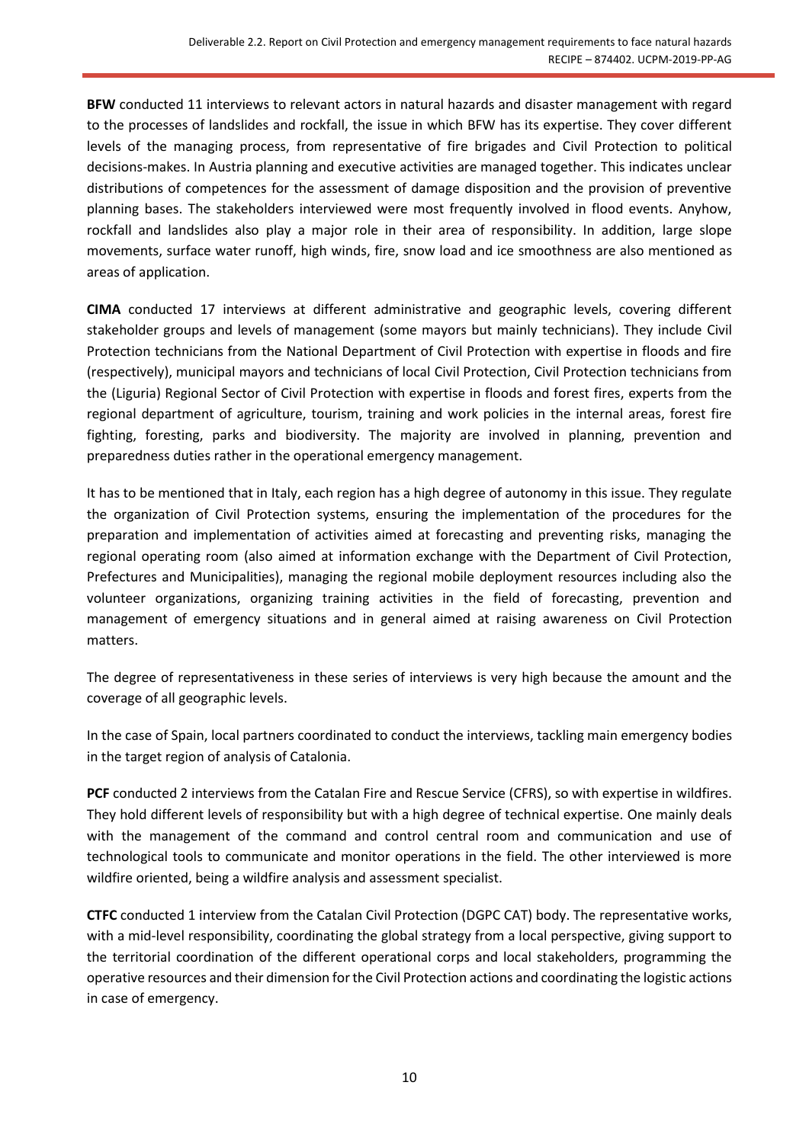**BFW** conducted 11 interviews to relevant actors in natural hazards and disaster management with regard to the processes of landslides and rockfall, the issue in which BFW has its expertise. They cover different levels of the managing process, from representative of fire brigades and Civil Protection to political decisions-makes. In Austria planning and executive activities are managed together. This indicates unclear distributions of competences for the assessment of damage disposition and the provision of preventive planning bases. The stakeholders interviewed were most frequently involved in flood events. Anyhow, rockfall and landslides also play a major role in their area of responsibility. In addition, large slope movements, surface water runoff, high winds, fire, snow load and ice smoothness are also mentioned as areas of application.

**CIMA** conducted 17 interviews at different administrative and geographic levels, covering different stakeholder groups and levels of management (some mayors but mainly technicians). They include Civil Protection technicians from the National Department of Civil Protection with expertise in floods and fire (respectively), municipal mayors and technicians of local Civil Protection, Civil Protection technicians from the (Liguria) Regional Sector of Civil Protection with expertise in floods and forest fires, experts from the regional department of agriculture, tourism, training and work policies in the internal areas, forest fire fighting, foresting, parks and biodiversity. The majority are involved in planning, prevention and preparedness duties rather in the operational emergency management.

It has to be mentioned that in Italy, each region has a high degree of autonomy in this issue. They regulate the organization of Civil Protection systems, ensuring the implementation of the procedures for the preparation and implementation of activities aimed at forecasting and preventing risks, managing the regional operating room (also aimed at information exchange with the Department of Civil Protection, Prefectures and Municipalities), managing the regional mobile deployment resources including also the volunteer organizations, organizing training activities in the field of forecasting, prevention and management of emergency situations and in general aimed at raising awareness on Civil Protection matters.

The degree of representativeness in these series of interviews is very high because the amount and the coverage of all geographic levels.

In the case of Spain, local partners coordinated to conduct the interviews, tackling main emergency bodies in the target region of analysis of Catalonia.

**PCF** conducted 2 interviews from the Catalan Fire and Rescue Service (CFRS), so with expertise in wildfires. They hold different levels of responsibility but with a high degree of technical expertise. One mainly deals with the management of the command and control central room and communication and use of technological tools to communicate and monitor operations in the field. The other interviewed is more wildfire oriented, being a wildfire analysis and assessment specialist.

**CTFC** conducted 1 interview from the Catalan Civil Protection (DGPC CAT) body. The representative works, with a mid-level responsibility, coordinating the global strategy from a local perspective, giving support to the territorial coordination of the different operational corps and local stakeholders, programming the operative resources and their dimension for the Civil Protection actions and coordinating the logistic actions in case of emergency.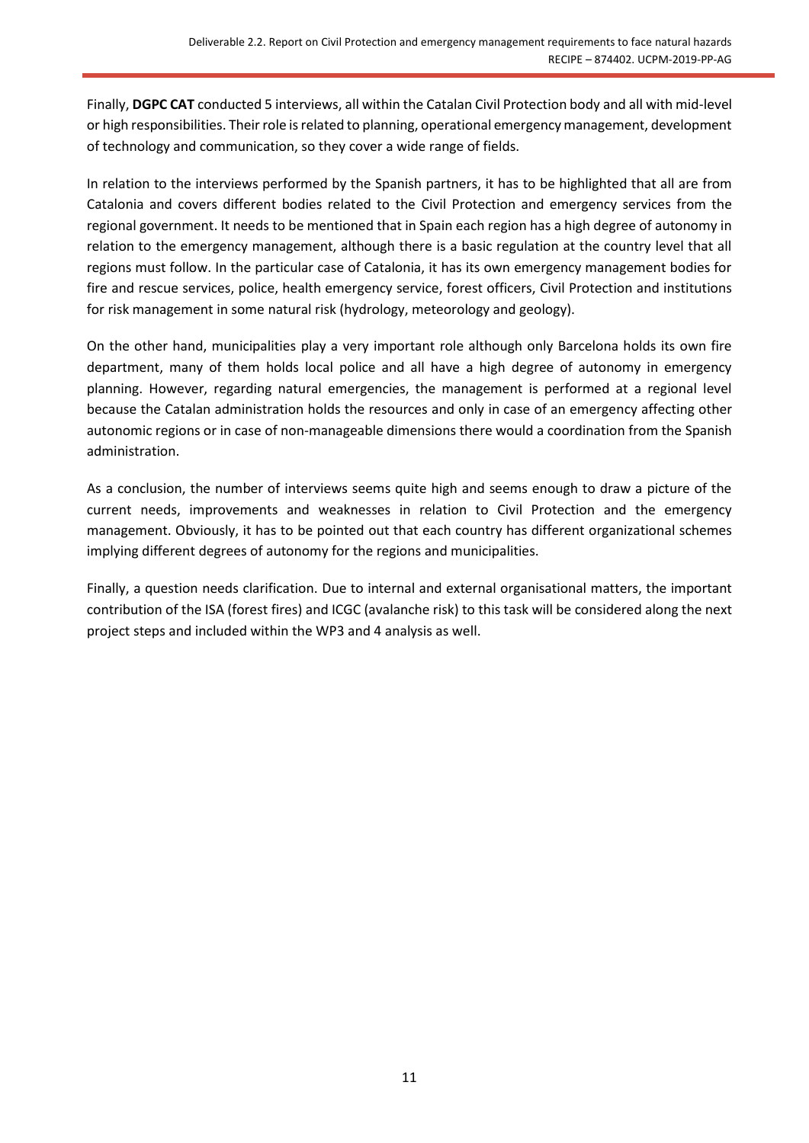Finally, **DGPC CAT** conducted 5 interviews, all within the Catalan Civil Protection body and all with mid-level or high responsibilities. Their role is related to planning, operational emergency management, development of technology and communication, so they cover a wide range of fields.

In relation to the interviews performed by the Spanish partners, it has to be highlighted that all are from Catalonia and covers different bodies related to the Civil Protection and emergency services from the regional government. It needs to be mentioned that in Spain each region has a high degree of autonomy in relation to the emergency management, although there is a basic regulation at the country level that all regions must follow. In the particular case of Catalonia, it has its own emergency management bodies for fire and rescue services, police, health emergency service, forest officers, Civil Protection and institutions for risk management in some natural risk (hydrology, meteorology and geology).

On the other hand, municipalities play a very important role although only Barcelona holds its own fire department, many of them holds local police and all have a high degree of autonomy in emergency planning. However, regarding natural emergencies, the management is performed at a regional level because the Catalan administration holds the resources and only in case of an emergency affecting other autonomic regions or in case of non-manageable dimensions there would a coordination from the Spanish administration.

As a conclusion, the number of interviews seems quite high and seems enough to draw a picture of the current needs, improvements and weaknesses in relation to Civil Protection and the emergency management. Obviously, it has to be pointed out that each country has different organizational schemes implying different degrees of autonomy for the regions and municipalities.

Finally, a question needs clarification. Due to internal and external organisational matters, the important contribution of the ISA (forest fires) and ICGC (avalanche risk) to this task will be considered along the next project steps and included within the WP3 and 4 analysis as well.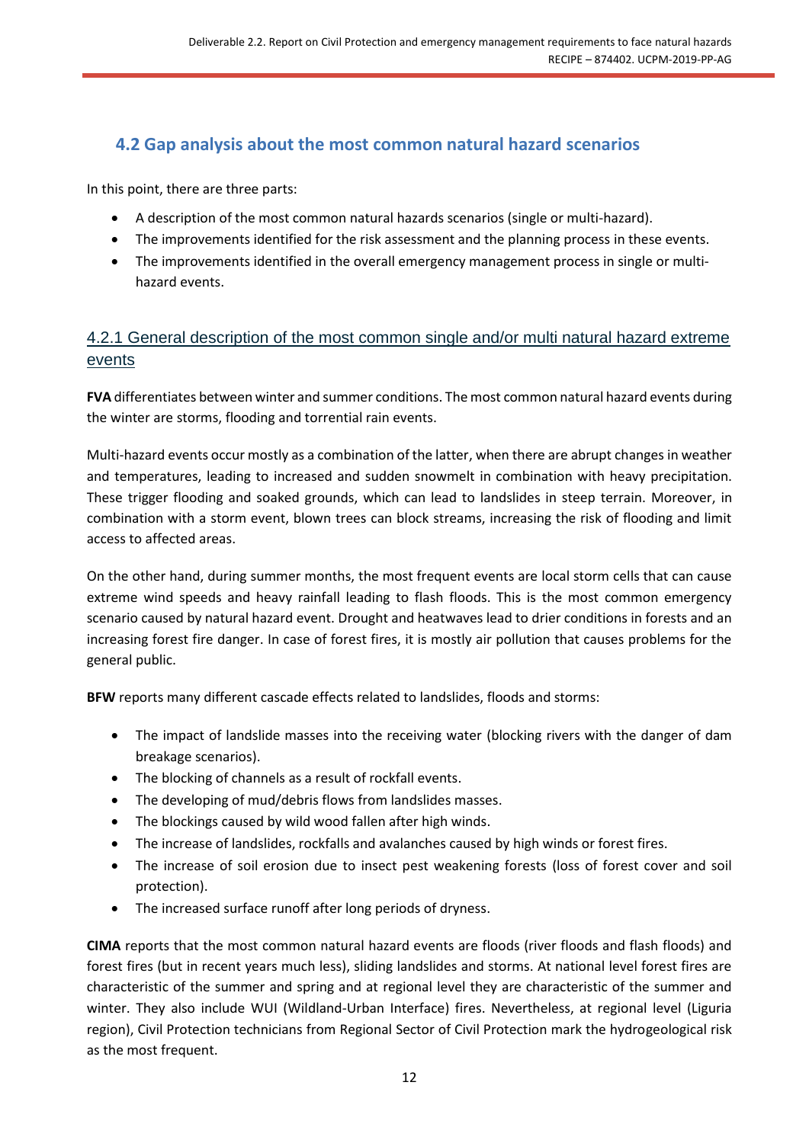# <span id="page-11-0"></span>**4.2 Gap analysis about the most common natural hazard scenarios**

In this point, there are three parts:

- A description of the most common natural hazards scenarios (single or multi-hazard).
- The improvements identified for the risk assessment and the planning process in these events.
- The improvements identified in the overall emergency management process in single or multihazard events.

# <span id="page-11-1"></span>4.2.1 General description of the most common single and/or multi natural hazard extreme events

**FVA** differentiates between winter and summer conditions. The most common natural hazard events during the winter are storms, flooding and torrential rain events.

Multi-hazard events occur mostly as a combination of the latter, when there are abrupt changes in weather and temperatures, leading to increased and sudden snowmelt in combination with heavy precipitation. These trigger flooding and soaked grounds, which can lead to landslides in steep terrain. Moreover, in combination with a storm event, blown trees can block streams, increasing the risk of flooding and limit access to affected areas.

On the other hand, during summer months, the most frequent events are local storm cells that can cause extreme wind speeds and heavy rainfall leading to flash floods. This is the most common emergency scenario caused by natural hazard event. Drought and heatwaves lead to drier conditions in forests and an increasing forest fire danger. In case of forest fires, it is mostly air pollution that causes problems for the general public.

**BFW** reports many different cascade effects related to landslides, floods and storms:

- The impact of landslide masses into the receiving water (blocking rivers with the danger of dam breakage scenarios).
- The blocking of channels as a result of rockfall events.
- The developing of mud/debris flows from landslides masses.
- The blockings caused by wild wood fallen after high winds.
- The increase of landslides, rockfalls and avalanches caused by high winds or forest fires.
- The increase of soil erosion due to insect pest weakening forests (loss of forest cover and soil protection).
- The increased surface runoff after long periods of dryness.

**CIMA** reports that the most common natural hazard events are floods (river floods and flash floods) and forest fires (but in recent years much less), sliding landslides and storms. At national level forest fires are characteristic of the summer and spring and at regional level they are characteristic of the summer and winter. They also include WUI (Wildland-Urban Interface) fires. Nevertheless, at regional level (Liguria region), Civil Protection technicians from Regional Sector of Civil Protection mark the hydrogeological risk as the most frequent.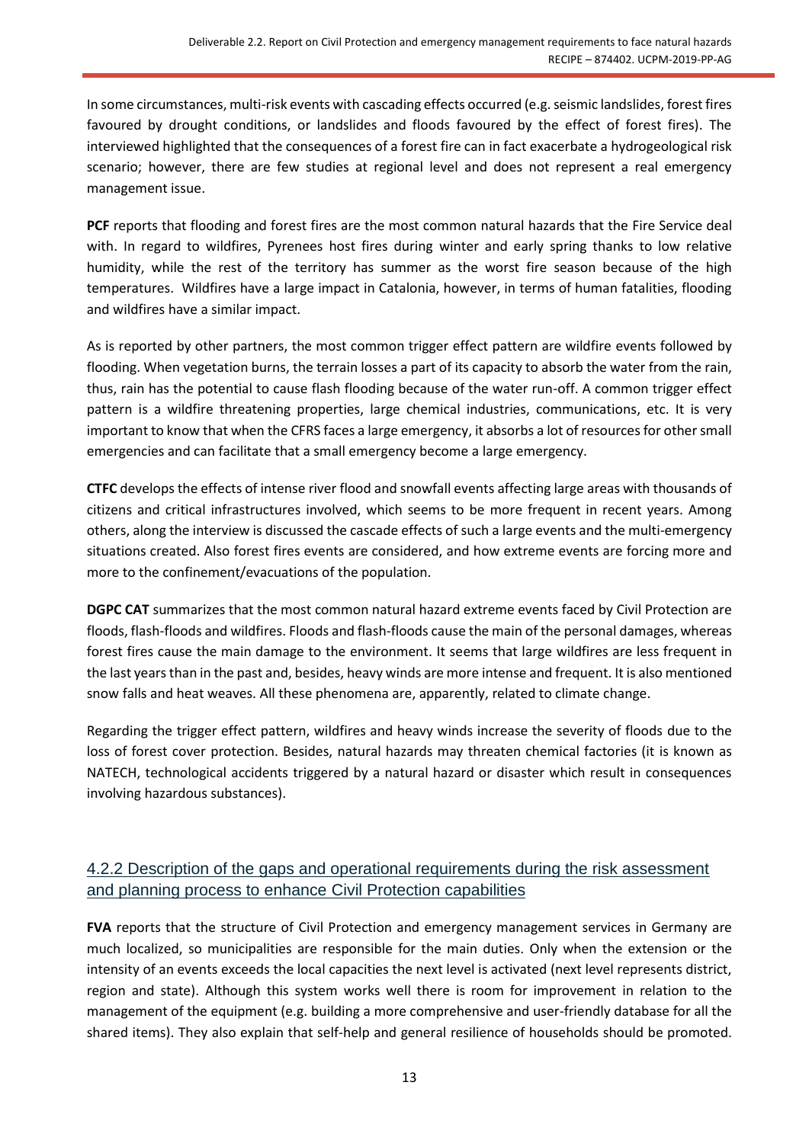In some circumstances, multi-risk events with cascading effects occurred (e.g. seismic landslides, forest fires favoured by drought conditions, or landslides and floods favoured by the effect of forest fires). The interviewed highlighted that the consequences of a forest fire can in fact exacerbate a hydrogeological risk scenario; however, there are few studies at regional level and does not represent a real emergency management issue.

PCF reports that flooding and forest fires are the most common natural hazards that the Fire Service deal with. In regard to wildfires, Pyrenees host fires during winter and early spring thanks to low relative humidity, while the rest of the territory has summer as the worst fire season because of the high temperatures. Wildfires have a large impact in Catalonia, however, in terms of human fatalities, flooding and wildfires have a similar impact.

As is reported by other partners, the most common trigger effect pattern are wildfire events followed by flooding. When vegetation burns, the terrain losses a part of its capacity to absorb the water from the rain, thus, rain has the potential to cause flash flooding because of the water run-off. A common trigger effect pattern is a wildfire threatening properties, large chemical industries, communications, etc. It is very important to know that when the CFRS faces a large emergency, it absorbs a lot of resources for other small emergencies and can facilitate that a small emergency become a large emergency.

**CTFC** develops the effects of intense river flood and snowfall events affecting large areas with thousands of citizens and critical infrastructures involved, which seems to be more frequent in recent years. Among others, along the interview is discussed the cascade effects of such a large events and the multi-emergency situations created. Also forest fires events are considered, and how extreme events are forcing more and more to the confinement/evacuations of the population.

**DGPC CAT** summarizes that the most common natural hazard extreme events faced by Civil Protection are floods, flash-floods and wildfires. Floods and flash-floods cause the main of the personal damages, whereas forest fires cause the main damage to the environment. It seems that large wildfires are less frequent in the last years than in the past and, besides, heavy winds are more intense and frequent. It is also mentioned snow falls and heat weaves. All these phenomena are, apparently, related to climate change.

Regarding the trigger effect pattern, wildfires and heavy winds increase the severity of floods due to the loss of forest cover protection. Besides, natural hazards may threaten chemical factories (it is known as NATECH, technological accidents triggered by a natural hazard or disaster which result in consequences involving hazardous substances).

# <span id="page-12-0"></span>4.2.2 Description of the gaps and operational requirements during the risk assessment and planning process to enhance Civil Protection capabilities

**FVA** reports that the structure of Civil Protection and emergency management services in Germany are much localized, so municipalities are responsible for the main duties. Only when the extension or the intensity of an events exceeds the local capacities the next level is activated (next level represents district, region and state). Although this system works well there is room for improvement in relation to the management of the equipment (e.g. building a more comprehensive and user-friendly database for all the shared items). They also explain that self-help and general resilience of households should be promoted.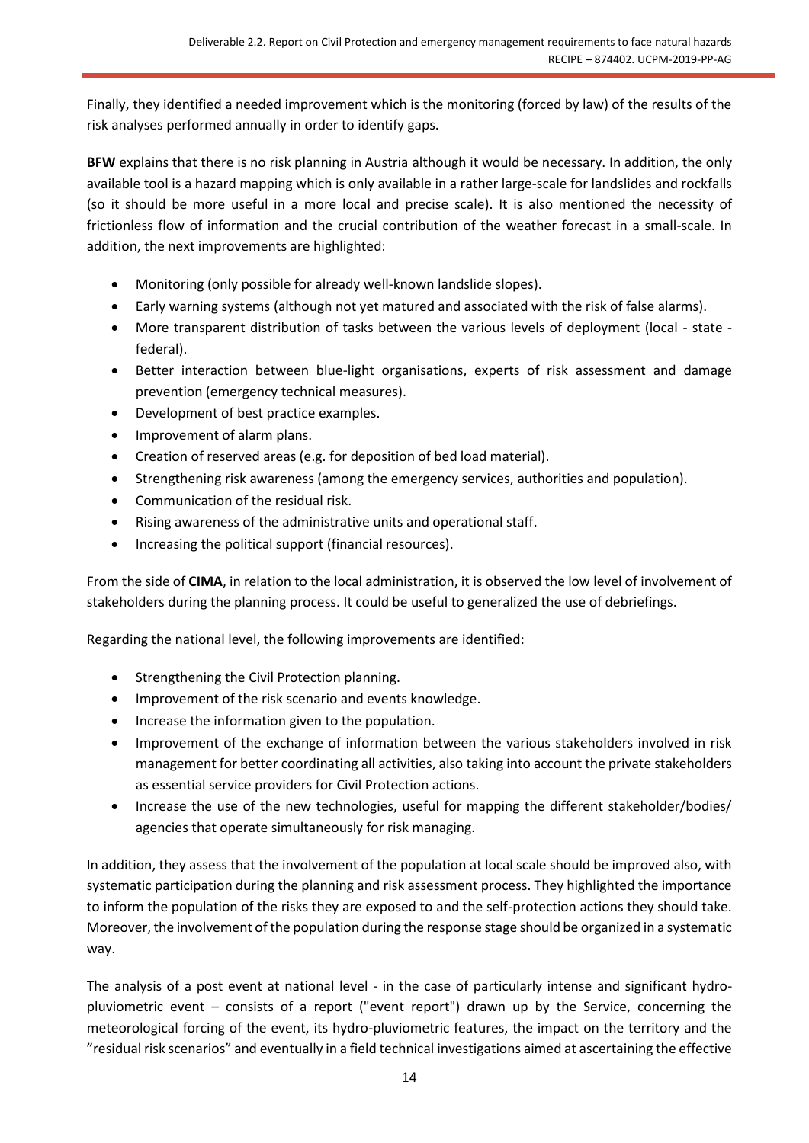Finally, they identified a needed improvement which is the monitoring (forced by law) of the results of the risk analyses performed annually in order to identify gaps.

**BFW** explains that there is no risk planning in Austria although it would be necessary. In addition, the only available tool is a hazard mapping which is only available in a rather large-scale for landslides and rockfalls (so it should be more useful in a more local and precise scale). It is also mentioned the necessity of frictionless flow of information and the crucial contribution of the weather forecast in a small-scale. In addition, the next improvements are highlighted:

- Monitoring (only possible for already well-known landslide slopes).
- Early warning systems (although not yet matured and associated with the risk of false alarms).
- More transparent distribution of tasks between the various levels of deployment (local state federal).
- Better interaction between blue-light organisations, experts of risk assessment and damage prevention (emergency technical measures).
- Development of best practice examples.
- Improvement of alarm plans.
- Creation of reserved areas (e.g. for deposition of bed load material).
- Strengthening risk awareness (among the emergency services, authorities and population).
- Communication of the residual risk.
- Rising awareness of the administrative units and operational staff.
- Increasing the political support (financial resources).

From the side of **CIMA**, in relation to the local administration, it is observed the low level of involvement of stakeholders during the planning process. It could be useful to generalized the use of debriefings.

Regarding the national level, the following improvements are identified:

- Strengthening the Civil Protection planning.
- Improvement of the risk scenario and events knowledge.
- Increase the information given to the population.
- Improvement of the exchange of information between the various stakeholders involved in risk management for better coordinating all activities, also taking into account the private stakeholders as essential service providers for Civil Protection actions.
- Increase the use of the new technologies, useful for mapping the different stakeholder/bodies/ agencies that operate simultaneously for risk managing.

In addition, they assess that the involvement of the population at local scale should be improved also, with systematic participation during the planning and risk assessment process. They highlighted the importance to inform the population of the risks they are exposed to and the self-protection actions they should take. Moreover, the involvement of the population during the response stage should be organized in a systematic way.

The analysis of a post event at national level - in the case of particularly intense and significant hydropluviometric event – consists of a report ("event report") drawn up by the Service, concerning the meteorological forcing of the event, its hydro-pluviometric features, the impact on the territory and the "residual risk scenarios" and eventually in a field technical investigations aimed at ascertaining the effective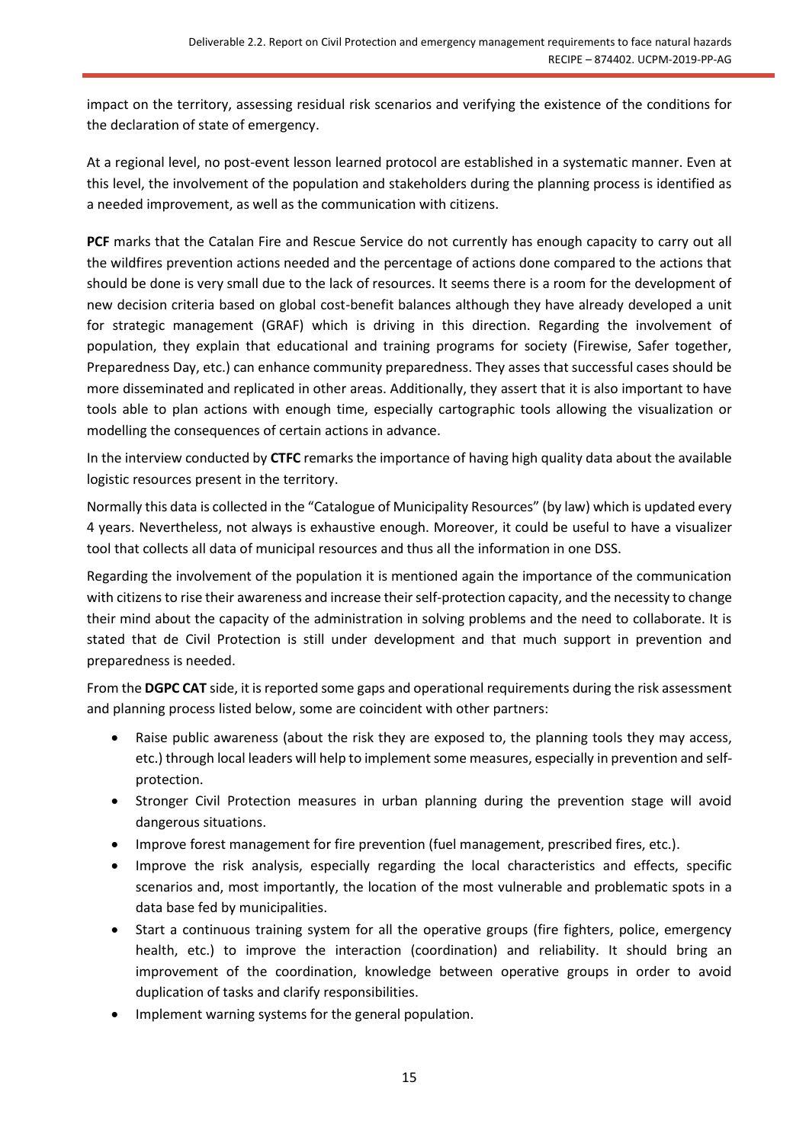impact on the territory, assessing residual risk scenarios and verifying the existence of the conditions for the declaration of state of emergency.

At a regional level, no post-event lesson learned protocol are established in a systematic manner. Even at this level, the involvement of the population and stakeholders during the planning process is identified as a needed improvement, as well as the communication with citizens.

PCF marks that the Catalan Fire and Rescue Service do not currently has enough capacity to carry out all the wildfires prevention actions needed and the percentage of actions done compared to the actions that should be done is very small due to the lack of resources. It seems there is a room for the development of new decision criteria based on global cost-benefit balances although they have already developed a unit for strategic management (GRAF) which is driving in this direction. Regarding the involvement of population, they explain that educational and training programs for society (Firewise, Safer together, Preparedness Day, etc.) can enhance community preparedness. They asses that successful cases should be more disseminated and replicated in other areas. Additionally, they assert that it is also important to have tools able to plan actions with enough time, especially cartographic tools allowing the visualization or modelling the consequences of certain actions in advance.

In the interview conducted by **CTFC** remarks the importance of having high quality data about the available logistic resources present in the territory.

Normally this data is collected in the "Catalogue of Municipality Resources" (by law) which is updated every 4 years. Nevertheless, not always is exhaustive enough. Moreover, it could be useful to have a visualizer tool that collects all data of municipal resources and thus all the information in one DSS.

Regarding the involvement of the population it is mentioned again the importance of the communication with citizens to rise their awareness and increase their self-protection capacity, and the necessity to change their mind about the capacity of the administration in solving problems and the need to collaborate. It is stated that de Civil Protection is still under development and that much support in prevention and preparedness is needed.

From the **DGPC CAT** side, it is reported some gaps and operational requirements during the risk assessment and planning process listed below, some are coincident with other partners:

- Raise public awareness (about the risk they are exposed to, the planning tools they may access, etc.) through local leaders will help to implement some measures, especially in prevention and selfprotection.
- Stronger Civil Protection measures in urban planning during the prevention stage will avoid dangerous situations.
- Improve forest management for fire prevention (fuel management, prescribed fires, etc.).
- Improve the risk analysis, especially regarding the local characteristics and effects, specific scenarios and, most importantly, the location of the most vulnerable and problematic spots in a data base fed by municipalities.
- Start a continuous training system for all the operative groups (fire fighters, police, emergency health, etc.) to improve the interaction (coordination) and reliability. It should bring an improvement of the coordination, knowledge between operative groups in order to avoid duplication of tasks and clarify responsibilities.
- Implement warning systems for the general population.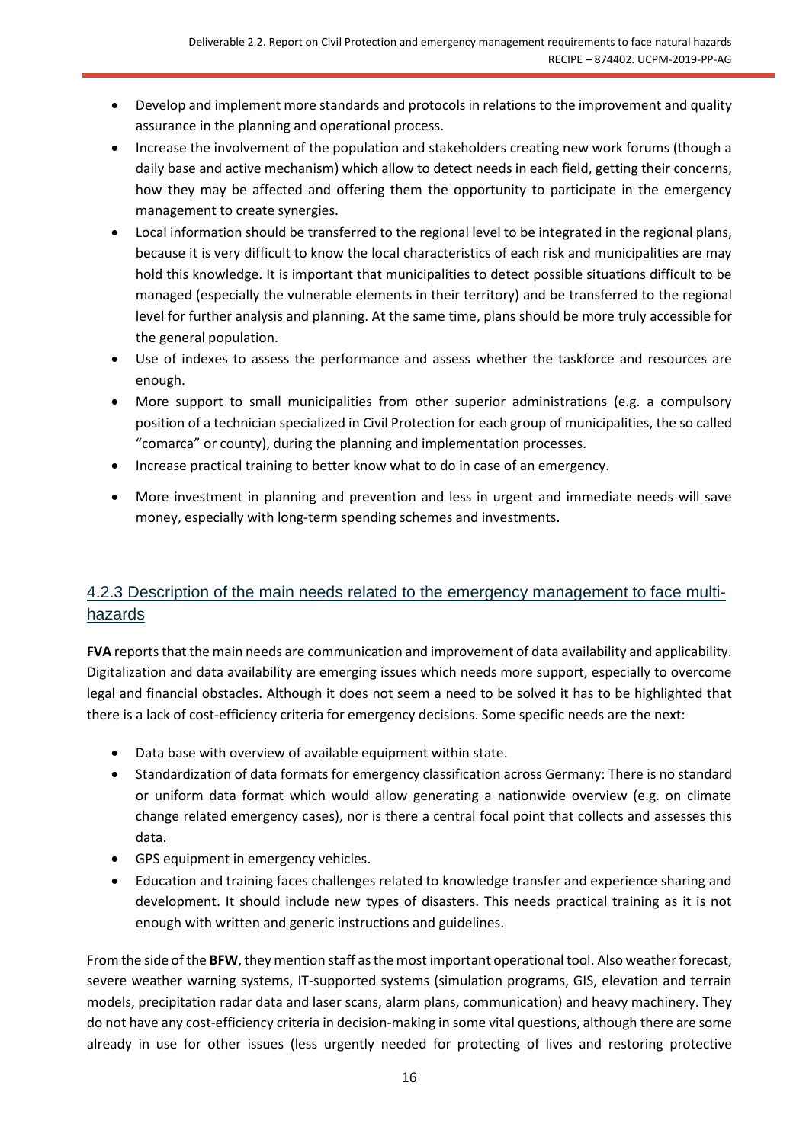- Develop and implement more standards and protocols in relations to the improvement and quality assurance in the planning and operational process.
- Increase the involvement of the population and stakeholders creating new work forums (though a daily base and active mechanism) which allow to detect needs in each field, getting their concerns, how they may be affected and offering them the opportunity to participate in the emergency management to create synergies.
- Local information should be transferred to the regional level to be integrated in the regional plans, because it is very difficult to know the local characteristics of each risk and municipalities are may hold this knowledge. It is important that municipalities to detect possible situations difficult to be managed (especially the vulnerable elements in their territory) and be transferred to the regional level for further analysis and planning. At the same time, plans should be more truly accessible for the general population.
- Use of indexes to assess the performance and assess whether the taskforce and resources are enough.
- More support to small municipalities from other superior administrations (e.g. a compulsory position of a technician specialized in Civil Protection for each group of municipalities, the so called "comarca" or county), during the planning and implementation processes.
- Increase practical training to better know what to do in case of an emergency.
- More investment in planning and prevention and less in urgent and immediate needs will save money, especially with long-term spending schemes and investments.

# <span id="page-15-0"></span>4.2.3 Description of the main needs related to the emergency management to face multihazards

**FVA** reports that the main needs are communication and improvement of data availability and applicability. Digitalization and data availability are emerging issues which needs more support, especially to overcome legal and financial obstacles. Although it does not seem a need to be solved it has to be highlighted that there is a lack of cost-efficiency criteria for emergency decisions. Some specific needs are the next:

- Data base with overview of available equipment within state.
- Standardization of data formats for emergency classification across Germany: There is no standard or uniform data format which would allow generating a nationwide overview (e.g. on climate change related emergency cases), nor is there a central focal point that collects and assesses this data.
- GPS equipment in emergency vehicles.
- Education and training faces challenges related to knowledge transfer and experience sharing and development. It should include new types of disasters. This needs practical training as it is not enough with written and generic instructions and guidelines.

From the side of the **BFW**, they mention staff as the most important operational tool. Also weather forecast, severe weather warning systems, IT-supported systems (simulation programs, GIS, elevation and terrain models, precipitation radar data and laser scans, alarm plans, communication) and heavy machinery. They do not have any cost-efficiency criteria in decision-making in some vital questions, although there are some already in use for other issues (less urgently needed for protecting of lives and restoring protective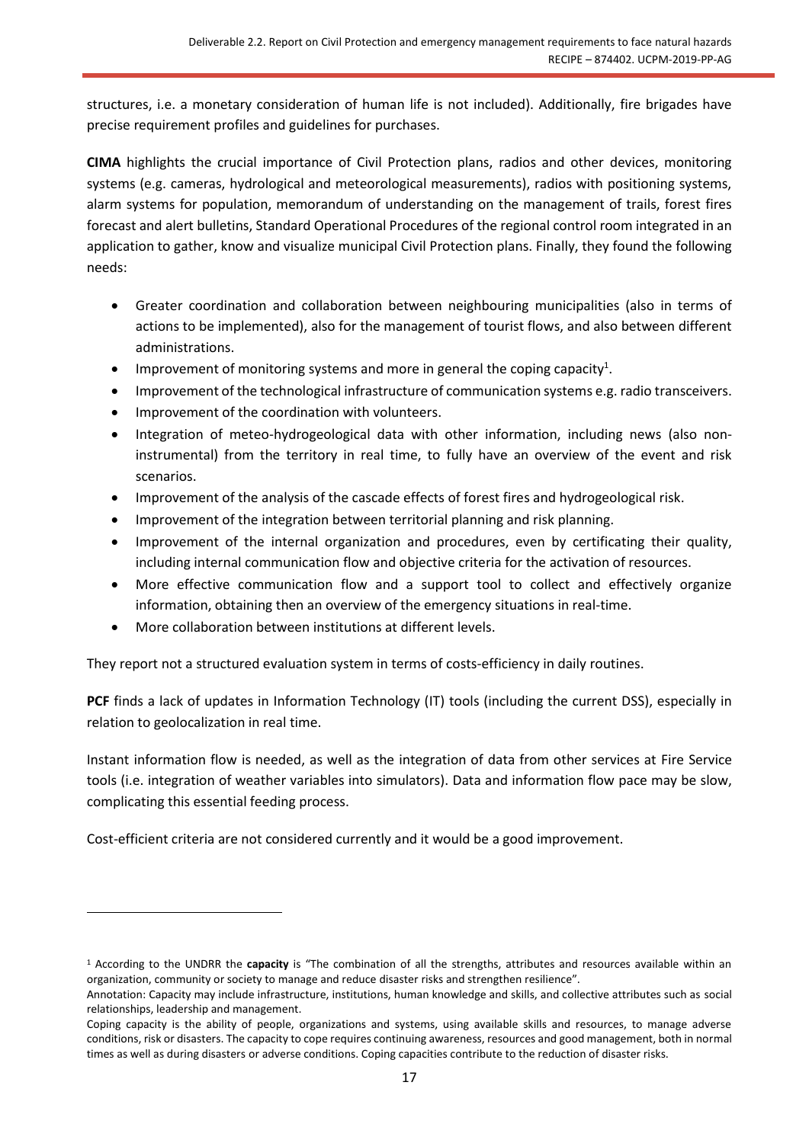structures, i.e. a monetary consideration of human life is not included). Additionally, fire brigades have precise requirement profiles and guidelines for purchases.

**CIMA** highlights the crucial importance of Civil Protection plans, radios and other devices, monitoring systems (e.g. cameras, hydrological and meteorological measurements), radios with positioning systems, alarm systems for population, memorandum of understanding on the management of trails, forest fires forecast and alert bulletins, Standard Operational Procedures of the regional control room integrated in an application to gather, know and visualize municipal Civil Protection plans. Finally, they found the following needs:

- Greater coordination and collaboration between neighbouring municipalities (also in terms of actions to be implemented), also for the management of tourist flows, and also between different administrations.
- Improvement of monitoring systems and more in general the coping capacity<sup>1</sup>.
- Improvement of the technological infrastructure of communication systems e.g. radio transceivers.
- Improvement of the coordination with volunteers.
- Integration of meteo-hydrogeological data with other information, including news (also noninstrumental) from the territory in real time, to fully have an overview of the event and risk scenarios.
- Improvement of the analysis of the cascade effects of forest fires and hydrogeological risk.
- Improvement of the integration between territorial planning and risk planning.
- Improvement of the internal organization and procedures, even by certificating their quality, including internal communication flow and objective criteria for the activation of resources.
- More effective communication flow and a support tool to collect and effectively organize information, obtaining then an overview of the emergency situations in real-time.
- More collaboration between institutions at different levels.

They report not a structured evaluation system in terms of costs-efficiency in daily routines.

PCF finds a lack of updates in Information Technology (IT) tools (including the current DSS), especially in relation to geolocalization in real time.

Instant information flow is needed, as well as the integration of data from other services at Fire Service tools (i.e. integration of weather variables into simulators). Data and information flow pace may be slow, complicating this essential feeding process.

Cost-efficient criteria are not considered currently and it would be a good improvement.

<sup>1</sup> According to the UNDRR the **capacity** is "The combination of all the strengths, attributes and resources available within an organization, community or society to manage and reduce disaster risks and strengthen resilience".

Annotation: Capacity may include infrastructure, institutions, human knowledge and skills, and collective attributes such as social relationships, leadership and management.

Coping capacity is the ability of people, organizations and systems, using available skills and resources, to manage adverse conditions, risk or disasters. The capacity to cope requires continuing awareness, resources and good management, both in normal times as well as during disasters or adverse conditions. Coping capacities contribute to the reduction of disaster risks.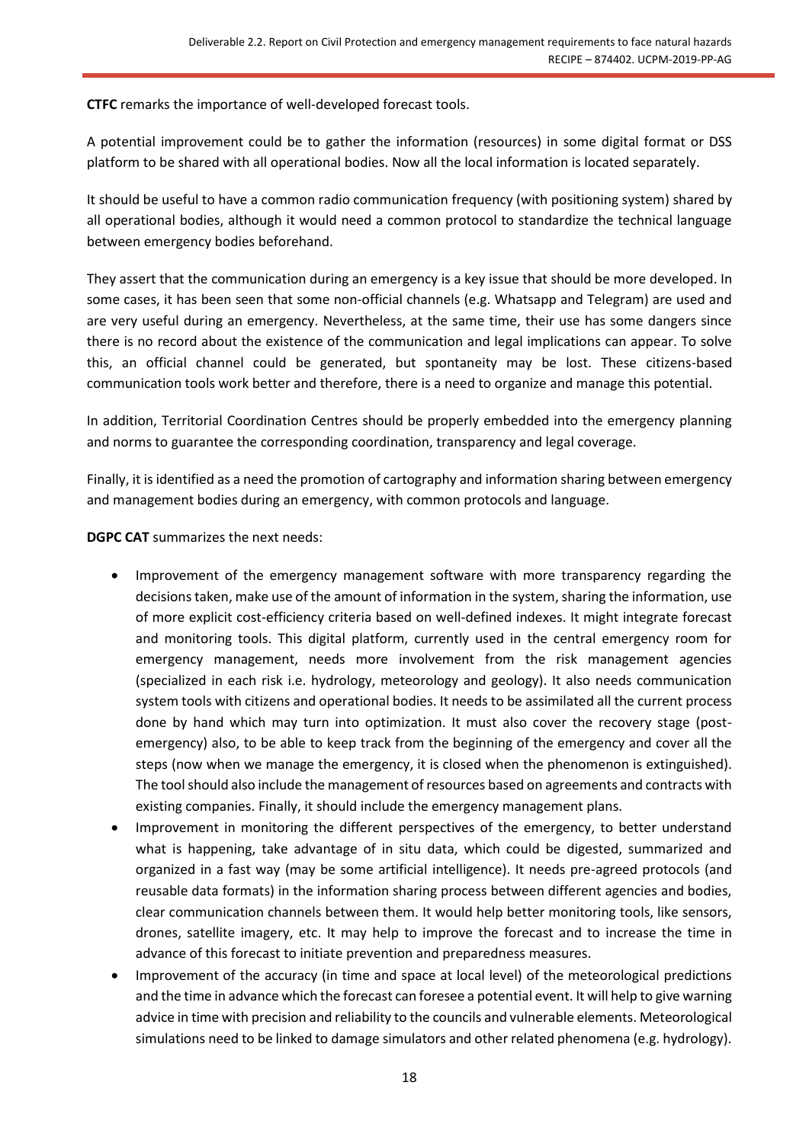**CTFC** remarks the importance of well-developed forecast tools.

A potential improvement could be to gather the information (resources) in some digital format or DSS platform to be shared with all operational bodies. Now all the local information is located separately.

It should be useful to have a common radio communication frequency (with positioning system) shared by all operational bodies, although it would need a common protocol to standardize the technical language between emergency bodies beforehand.

They assert that the communication during an emergency is a key issue that should be more developed. In some cases, it has been seen that some non-official channels (e.g. Whatsapp and Telegram) are used and are very useful during an emergency. Nevertheless, at the same time, their use has some dangers since there is no record about the existence of the communication and legal implications can appear. To solve this, an official channel could be generated, but spontaneity may be lost. These citizens-based communication tools work better and therefore, there is a need to organize and manage this potential.

In addition, Territorial Coordination Centres should be properly embedded into the emergency planning and norms to guarantee the corresponding coordination, transparency and legal coverage.

Finally, it is identified as a need the promotion of cartography and information sharing between emergency and management bodies during an emergency, with common protocols and language.

**DGPC CAT** summarizes the next needs:

- Improvement of the emergency management software with more transparency regarding the decisions taken, make use of the amount of information in the system, sharing the information, use of more explicit cost-efficiency criteria based on well-defined indexes. It might integrate forecast and monitoring tools. This digital platform, currently used in the central emergency room for emergency management, needs more involvement from the risk management agencies (specialized in each risk i.e. hydrology, meteorology and geology). It also needs communication system tools with citizens and operational bodies. It needs to be assimilated all the current process done by hand which may turn into optimization. It must also cover the recovery stage (postemergency) also, to be able to keep track from the beginning of the emergency and cover all the steps (now when we manage the emergency, it is closed when the phenomenon is extinguished). The tool should also include the management of resources based on agreements and contracts with existing companies. Finally, it should include the emergency management plans.
- Improvement in monitoring the different perspectives of the emergency, to better understand what is happening, take advantage of in situ data, which could be digested, summarized and organized in a fast way (may be some artificial intelligence). It needs pre-agreed protocols (and reusable data formats) in the information sharing process between different agencies and bodies, clear communication channels between them. It would help better monitoring tools, like sensors, drones, satellite imagery, etc. It may help to improve the forecast and to increase the time in advance of this forecast to initiate prevention and preparedness measures.
- Improvement of the accuracy (in time and space at local level) of the meteorological predictions and the time in advance which the forecast can foresee a potential event. It will help to give warning advice in time with precision and reliability to the councils and vulnerable elements. Meteorological simulations need to be linked to damage simulators and other related phenomena (e.g. hydrology).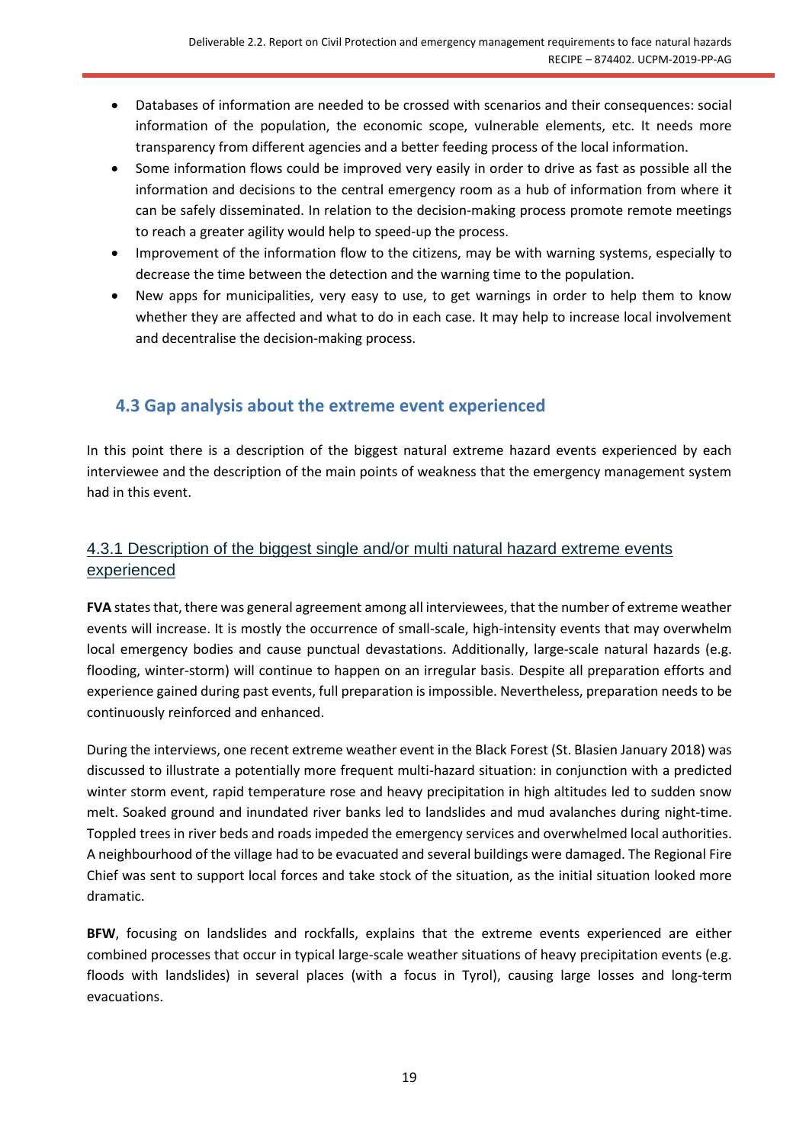- Databases of information are needed to be crossed with scenarios and their consequences: social information of the population, the economic scope, vulnerable elements, etc. It needs more transparency from different agencies and a better feeding process of the local information.
- Some information flows could be improved very easily in order to drive as fast as possible all the information and decisions to the central emergency room as a hub of information from where it can be safely disseminated. In relation to the decision-making process promote remote meetings to reach a greater agility would help to speed-up the process.
- Improvement of the information flow to the citizens, may be with warning systems, especially to decrease the time between the detection and the warning time to the population.
- New apps for municipalities, very easy to use, to get warnings in order to help them to know whether they are affected and what to do in each case. It may help to increase local involvement and decentralise the decision-making process.

# <span id="page-18-0"></span>**4.3 Gap analysis about the extreme event experienced**

In this point there is a description of the biggest natural extreme hazard events experienced by each interviewee and the description of the main points of weakness that the emergency management system had in this event.

# <span id="page-18-1"></span>4.3.1 Description of the biggest single and/or multi natural hazard extreme events experienced

**FVA** states that, there was general agreement among all interviewees, that the number of extreme weather events will increase. It is mostly the occurrence of small-scale, high-intensity events that may overwhelm local emergency bodies and cause punctual devastations. Additionally, large-scale natural hazards (e.g. flooding, winter-storm) will continue to happen on an irregular basis. Despite all preparation efforts and experience gained during past events, full preparation is impossible. Nevertheless, preparation needs to be continuously reinforced and enhanced.

During the interviews, one recent extreme weather event in the Black Forest (St. Blasien January 2018) was discussed to illustrate a potentially more frequent multi-hazard situation: in conjunction with a predicted winter storm event, rapid temperature rose and heavy precipitation in high altitudes led to sudden snow melt. Soaked ground and inundated river banks led to landslides and mud avalanches during night-time. Toppled trees in river beds and roads impeded the emergency services and overwhelmed local authorities. A neighbourhood of the village had to be evacuated and several buildings were damaged. The Regional Fire Chief was sent to support local forces and take stock of the situation, as the initial situation looked more dramatic.

**BFW**, focusing on landslides and rockfalls, explains that the extreme events experienced are either combined processes that occur in typical large-scale weather situations of heavy precipitation events (e.g. floods with landslides) in several places (with a focus in Tyrol), causing large losses and long-term evacuations.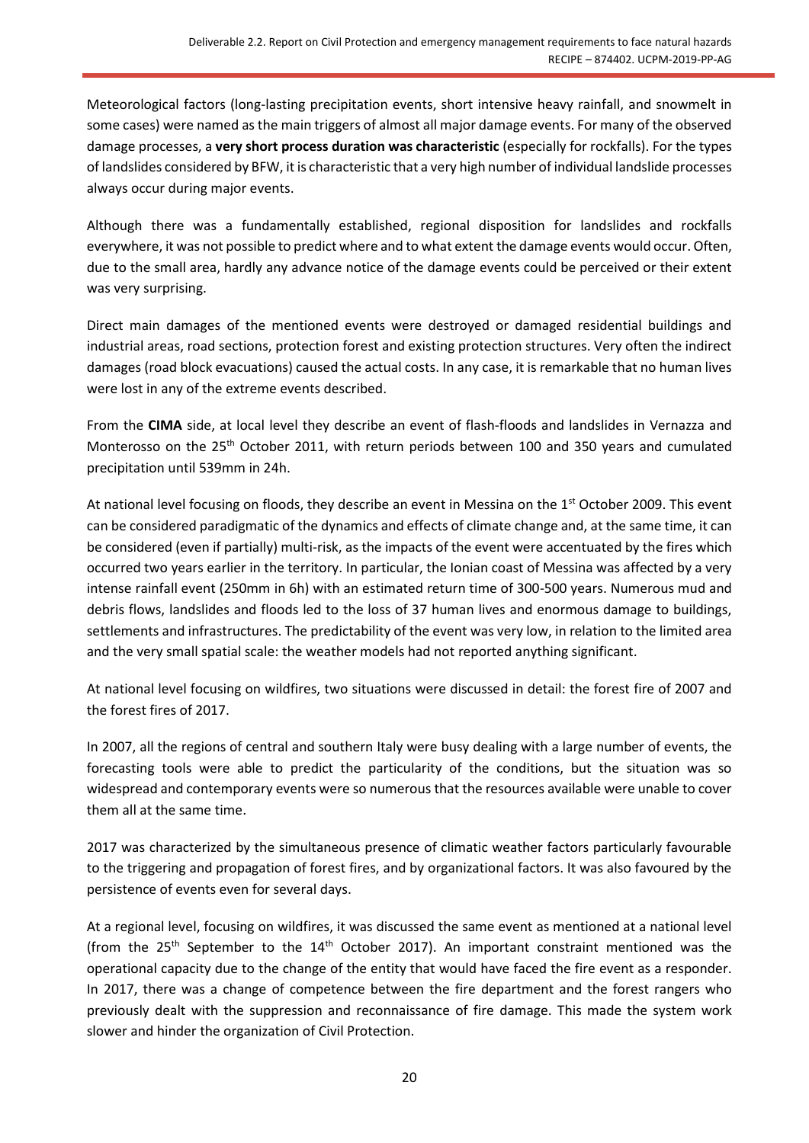Meteorological factors (long-lasting precipitation events, short intensive heavy rainfall, and snowmelt in some cases) were named as the main triggers of almost all major damage events. For many of the observed damage processes, a **very short process duration was characteristic** (especially for rockfalls). For the types of landslides considered by BFW, it is characteristic that a very high number of individual landslide processes always occur during major events.

Although there was a fundamentally established, regional disposition for landslides and rockfalls everywhere, it was not possible to predict where and to what extent the damage events would occur. Often, due to the small area, hardly any advance notice of the damage events could be perceived or their extent was very surprising.

Direct main damages of the mentioned events were destroyed or damaged residential buildings and industrial areas, road sections, protection forest and existing protection structures. Very often the indirect damages (road block evacuations) caused the actual costs. In any case, it is remarkable that no human lives were lost in any of the extreme events described.

From the **CIMA** side, at local level they describe an event of flash-floods and landslides in Vernazza and Monterosso on the 25<sup>th</sup> October 2011, with return periods between 100 and 350 years and cumulated precipitation until 539mm in 24h.

At national level focusing on floods, they describe an event in Messina on the 1<sup>st</sup> October 2009. This event can be considered paradigmatic of the dynamics and effects of climate change and, at the same time, it can be considered (even if partially) multi-risk, as the impacts of the event were accentuated by the fires which occurred two years earlier in the territory. In particular, the Ionian coast of Messina was affected by a very intense rainfall event (250mm in 6h) with an estimated return time of 300-500 years. Numerous mud and debris flows, landslides and floods led to the loss of 37 human lives and enormous damage to buildings, settlements and infrastructures. The predictability of the event was very low, in relation to the limited area and the very small spatial scale: the weather models had not reported anything significant.

At national level focusing on wildfires, two situations were discussed in detail: the forest fire of 2007 and the forest fires of 2017.

In 2007, all the regions of central and southern Italy were busy dealing with a large number of events, the forecasting tools were able to predict the particularity of the conditions, but the situation was so widespread and contemporary events were so numerous that the resources available were unable to cover them all at the same time.

2017 was characterized by the simultaneous presence of climatic weather factors particularly favourable to the triggering and propagation of forest fires, and by organizational factors. It was also favoured by the persistence of events even for several days.

At a regional level, focusing on wildfires, it was discussed the same event as mentioned at a national level (from the 25<sup>th</sup> September to the 14<sup>th</sup> October 2017). An important constraint mentioned was the operational capacity due to the change of the entity that would have faced the fire event as a responder. In 2017, there was a change of competence between the fire department and the forest rangers who previously dealt with the suppression and reconnaissance of fire damage. This made the system work slower and hinder the organization of Civil Protection.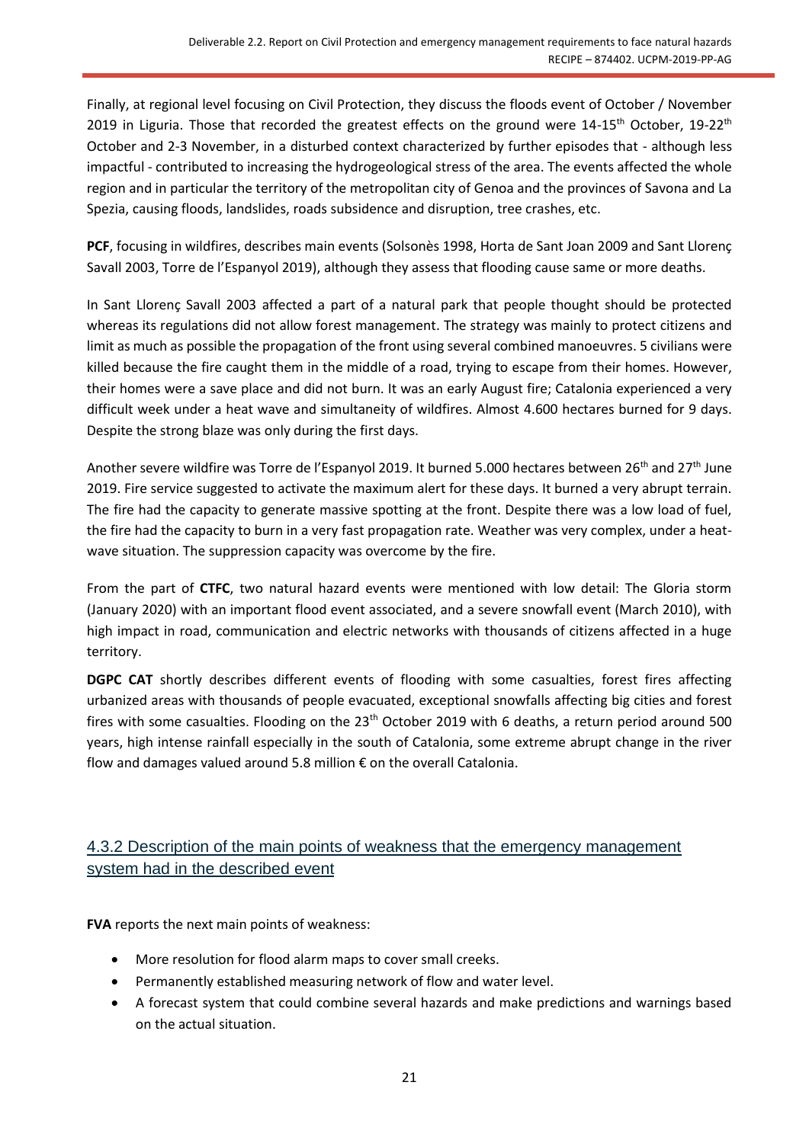Finally, at regional level focusing on Civil Protection, they discuss the floods event of October / November 2019 in Liguria. Those that recorded the greatest effects on the ground were  $14-15^{th}$  October,  $19-22^{th}$ October and 2-3 November, in a disturbed context characterized by further episodes that - although less impactful - contributed to increasing the hydrogeological stress of the area. The events affected the whole region and in particular the territory of the metropolitan city of Genoa and the provinces of Savona and La Spezia, causing floods, landslides, roads subsidence and disruption, tree crashes, etc.

**PCF**, focusing in wildfires, describes main events (Solsonès 1998, Horta de Sant Joan 2009 and Sant Llorenç Savall 2003, Torre de l'Espanyol 2019), although they assess that flooding cause same or more deaths.

In Sant Llorenç Savall 2003 affected a part of a natural park that people thought should be protected whereas its regulations did not allow forest management. The strategy was mainly to protect citizens and limit as much as possible the propagation of the front using several combined manoeuvres. 5 civilians were killed because the fire caught them in the middle of a road, trying to escape from their homes. However, their homes were a save place and did not burn. It was an early August fire; Catalonia experienced a very difficult week under a heat wave and simultaneity of wildfires. Almost 4.600 hectares burned for 9 days. Despite the strong blaze was only during the first days.

Another severe wildfire was Torre de l'Espanyol 2019. It burned 5.000 hectares between 26<sup>th</sup> and 27<sup>th</sup> June 2019. Fire service suggested to activate the maximum alert for these days. It burned a very abrupt terrain. The fire had the capacity to generate massive spotting at the front. Despite there was a low load of fuel, the fire had the capacity to burn in a very fast propagation rate. Weather was very complex, under a heatwave situation. The suppression capacity was overcome by the fire.

From the part of **CTFC**, two natural hazard events were mentioned with low detail: The Gloria storm (January 2020) with an important flood event associated, and a severe snowfall event (March 2010), with high impact in road, communication and electric networks with thousands of citizens affected in a huge territory.

DGPC CAT shortly describes different events of flooding with some casualties, forest fires affecting urbanized areas with thousands of people evacuated, exceptional snowfalls affecting big cities and forest fires with some casualties. Flooding on the 23<sup>th</sup> October 2019 with 6 deaths, a return period around 500 years, high intense rainfall especially in the south of Catalonia, some extreme abrupt change in the river flow and damages valued around 5.8 million € on the overall Catalonia.

# <span id="page-20-0"></span>4.3.2 Description of the main points of weakness that the emergency management system had in the described event

**FVA** reports the next main points of weakness:

- More resolution for flood alarm maps to cover small creeks.
- Permanently established measuring network of flow and water level.
- A forecast system that could combine several hazards and make predictions and warnings based on the actual situation.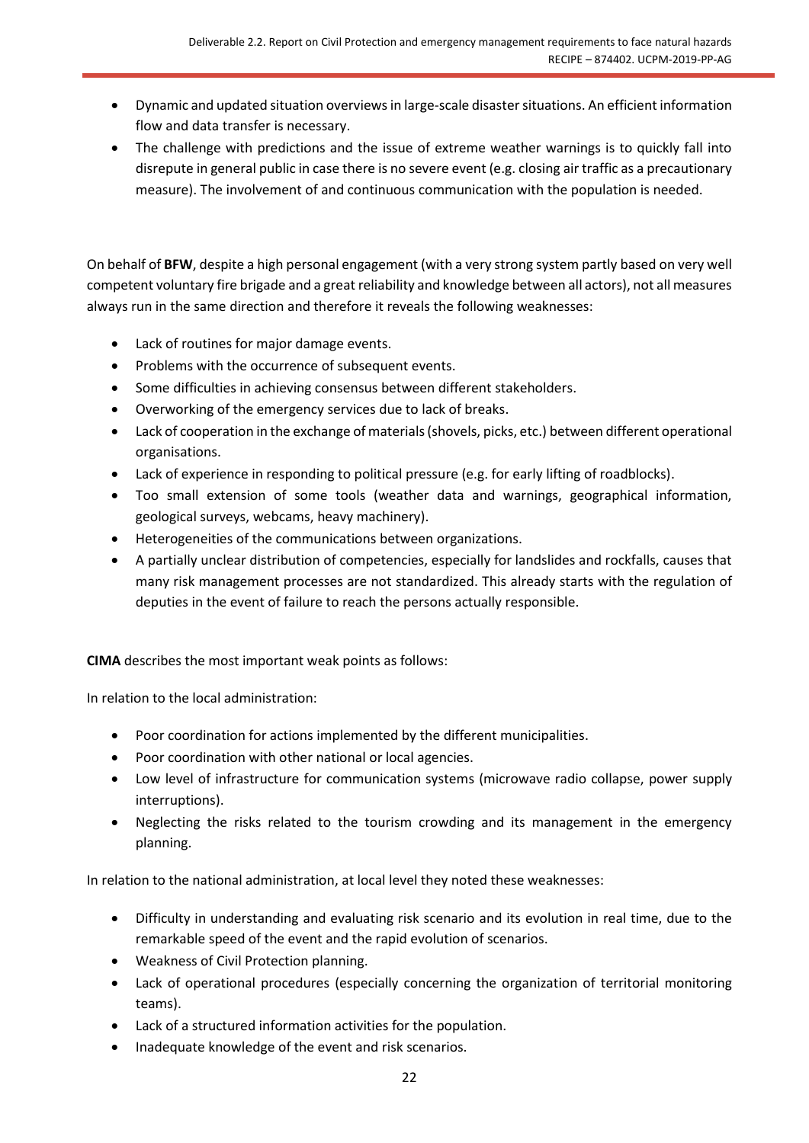- Dynamic and updated situation overviews in large-scale disaster situations. An efficient information flow and data transfer is necessary.
- The challenge with predictions and the issue of extreme weather warnings is to quickly fall into disrepute in general public in case there is no severe event (e.g. closing air traffic as a precautionary measure). The involvement of and continuous communication with the population is needed.

On behalf of **BFW**, despite a high personal engagement (with a very strong system partly based on very well competent voluntary fire brigade and a great reliability and knowledge between all actors), not all measures always run in the same direction and therefore it reveals the following weaknesses:

- Lack of routines for major damage events.
- Problems with the occurrence of subsequent events.
- Some difficulties in achieving consensus between different stakeholders.
- Overworking of the emergency services due to lack of breaks.
- Lack of cooperation in the exchange of materials (shovels, picks, etc.) between different operational organisations.
- Lack of experience in responding to political pressure (e.g. for early lifting of roadblocks).
- Too small extension of some tools (weather data and warnings, geographical information, geological surveys, webcams, heavy machinery).
- Heterogeneities of the communications between organizations.
- A partially unclear distribution of competencies, especially for landslides and rockfalls, causes that many risk management processes are not standardized. This already starts with the regulation of deputies in the event of failure to reach the persons actually responsible.

**CIMA** describes the most important weak points as follows:

In relation to the local administration:

- Poor coordination for actions implemented by the different municipalities.
- Poor coordination with other national or local agencies.
- Low level of infrastructure for communication systems (microwave radio collapse, power supply interruptions).
- Neglecting the risks related to the tourism crowding and its management in the emergency planning.

In relation to the national administration, at local level they noted these weaknesses:

- Difficulty in understanding and evaluating risk scenario and its evolution in real time, due to the remarkable speed of the event and the rapid evolution of scenarios.
- Weakness of Civil Protection planning.
- Lack of operational procedures (especially concerning the organization of territorial monitoring teams).
- Lack of a structured information activities for the population.
- Inadequate knowledge of the event and risk scenarios.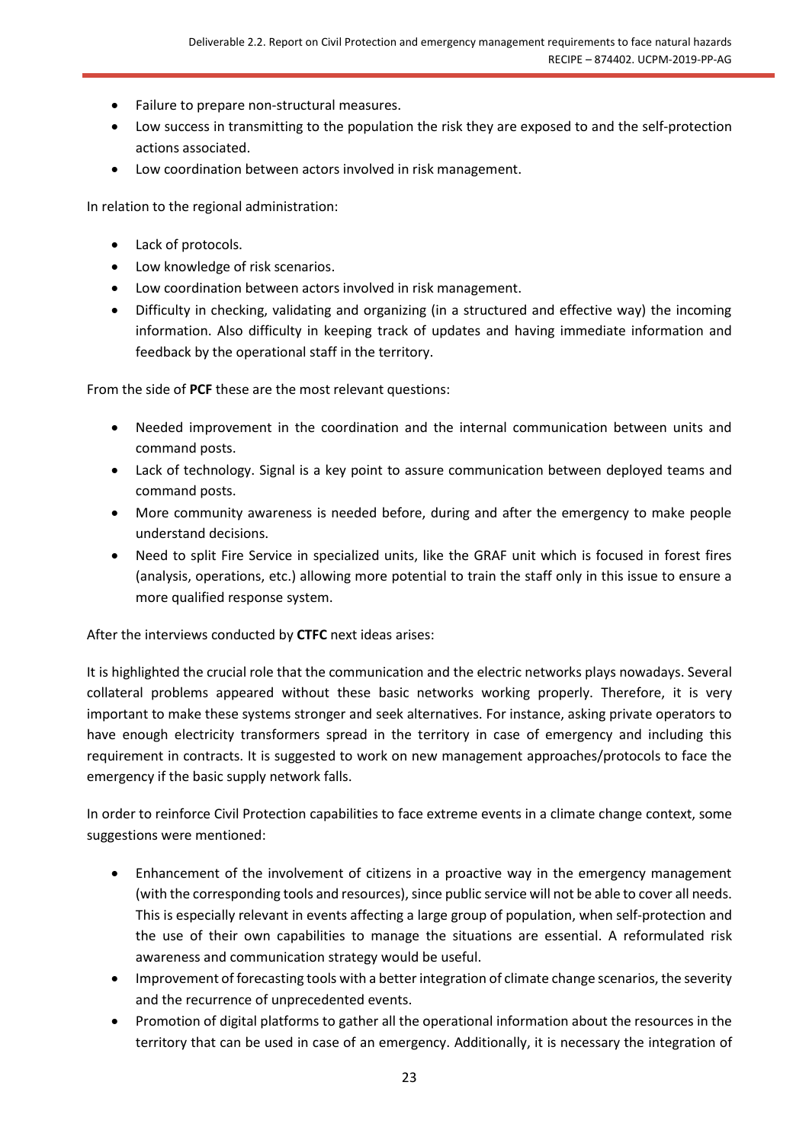- Failure to prepare non-structural measures.
- Low success in transmitting to the population the risk they are exposed to and the self-protection actions associated.
- Low coordination between actors involved in risk management.

In relation to the regional administration:

- Lack of protocols.
- Low knowledge of risk scenarios.
- Low coordination between actors involved in risk management.
- Difficulty in checking, validating and organizing (in a structured and effective way) the incoming information. Also difficulty in keeping track of updates and having immediate information and feedback by the operational staff in the territory.

From the side of **PCF** these are the most relevant questions:

- Needed improvement in the coordination and the internal communication between units and command posts.
- Lack of technology. Signal is a key point to assure communication between deployed teams and command posts.
- More community awareness is needed before, during and after the emergency to make people understand decisions.
- Need to split Fire Service in specialized units, like the GRAF unit which is focused in forest fires (analysis, operations, etc.) allowing more potential to train the staff only in this issue to ensure a more qualified response system.

After the interviews conducted by **CTFC** next ideas arises:

It is highlighted the crucial role that the communication and the electric networks plays nowadays. Several collateral problems appeared without these basic networks working properly. Therefore, it is very important to make these systems stronger and seek alternatives. For instance, asking private operators to have enough electricity transformers spread in the territory in case of emergency and including this requirement in contracts. It is suggested to work on new management approaches/protocols to face the emergency if the basic supply network falls.

In order to reinforce Civil Protection capabilities to face extreme events in a climate change context, some suggestions were mentioned:

- Enhancement of the involvement of citizens in a proactive way in the emergency management (with the corresponding tools and resources), since public service will not be able to cover all needs. This is especially relevant in events affecting a large group of population, when self-protection and the use of their own capabilities to manage the situations are essential. A reformulated risk awareness and communication strategy would be useful.
- Improvement of forecasting tools with a better integration of climate change scenarios, the severity and the recurrence of unprecedented events.
- Promotion of digital platforms to gather all the operational information about the resources in the territory that can be used in case of an emergency. Additionally, it is necessary the integration of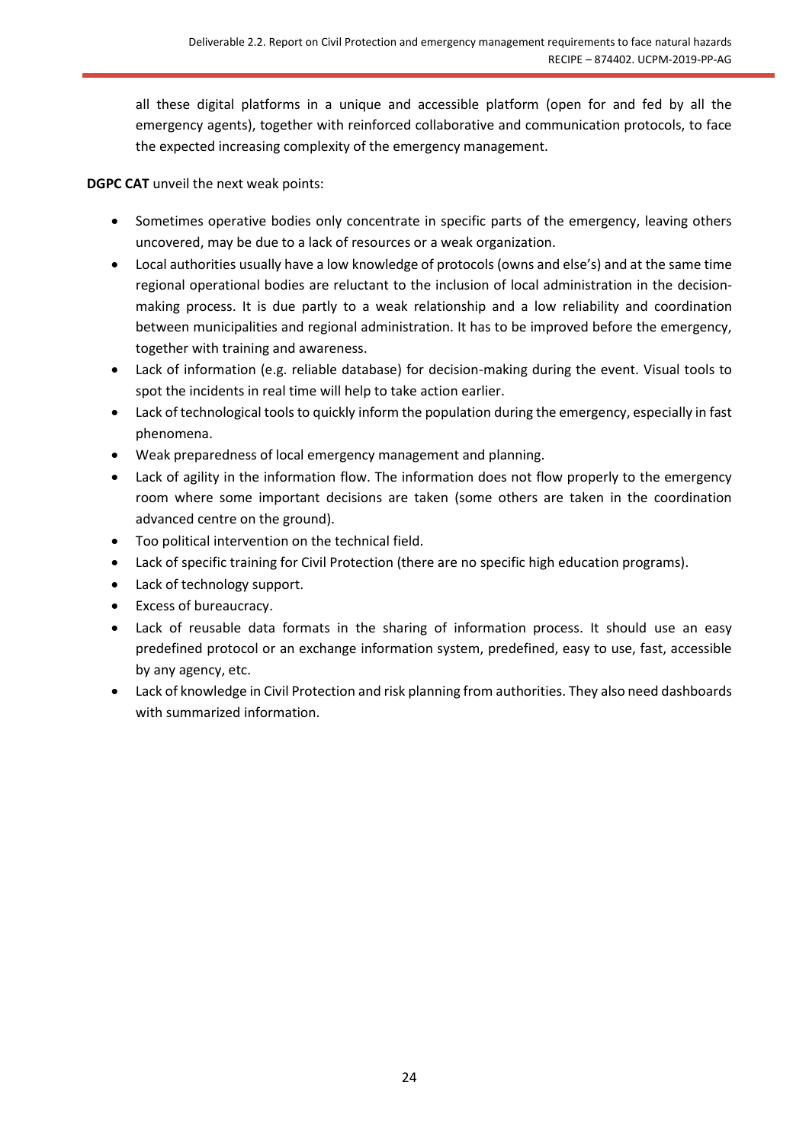all these digital platforms in a unique and accessible platform (open for and fed by all the emergency agents), together with reinforced collaborative and communication protocols, to face the expected increasing complexity of the emergency management.

**DGPC CAT** unveil the next weak points:

- Sometimes operative bodies only concentrate in specific parts of the emergency, leaving others uncovered, may be due to a lack of resources or a weak organization.
- Local authorities usually have a low knowledge of protocols (owns and else's) and at the same time regional operational bodies are reluctant to the inclusion of local administration in the decisionmaking process. It is due partly to a weak relationship and a low reliability and coordination between municipalities and regional administration. It has to be improved before the emergency, together with training and awareness.
- Lack of information (e.g. reliable database) for decision-making during the event. Visual tools to spot the incidents in real time will help to take action earlier.
- Lack of technological tools to quickly inform the population during the emergency, especially in fast phenomena.
- Weak preparedness of local emergency management and planning.
- Lack of agility in the information flow. The information does not flow properly to the emergency room where some important decisions are taken (some others are taken in the coordination advanced centre on the ground).
- Too political intervention on the technical field.
- Lack of specific training for Civil Protection (there are no specific high education programs).
- Lack of technology support.
- Excess of bureaucracy.
- Lack of reusable data formats in the sharing of information process. It should use an easy predefined protocol or an exchange information system, predefined, easy to use, fast, accessible by any agency, etc.
- Lack of knowledge in Civil Protection and risk planning from authorities. They also need dashboards with summarized information.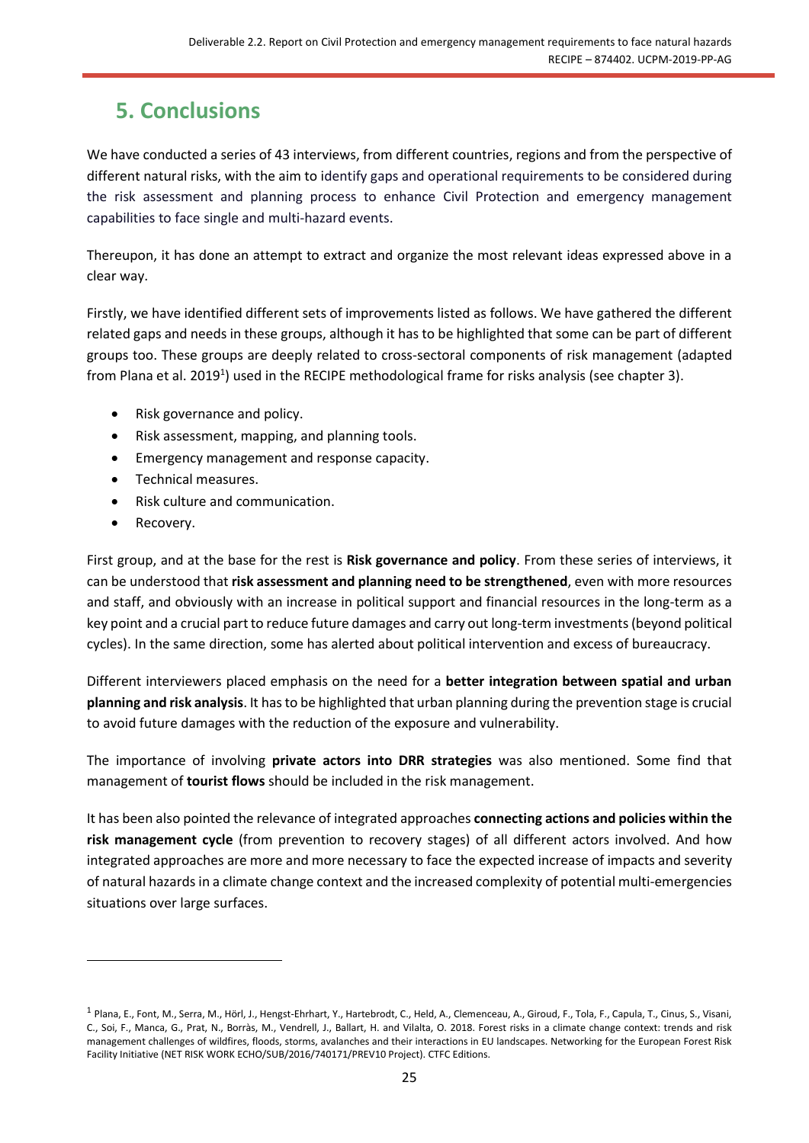# <span id="page-24-0"></span>**5. Conclusions**

We have conducted a series of 43 interviews, from different countries, regions and from the perspective of different natural risks, with the aim to identify gaps and operational requirements to be considered during the risk assessment and planning process to enhance Civil Protection and emergency management capabilities to face single and multi-hazard events.

Thereupon, it has done an attempt to extract and organize the most relevant ideas expressed above in a clear way.

Firstly, we have identified different sets of improvements listed as follows. We have gathered the different related gaps and needs in these groups, although it has to be highlighted that some can be part of different groups too. These groups are deeply related to cross-sectoral components of risk management (adapted from Plana et al. 2019<sup>1</sup>) used in the RECIPE methodological frame for risks analysis (see chapter 3).

- Risk governance and policy.
- Risk assessment, mapping, and planning tools.
- Emergency management and response capacity.
- Technical measures.
- Risk culture and communication.
- Recovery.

First group, and at the base for the rest is **Risk governance and policy**. From these series of interviews, it can be understood that **risk assessment and planning need to be strengthened**, even with more resources and staff, and obviously with an increase in political support and financial resources in the long-term as a key point and a crucial part to reduce future damages and carry out long-term investments(beyond political cycles). In the same direction, some has alerted about political intervention and excess of bureaucracy.

Different interviewers placed emphasis on the need for a **better integration between spatial and urban planning and risk analysis**. It has to be highlighted that urban planning during the prevention stage is crucial to avoid future damages with the reduction of the exposure and vulnerability.

The importance of involving **private actors into DRR strategies** was also mentioned. Some find that management of **tourist flows** should be included in the risk management.

It has been also pointed the relevance of integrated approaches **connecting actions and policies within the risk management cycle** (from prevention to recovery stages) of all different actors involved. And how integrated approaches are more and more necessary to face the expected increase of impacts and severity of natural hazards in a climate change context and the increased complexity of potential multi-emergencies situations over large surfaces.

<sup>1</sup> Plana, E., Font, M., Serra, M., Hörl, J., Hengst-Ehrhart, Y., Hartebrodt, C., Held, A., Clemenceau, A., Giroud, F., Tola, F., Capula, T., Cinus, S., Visani, C., Soi, F., Manca, G., Prat, N., Borràs, M., Vendrell, J., Ballart, H. and Vilalta, O. 2018. Forest risks in a climate change context: trends and risk management challenges of wildfires, floods, storms, avalanches and their interactions in EU landscapes. Networking for the European Forest Risk Facility Initiative (NET RISK WORK ECHO/SUB/2016/740171/PREV10 Project). CTFC Editions.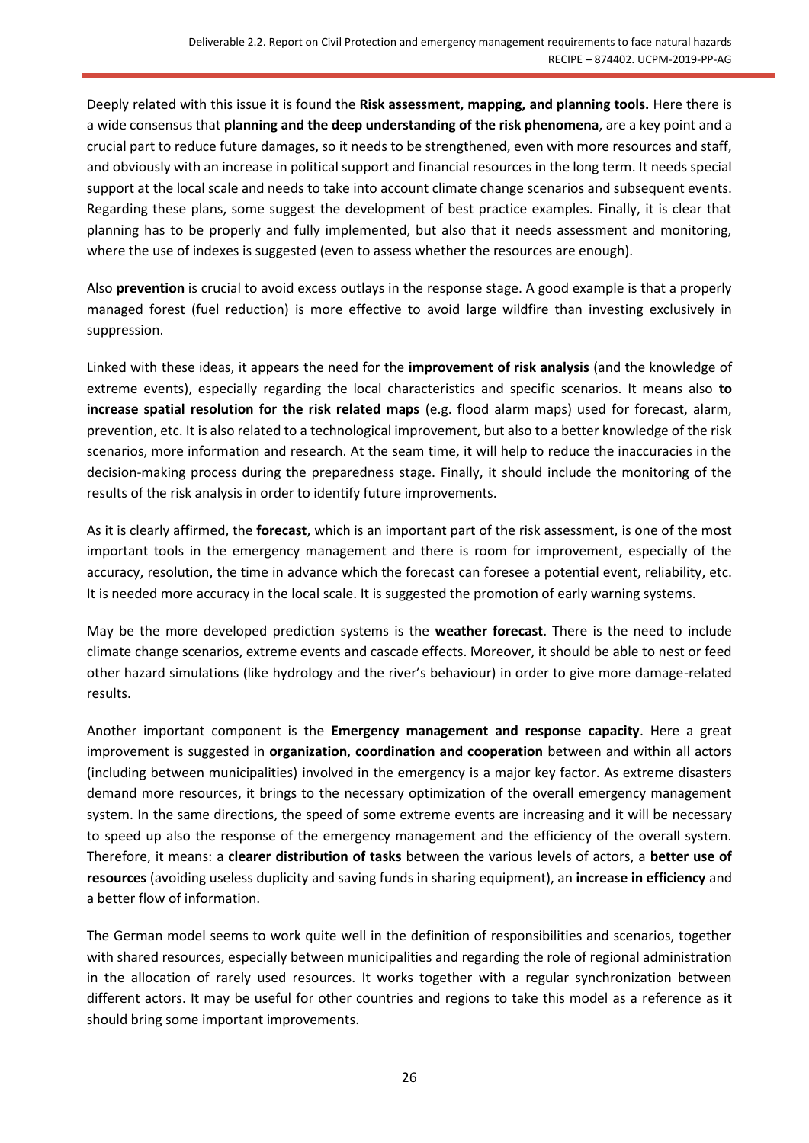Deeply related with this issue it is found the **Risk assessment, mapping, and planning tools.** Here there is a wide consensus that **planning and the deep understanding of the risk phenomena**, are a key point and a crucial part to reduce future damages, so it needs to be strengthened, even with more resources and staff, and obviously with an increase in political support and financial resources in the long term. It needs special support at the local scale and needs to take into account climate change scenarios and subsequent events. Regarding these plans, some suggest the development of best practice examples. Finally, it is clear that planning has to be properly and fully implemented, but also that it needs assessment and monitoring, where the use of indexes is suggested (even to assess whether the resources are enough).

Also **prevention** is crucial to avoid excess outlays in the response stage. A good example is that a properly managed forest (fuel reduction) is more effective to avoid large wildfire than investing exclusively in suppression.

Linked with these ideas, it appears the need for the **improvement of risk analysis** (and the knowledge of extreme events), especially regarding the local characteristics and specific scenarios. It means also **to increase spatial resolution for the risk related maps** (e.g. flood alarm maps) used for forecast, alarm, prevention, etc. It is also related to a technological improvement, but also to a better knowledge of the risk scenarios, more information and research. At the seam time, it will help to reduce the inaccuracies in the decision-making process during the preparedness stage. Finally, it should include the monitoring of the results of the risk analysis in order to identify future improvements.

As it is clearly affirmed, the **forecast**, which is an important part of the risk assessment, is one of the most important tools in the emergency management and there is room for improvement, especially of the accuracy, resolution, the time in advance which the forecast can foresee a potential event, reliability, etc. It is needed more accuracy in the local scale. It is suggested the promotion of early warning systems.

May be the more developed prediction systems is the **weather forecast**. There is the need to include climate change scenarios, extreme events and cascade effects. Moreover, it should be able to nest or feed other hazard simulations (like hydrology and the river's behaviour) in order to give more damage-related results.

Another important component is the **Emergency management and response capacity**. Here a great improvement is suggested in **organization**, **coordination and cooperation** between and within all actors (including between municipalities) involved in the emergency is a major key factor. As extreme disasters demand more resources, it brings to the necessary optimization of the overall emergency management system. In the same directions, the speed of some extreme events are increasing and it will be necessary to speed up also the response of the emergency management and the efficiency of the overall system. Therefore, it means: a **clearer distribution of tasks** between the various levels of actors, a **better use of resources** (avoiding useless duplicity and saving funds in sharing equipment), an **increase in efficiency** and a better flow of information.

The German model seems to work quite well in the definition of responsibilities and scenarios, together with shared resources, especially between municipalities and regarding the role of regional administration in the allocation of rarely used resources. It works together with a regular synchronization between different actors. It may be useful for other countries and regions to take this model as a reference as it should bring some important improvements.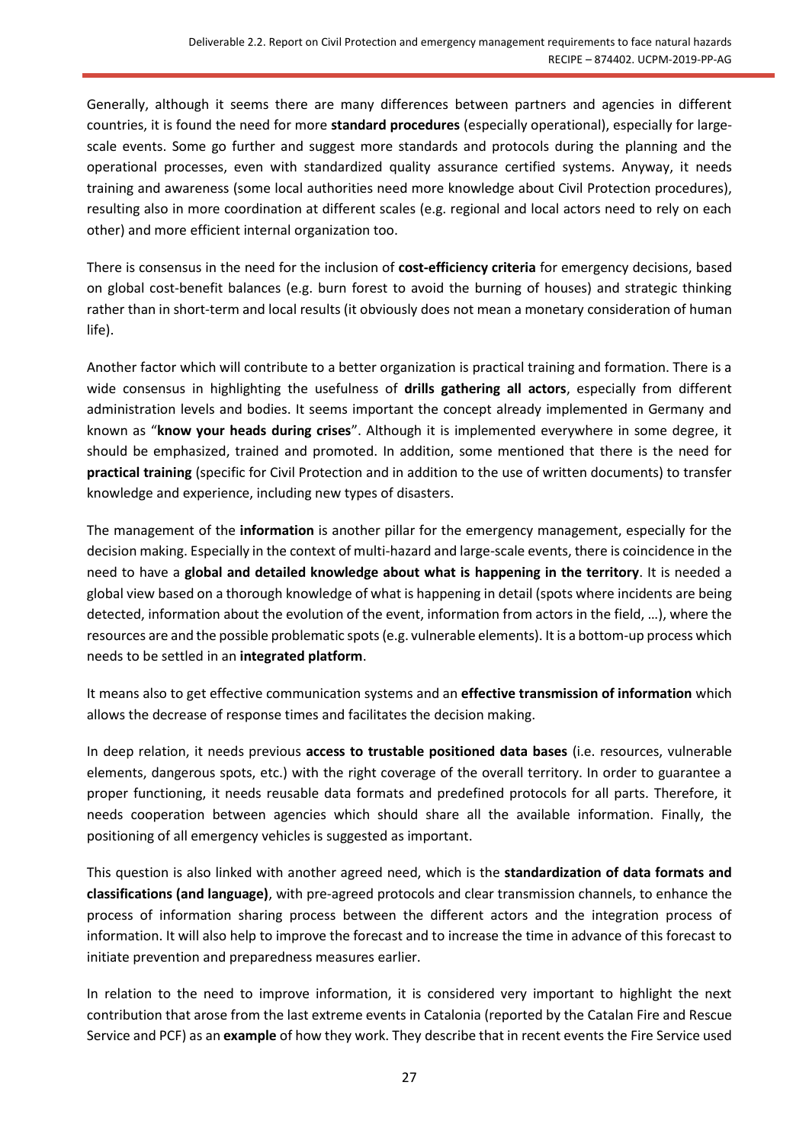Generally, although it seems there are many differences between partners and agencies in different countries, it is found the need for more **standard procedures** (especially operational), especially for largescale events. Some go further and suggest more standards and protocols during the planning and the operational processes, even with standardized quality assurance certified systems. Anyway, it needs training and awareness (some local authorities need more knowledge about Civil Protection procedures), resulting also in more coordination at different scales (e.g. regional and local actors need to rely on each other) and more efficient internal organization too.

There is consensus in the need for the inclusion of **cost-efficiency criteria** for emergency decisions, based on global cost-benefit balances (e.g. burn forest to avoid the burning of houses) and strategic thinking rather than in short-term and local results (it obviously does not mean a monetary consideration of human life).

Another factor which will contribute to a better organization is practical training and formation. There is a wide consensus in highlighting the usefulness of **drills gathering all actors**, especially from different administration levels and bodies. It seems important the concept already implemented in Germany and known as "**know your heads during crises**". Although it is implemented everywhere in some degree, it should be emphasized, trained and promoted. In addition, some mentioned that there is the need for **practical training** (specific for Civil Protection and in addition to the use of written documents) to transfer knowledge and experience, including new types of disasters.

The management of the **information** is another pillar for the emergency management, especially for the decision making. Especially in the context of multi-hazard and large-scale events, there is coincidence in the need to have a **global and detailed knowledge about what is happening in the territory**. It is needed a global view based on a thorough knowledge of what is happening in detail (spots where incidents are being detected, information about the evolution of the event, information from actors in the field, …), where the resources are and the possible problematic spots (e.g. vulnerable elements). It is a bottom-up process which needs to be settled in an **integrated platform**.

It means also to get effective communication systems and an **effective transmission of information** which allows the decrease of response times and facilitates the decision making.

In deep relation, it needs previous **access to trustable positioned data bases** (i.e. resources, vulnerable elements, dangerous spots, etc.) with the right coverage of the overall territory. In order to guarantee a proper functioning, it needs reusable data formats and predefined protocols for all parts. Therefore, it needs cooperation between agencies which should share all the available information. Finally, the positioning of all emergency vehicles is suggested as important.

This question is also linked with another agreed need, which is the **standardization of data formats and classifications (and language)**, with pre-agreed protocols and clear transmission channels, to enhance the process of information sharing process between the different actors and the integration process of information. It will also help to improve the forecast and to increase the time in advance of this forecast to initiate prevention and preparedness measures earlier.

In relation to the need to improve information, it is considered very important to highlight the next contribution that arose from the last extreme events in Catalonia (reported by the Catalan Fire and Rescue Service and PCF) as an **example** of how they work. They describe that in recent events the Fire Service used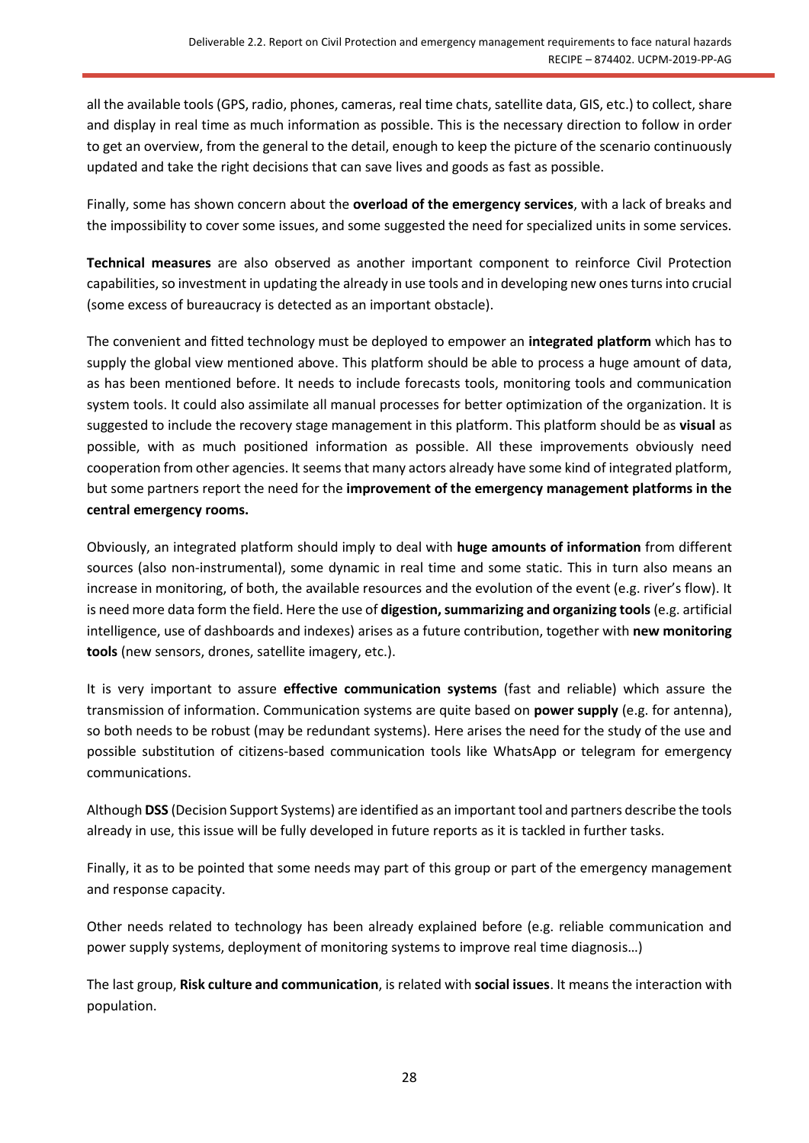all the available tools (GPS, radio, phones, cameras, real time chats, satellite data, GIS, etc.) to collect, share and display in real time as much information as possible. This is the necessary direction to follow in order to get an overview, from the general to the detail, enough to keep the picture of the scenario continuously updated and take the right decisions that can save lives and goods as fast as possible.

Finally, some has shown concern about the **overload of the emergency services**, with a lack of breaks and the impossibility to cover some issues, and some suggested the need for specialized units in some services.

**Technical measures** are also observed as another important component to reinforce Civil Protection capabilities, so investment in updating the already in use tools and in developing new ones turns into crucial (some excess of bureaucracy is detected as an important obstacle).

The convenient and fitted technology must be deployed to empower an **integrated platform** which has to supply the global view mentioned above. This platform should be able to process a huge amount of data, as has been mentioned before. It needs to include forecasts tools, monitoring tools and communication system tools. It could also assimilate all manual processes for better optimization of the organization. It is suggested to include the recovery stage management in this platform. This platform should be as **visual** as possible, with as much positioned information as possible. All these improvements obviously need cooperation from other agencies. It seems that many actors already have some kind of integrated platform, but some partners report the need for the **improvement of the emergency management platforms in the central emergency rooms.**

Obviously, an integrated platform should imply to deal with **huge amounts of information** from different sources (also non-instrumental), some dynamic in real time and some static. This in turn also means an increase in monitoring, of both, the available resources and the evolution of the event (e.g. river's flow). It is need more data form the field. Here the use of **digestion, summarizing and organizing tools** (e.g. artificial intelligence, use of dashboards and indexes) arises as a future contribution, together with **new monitoring tools** (new sensors, drones, satellite imagery, etc.).

It is very important to assure **effective communication systems** (fast and reliable) which assure the transmission of information. Communication systems are quite based on **power supply** (e.g. for antenna), so both needs to be robust (may be redundant systems). Here arises the need for the study of the use and possible substitution of citizens-based communication tools like WhatsApp or telegram for emergency communications.

Although **DSS** (Decision Support Systems) are identified as an important tool and partners describe the tools already in use, this issue will be fully developed in future reports as it is tackled in further tasks.

Finally, it as to be pointed that some needs may part of this group or part of the emergency management and response capacity.

Other needs related to technology has been already explained before (e.g. reliable communication and power supply systems, deployment of monitoring systems to improve real time diagnosis…)

The last group, **Risk culture and communication**, is related with **social issues**. It means the interaction with population.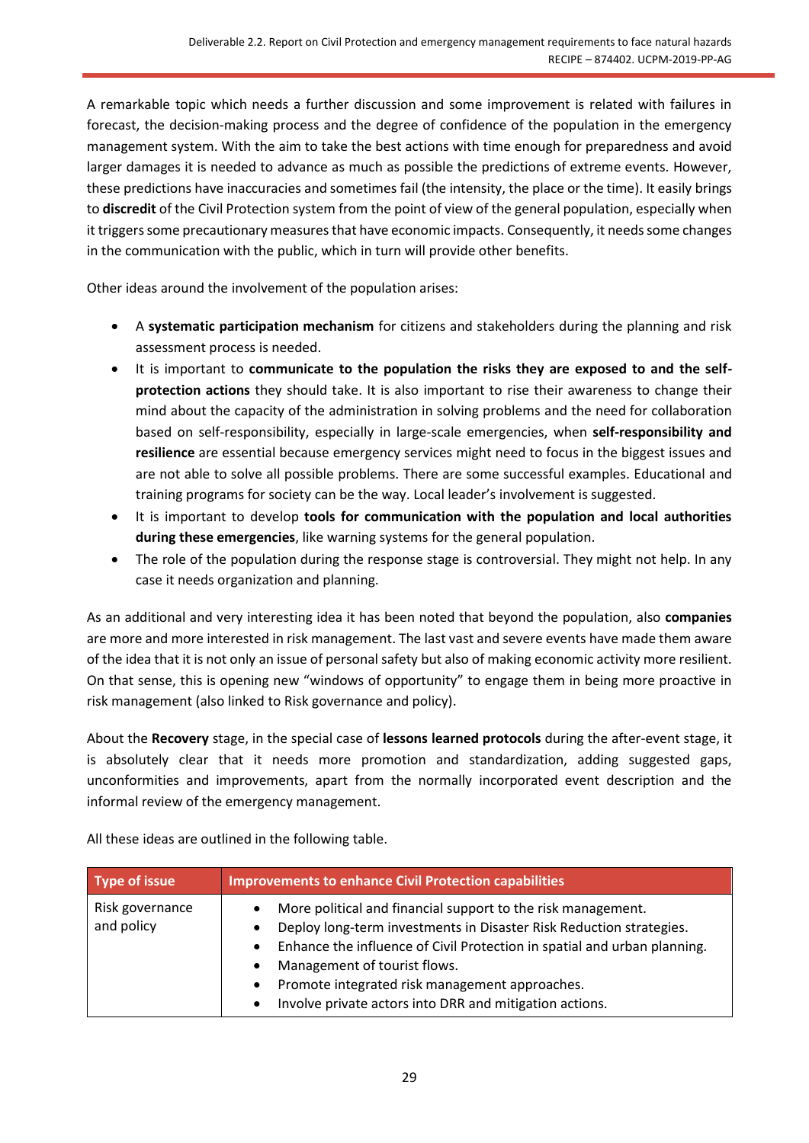A remarkable topic which needs a further discussion and some improvement is related with failures in forecast, the decision-making process and the degree of confidence of the population in the emergency management system. With the aim to take the best actions with time enough for preparedness and avoid larger damages it is needed to advance as much as possible the predictions of extreme events. However, these predictions have inaccuracies and sometimes fail (the intensity, the place or the time). It easily brings to **discredit** of the Civil Protection system from the point of view of the general population, especially when it triggers some precautionary measures that have economic impacts. Consequently, it needs some changes in the communication with the public, which in turn will provide other benefits.

Other ideas around the involvement of the population arises:

- A **systematic participation mechanism** for citizens and stakeholders during the planning and risk assessment process is needed.
- It is important to **communicate to the population the risks they are exposed to and the selfprotection actions** they should take. It is also important to rise their awareness to change their mind about the capacity of the administration in solving problems and the need for collaboration based on self-responsibility, especially in large-scale emergencies, when **self-responsibility and resilience** are essential because emergency services might need to focus in the biggest issues and are not able to solve all possible problems. There are some successful examples. Educational and training programs for society can be the way. Local leader's involvement is suggested.
- It is important to develop **tools for communication with the population and local authorities during these emergencies**, like warning systems for the general population.
- The role of the population during the response stage is controversial. They might not help. In any case it needs organization and planning.

As an additional and very interesting idea it has been noted that beyond the population, also **companies** are more and more interested in risk management. The last vast and severe events have made them aware of the idea that it is not only an issue of personal safety but also of making economic activity more resilient. On that sense, this is opening new "windows of opportunity" to engage them in being more proactive in risk management (also linked to Risk governance and policy).

About the **Recovery** stage, in the special case of **lessons learned protocols** during the after-event stage, it is absolutely clear that it needs more promotion and standardization, adding suggested gaps, unconformities and improvements, apart from the normally incorporated event description and the informal review of the emergency management.

All these ideas are outlined in the following table.

| Type of issue                 | <b>Improvements to enhance Civil Protection capabilities</b>                                                                                                                                                                                                                                                                                                                                                               |
|-------------------------------|----------------------------------------------------------------------------------------------------------------------------------------------------------------------------------------------------------------------------------------------------------------------------------------------------------------------------------------------------------------------------------------------------------------------------|
| Risk governance<br>and policy | More political and financial support to the risk management.<br>$\bullet$<br>Deploy long-term investments in Disaster Risk Reduction strategies.<br>٠<br>Enhance the influence of Civil Protection in spatial and urban planning.<br>$\bullet$<br>Management of tourist flows.<br>٠<br>Promote integrated risk management approaches.<br>$\bullet$<br>Involve private actors into DRR and mitigation actions.<br>$\bullet$ |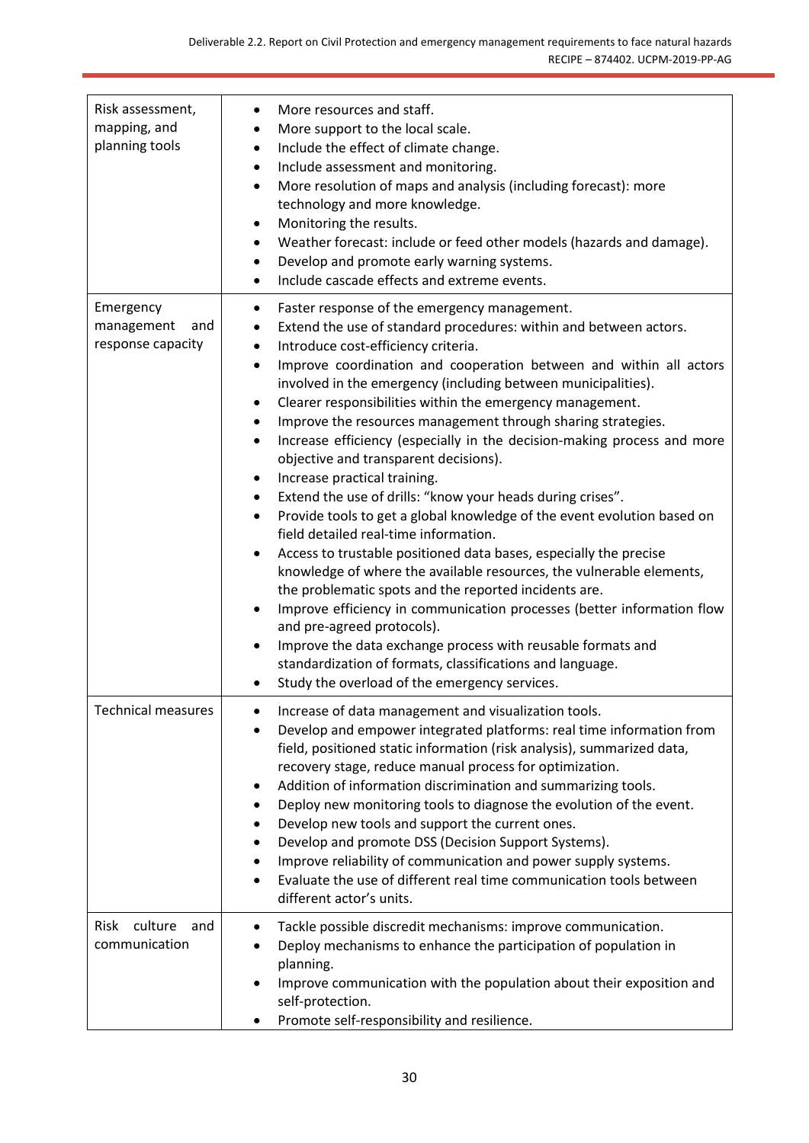| Risk assessment,<br>mapping, and<br>planning tools  | More resources and staff.<br>More support to the local scale.<br>$\bullet$<br>Include the effect of climate change.<br>$\bullet$<br>Include assessment and monitoring.<br>$\bullet$<br>More resolution of maps and analysis (including forecast): more<br>$\bullet$<br>technology and more knowledge.<br>Monitoring the results.<br>٠<br>Weather forecast: include or feed other models (hazards and damage).<br>Develop and promote early warning systems.<br>$\bullet$<br>Include cascade effects and extreme events.<br>$\bullet$                                                                                                                                                                                                                                                                                                                                                                                                                                                                                                                                                                                                                                                                                                                                                                                                                                                              |
|-----------------------------------------------------|---------------------------------------------------------------------------------------------------------------------------------------------------------------------------------------------------------------------------------------------------------------------------------------------------------------------------------------------------------------------------------------------------------------------------------------------------------------------------------------------------------------------------------------------------------------------------------------------------------------------------------------------------------------------------------------------------------------------------------------------------------------------------------------------------------------------------------------------------------------------------------------------------------------------------------------------------------------------------------------------------------------------------------------------------------------------------------------------------------------------------------------------------------------------------------------------------------------------------------------------------------------------------------------------------------------------------------------------------------------------------------------------------|
| Emergency<br>management<br>and<br>response capacity | Faster response of the emergency management.<br>٠<br>Extend the use of standard procedures: within and between actors.<br>٠<br>Introduce cost-efficiency criteria.<br>$\bullet$<br>Improve coordination and cooperation between and within all actors<br>$\bullet$<br>involved in the emergency (including between municipalities).<br>Clearer responsibilities within the emergency management.<br>٠<br>Improve the resources management through sharing strategies.<br>$\bullet$<br>Increase efficiency (especially in the decision-making process and more<br>$\bullet$<br>objective and transparent decisions).<br>Increase practical training.<br>$\bullet$<br>Extend the use of drills: "know your heads during crises".<br>$\bullet$<br>Provide tools to get a global knowledge of the event evolution based on<br>$\bullet$<br>field detailed real-time information.<br>Access to trustable positioned data bases, especially the precise<br>$\bullet$<br>knowledge of where the available resources, the vulnerable elements,<br>the problematic spots and the reported incidents are.<br>Improve efficiency in communication processes (better information flow<br>$\bullet$<br>and pre-agreed protocols).<br>Improve the data exchange process with reusable formats and<br>standardization of formats, classifications and language.<br>Study the overload of the emergency services. |
| <b>Technical measures</b>                           | Increase of data management and visualization tools.<br>Develop and empower integrated platforms: real time information from<br>$\bullet$<br>field, positioned static information (risk analysis), summarized data,<br>recovery stage, reduce manual process for optimization.<br>Addition of information discrimination and summarizing tools.<br>٠<br>Deploy new monitoring tools to diagnose the evolution of the event.<br>٠<br>Develop new tools and support the current ones.<br>Develop and promote DSS (Decision Support Systems).<br>Improve reliability of communication and power supply systems.<br>٠<br>Evaluate the use of different real time communication tools between<br>$\bullet$<br>different actor's units.                                                                                                                                                                                                                                                                                                                                                                                                                                                                                                                                                                                                                                                                 |
| Risk culture<br>and<br>communication                | Tackle possible discredit mechanisms: improve communication.<br>٠<br>Deploy mechanisms to enhance the participation of population in<br>planning.<br>Improve communication with the population about their exposition and<br>$\bullet$<br>self-protection.<br>Promote self-responsibility and resilience.                                                                                                                                                                                                                                                                                                                                                                                                                                                                                                                                                                                                                                                                                                                                                                                                                                                                                                                                                                                                                                                                                         |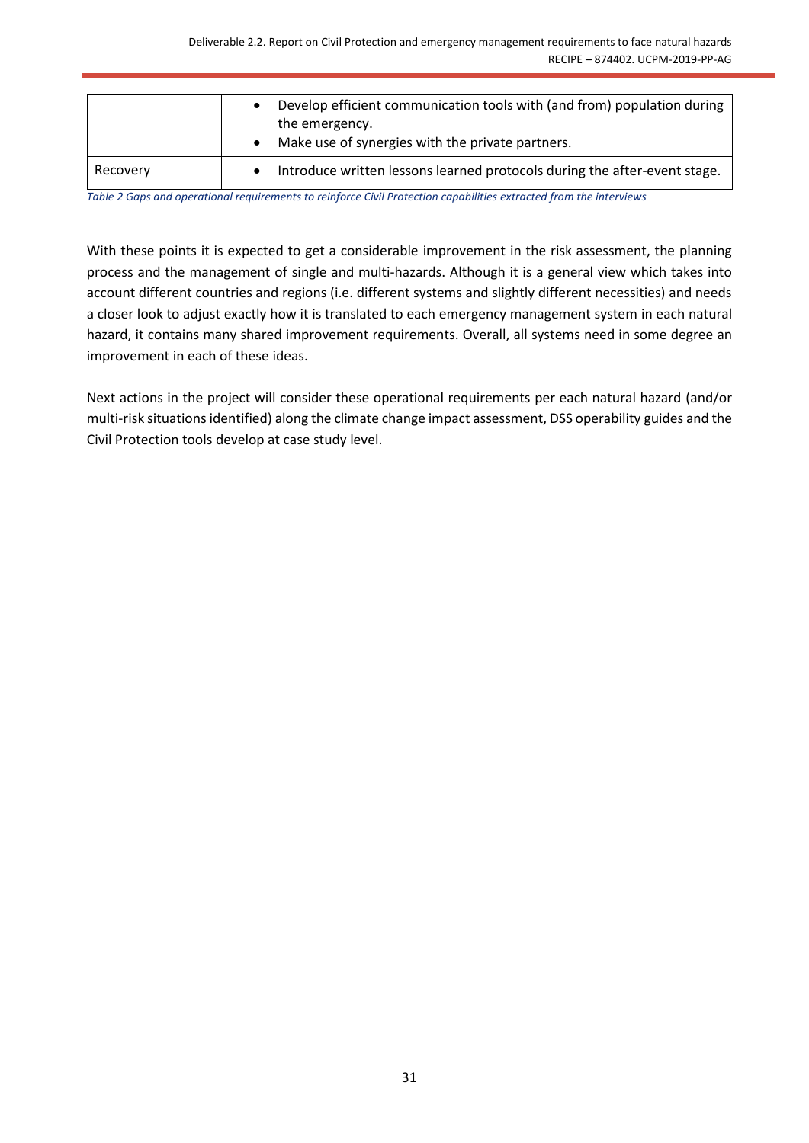|          | Develop efficient communication tools with (and from) population during<br>the emergency.<br>Make use of synergies with the private partners. |
|----------|-----------------------------------------------------------------------------------------------------------------------------------------------|
| Recovery | Introduce written lessons learned protocols during the after-event stage.                                                                     |

*Table 2 Gaps and operational requirements to reinforce Civil Protection capabilities extracted from the interviews*

With these points it is expected to get a considerable improvement in the risk assessment, the planning process and the management of single and multi-hazards. Although it is a general view which takes into account different countries and regions (i.e. different systems and slightly different necessities) and needs a closer look to adjust exactly how it is translated to each emergency management system in each natural hazard, it contains many shared improvement requirements. Overall, all systems need in some degree an improvement in each of these ideas.

Next actions in the project will consider these operational requirements per each natural hazard (and/or multi-risk situations identified) along the climate change impact assessment, DSS operability guides and the Civil Protection tools develop at case study level.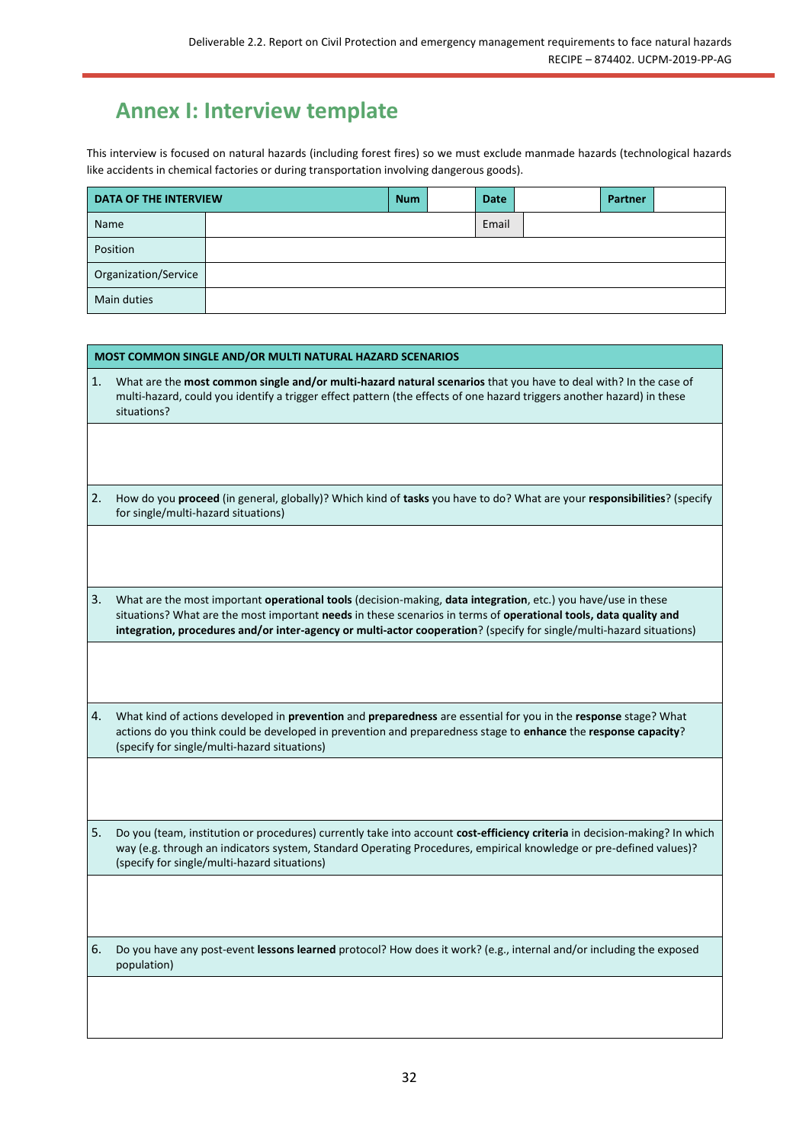# <span id="page-31-0"></span>**Annex I: Interview template**

This interview is focused on natural hazards (including forest fires) so we must exclude manmade hazards (technological hazards like accidents in chemical factories or during transportation involving dangerous goods).

| DATA OF THE INTERVIEW |  | <b>Num</b> | Date  | Partner |  |
|-----------------------|--|------------|-------|---------|--|
| Name                  |  |            | Email |         |  |
| Position              |  |            |       |         |  |
| Organization/Service  |  |            |       |         |  |
| Main duties           |  |            |       |         |  |

|    | <b>MOST COMMON SINGLE AND/OR MULTI NATURAL HAZARD SCENARIOS</b>                                                                                                                                                                                                                                                                                           |  |  |  |
|----|-----------------------------------------------------------------------------------------------------------------------------------------------------------------------------------------------------------------------------------------------------------------------------------------------------------------------------------------------------------|--|--|--|
| 1. | What are the most common single and/or multi-hazard natural scenarios that you have to deal with? In the case of<br>multi-hazard, could you identify a trigger effect pattern (the effects of one hazard triggers another hazard) in these<br>situations?                                                                                                 |  |  |  |
|    |                                                                                                                                                                                                                                                                                                                                                           |  |  |  |
| 2. | How do you proceed (in general, globally)? Which kind of tasks you have to do? What are your responsibilities? (specify<br>for single/multi-hazard situations)                                                                                                                                                                                            |  |  |  |
|    |                                                                                                                                                                                                                                                                                                                                                           |  |  |  |
| 3. | What are the most important operational tools (decision-making, data integration, etc.) you have/use in these<br>situations? What are the most important needs in these scenarios in terms of operational tools, data quality and<br>integration, procedures and/or inter-agency or multi-actor cooperation? (specify for single/multi-hazard situations) |  |  |  |
| 4. | What kind of actions developed in prevention and preparedness are essential for you in the response stage? What<br>actions do you think could be developed in prevention and preparedness stage to enhance the response capacity?<br>(specify for single/multi-hazard situations)                                                                         |  |  |  |
|    |                                                                                                                                                                                                                                                                                                                                                           |  |  |  |
| 5. | Do you (team, institution or procedures) currently take into account cost-efficiency criteria in decision-making? In which<br>way (e.g. through an indicators system, Standard Operating Procedures, empirical knowledge or pre-defined values)?<br>(specify for single/multi-hazard situations)                                                          |  |  |  |
|    |                                                                                                                                                                                                                                                                                                                                                           |  |  |  |
| 6. | Do you have any post-event lessons learned protocol? How does it work? (e.g., internal and/or including the exposed<br>population)                                                                                                                                                                                                                        |  |  |  |
|    |                                                                                                                                                                                                                                                                                                                                                           |  |  |  |
|    |                                                                                                                                                                                                                                                                                                                                                           |  |  |  |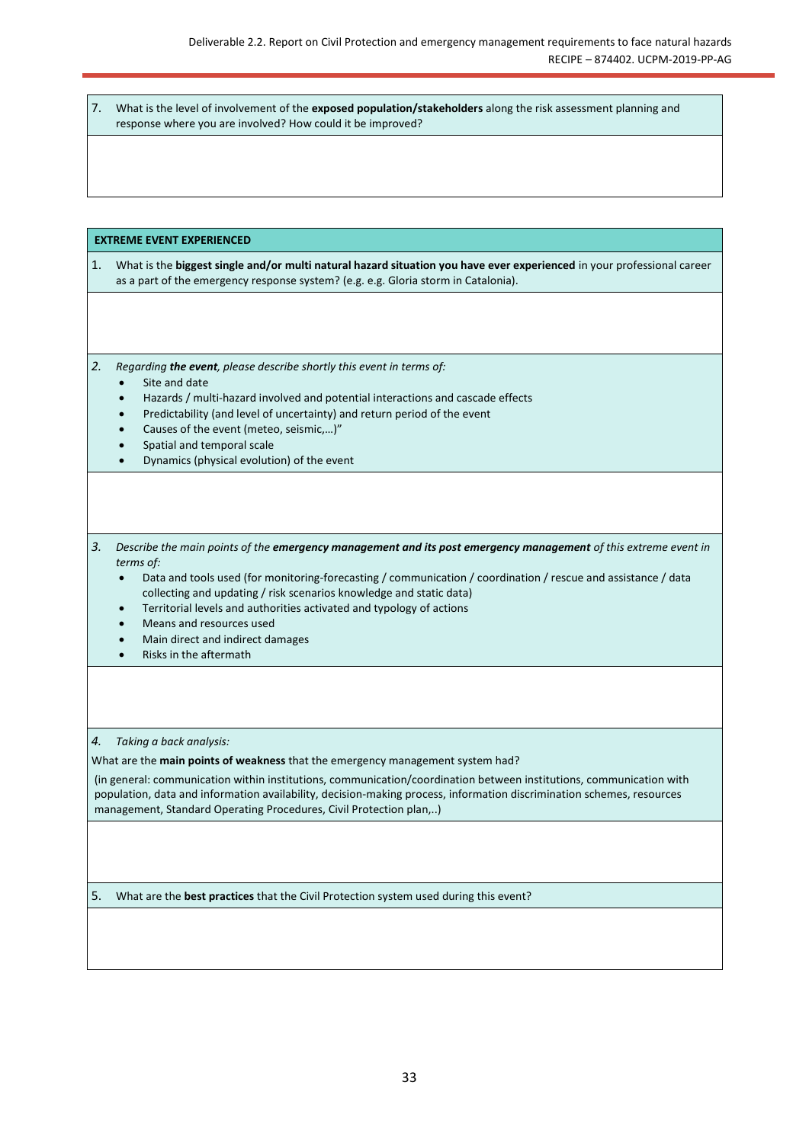| What is the level of involvement of the exposed population/stakeholders along the risk assessment planning and |
|----------------------------------------------------------------------------------------------------------------|
| response where you are involved? How could it be improved?                                                     |

#### **EXTREME EVENT EXPERIENCED**

| 1. What is the biggest single and/or multi natural hazard situation you have ever experienced in your professional career |
|---------------------------------------------------------------------------------------------------------------------------|
| as a part of the emergency response system? (e.g. e.g. Gloria storm in Catalonia).                                        |

*2. Regarding the event, please describe shortly this event in terms of:* 

- Site and date
- Hazards / multi-hazard involved and potential interactions and cascade effects
- Predictability (and level of uncertainty) and return period of the event
- Causes of the event (meteo, seismic,…)"
- Spatial and temporal scale
- Dynamics (physical evolution) of the event

*3. Describe the main points of the emergency management and its post emergency management of this extreme event in terms of:* 

- Data and tools used (for monitoring-forecasting / communication / coordination / rescue and assistance / data collecting and updating / risk scenarios knowledge and static data)
- Territorial levels and authorities activated and typology of actions
- Means and resources used
- Main direct and indirect damages
- Risks in the aftermath

#### *4. Taking a back analysis:*

What are the **main points of weakness** that the emergency management system had?

(in general: communication within institutions, communication/coordination between institutions, communication with population, data and information availability, decision-making process, information discrimination schemes, resources management, Standard Operating Procedures, Civil Protection plan,..)

5. What are the **best practices** that the Civil Protection system used during this event?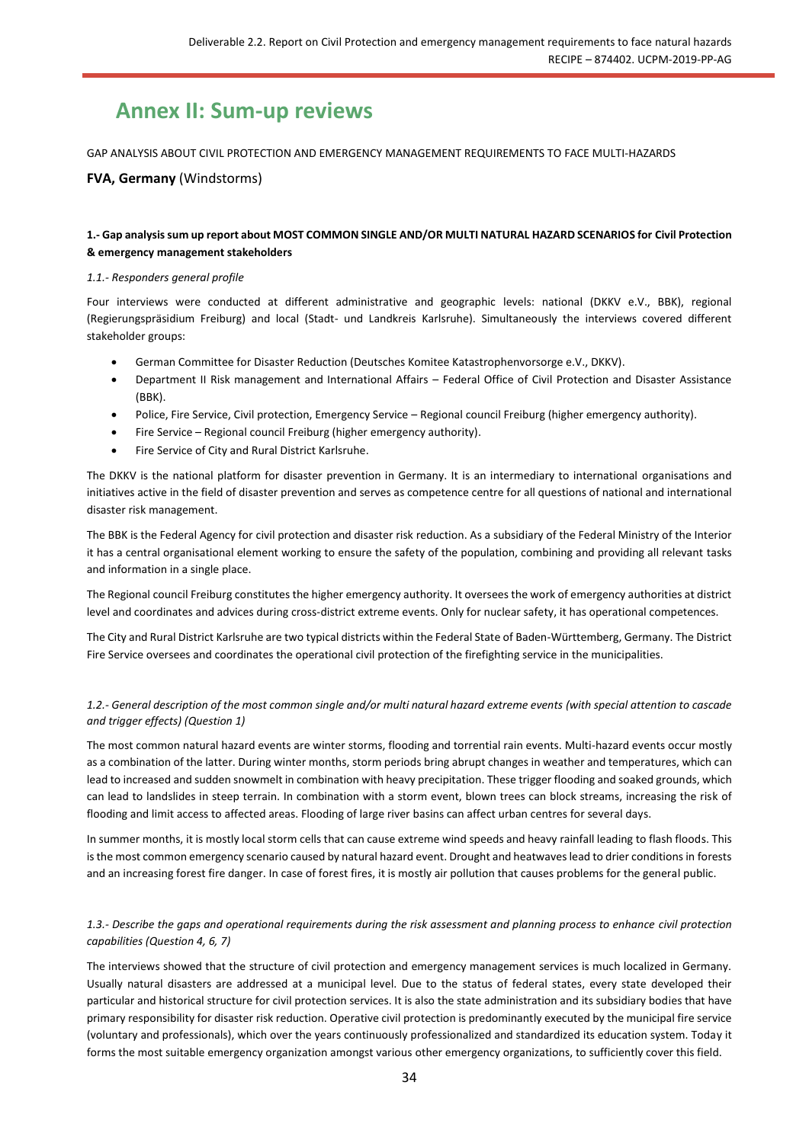# <span id="page-33-0"></span>**Annex II: Sum-up reviews**

GAP ANALYSIS ABOUT CIVIL PROTECTION AND EMERGENCY MANAGEMENT REQUIREMENTS TO FACE MULTI-HAZARDS

## **FVA, Germany** (Windstorms)

#### **1.- Gap analysis sum up report about MOST COMMON SINGLE AND/OR MULTI NATURAL HAZARD SCENARIOS for Civil Protection & emergency management stakeholders**

#### *1.1.- Responders general profile*

Four interviews were conducted at different administrative and geographic levels: national (DKKV e.V., BBK), regional (Regierungspräsidium Freiburg) and local (Stadt- und Landkreis Karlsruhe). Simultaneously the interviews covered different stakeholder groups:

- German Committee for Disaster Reduction (Deutsches Komitee Katastrophenvorsorge e.V., DKKV).
- Department II Risk management and International Affairs Federal Office of Civil Protection and Disaster Assistance (BBK).
- Police, Fire Service, Civil protection, Emergency Service Regional council Freiburg (higher emergency authority).
- Fire Service Regional council Freiburg (higher emergency authority).
- Fire Service of City and Rural District Karlsruhe.

The DKKV is the national platform for disaster prevention in Germany. It is an intermediary to international organisations and initiatives active in the field of disaster prevention and serves as competence centre for all questions of national and international disaster risk management.

The BBK is the Federal Agency for civil protection and disaster risk reduction. As a subsidiary of the Federal Ministry of the Interior it has a central organisational element working to ensure the safety of the population, combining and providing all relevant tasks and information in a single place.

The Regional council Freiburg constitutes the higher emergency authority. It oversees the work of emergency authorities at district level and coordinates and advices during cross-district extreme events. Only for nuclear safety, it has operational competences.

The City and Rural District Karlsruhe are two typical districts within the Federal State of Baden-Württemberg, Germany. The District Fire Service oversees and coordinates the operational civil protection of the firefighting service in the municipalities.

## *1.2.- General description of the most common single and/or multi natural hazard extreme events (with special attention to cascade and trigger effects) (Question 1)*

The most common natural hazard events are winter storms, flooding and torrential rain events. Multi-hazard events occur mostly as a combination of the latter. During winter months, storm periods bring abrupt changes in weather and temperatures, which can lead to increased and sudden snowmelt in combination with heavy precipitation. These trigger flooding and soaked grounds, which can lead to landslides in steep terrain. In combination with a storm event, blown trees can block streams, increasing the risk of flooding and limit access to affected areas. Flooding of large river basins can affect urban centres for several days.

In summer months, it is mostly local storm cells that can cause extreme wind speeds and heavy rainfall leading to flash floods. This is the most common emergency scenario caused by natural hazard event. Drought and heatwaves lead to drier conditions in forests and an increasing forest fire danger. In case of forest fires, it is mostly air pollution that causes problems for the general public.

#### *1.3.- Describe the gaps and operational requirements during the risk assessment and planning process to enhance civil protection capabilities (Question 4, 6, 7)*

The interviews showed that the structure of civil protection and emergency management services is much localized in Germany. Usually natural disasters are addressed at a municipal level. Due to the status of federal states, every state developed their particular and historical structure for civil protection services. It is also the state administration and its subsidiary bodies that have primary responsibility for disaster risk reduction. Operative civil protection is predominantly executed by the municipal fire service (voluntary and professionals), which over the years continuously professionalized and standardized its education system. Today it forms the most suitable emergency organization amongst various other emergency organizations, to sufficiently cover this field.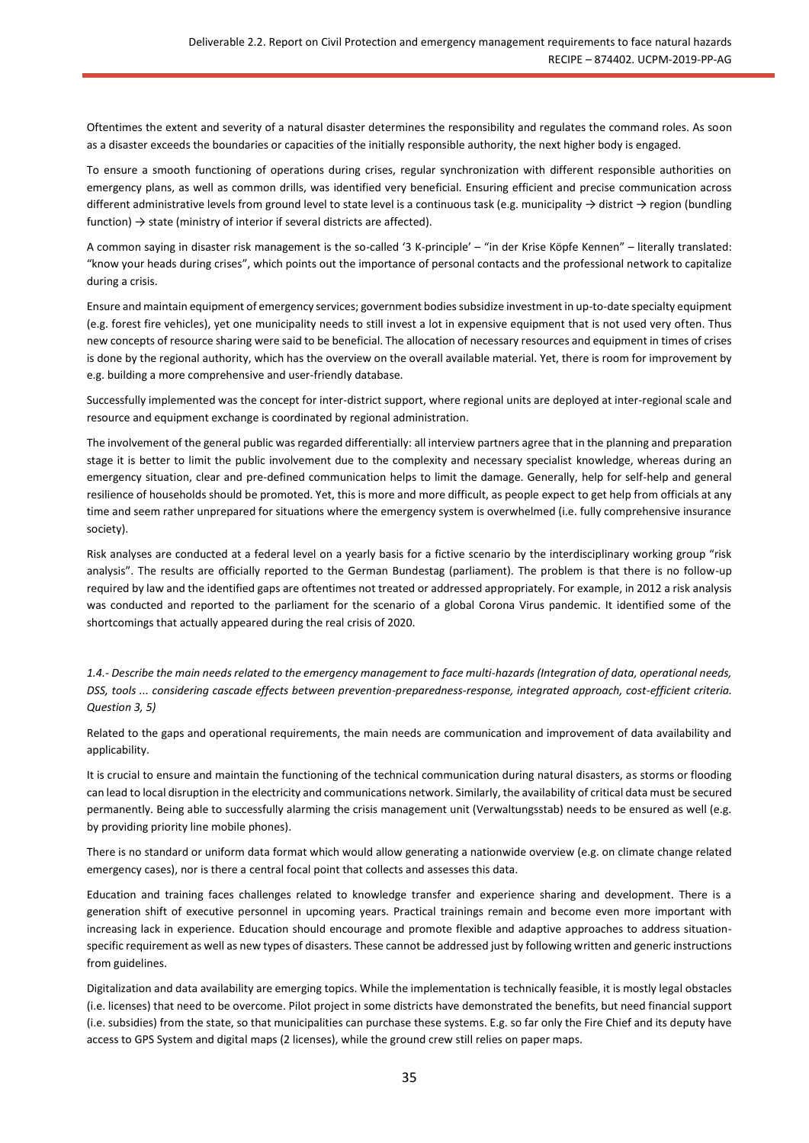Oftentimes the extent and severity of a natural disaster determines the responsibility and regulates the command roles. As soon as a disaster exceeds the boundaries or capacities of the initially responsible authority, the next higher body is engaged.

To ensure a smooth functioning of operations during crises, regular synchronization with different responsible authorities on emergency plans, as well as common drills, was identified very beneficial. Ensuring efficient and precise communication across different administrative levels from ground level to state level is a continuous task (e.g. municipality  $\rightarrow$  district  $\rightarrow$  region (bundling function)  $\rightarrow$  state (ministry of interior if several districts are affected).

A common saying in disaster risk management is the so-called '3 K-principle' – "in der Krise Köpfe Kennen" – literally translated: "know your heads during crises", which points out the importance of personal contacts and the professional network to capitalize during a crisis.

Ensure and maintain equipment of emergency services; government bodies subsidize investment in up-to-date specialty equipment (e.g. forest fire vehicles), yet one municipality needs to still invest a lot in expensive equipment that is not used very often. Thus new concepts of resource sharing were said to be beneficial. The allocation of necessary resources and equipment in times of crises is done by the regional authority, which has the overview on the overall available material. Yet, there is room for improvement by e.g. building a more comprehensive and user-friendly database.

Successfully implemented was the concept for inter-district support, where regional units are deployed at inter-regional scale and resource and equipment exchange is coordinated by regional administration.

The involvement of the general public was regarded differentially: all interview partners agree that in the planning and preparation stage it is better to limit the public involvement due to the complexity and necessary specialist knowledge, whereas during an emergency situation, clear and pre-defined communication helps to limit the damage. Generally, help for self-help and general resilience of households should be promoted. Yet, this is more and more difficult, as people expect to get help from officials at any time and seem rather unprepared for situations where the emergency system is overwhelmed (i.e. fully comprehensive insurance society).

Risk analyses are conducted at a federal level on a yearly basis for a fictive scenario by the interdisciplinary working group "risk analysis". The results are officially reported to the German Bundestag (parliament). The problem is that there is no follow-up required by law and the identified gaps are oftentimes not treated or addressed appropriately. For example, in 2012 a risk analysis was conducted and reported to the parliament for the scenario of a global Corona Virus pandemic. It identified some of the shortcomings that actually appeared during the real crisis of 2020.

*1.4.- Describe the main needs related to the emergency management to face multi-hazards (Integration of data, operational needs, DSS, tools ... considering cascade effects between prevention-preparedness-response, integrated approach, cost-efficient criteria. Question 3, 5)*

Related to the gaps and operational requirements, the main needs are communication and improvement of data availability and applicability.

It is crucial to ensure and maintain the functioning of the technical communication during natural disasters, as storms or flooding can lead to local disruption in the electricity and communications network. Similarly, the availability of critical data must be secured permanently. Being able to successfully alarming the crisis management unit (Verwaltungsstab) needs to be ensured as well (e.g. by providing priority line mobile phones).

There is no standard or uniform data format which would allow generating a nationwide overview (e.g. on climate change related emergency cases), nor is there a central focal point that collects and assesses this data.

Education and training faces challenges related to knowledge transfer and experience sharing and development. There is a generation shift of executive personnel in upcoming years. Practical trainings remain and become even more important with increasing lack in experience. Education should encourage and promote flexible and adaptive approaches to address situationspecific requirement as well as new types of disasters. These cannot be addressed just by following written and generic instructions from guidelines.

Digitalization and data availability are emerging topics. While the implementation is technically feasible, it is mostly legal obstacles (i.e. licenses) that need to be overcome. Pilot project in some districts have demonstrated the benefits, but need financial support (i.e. subsidies) from the state, so that municipalities can purchase these systems. E.g. so far only the Fire Chief and its deputy have access to GPS System and digital maps (2 licenses), while the ground crew still relies on paper maps.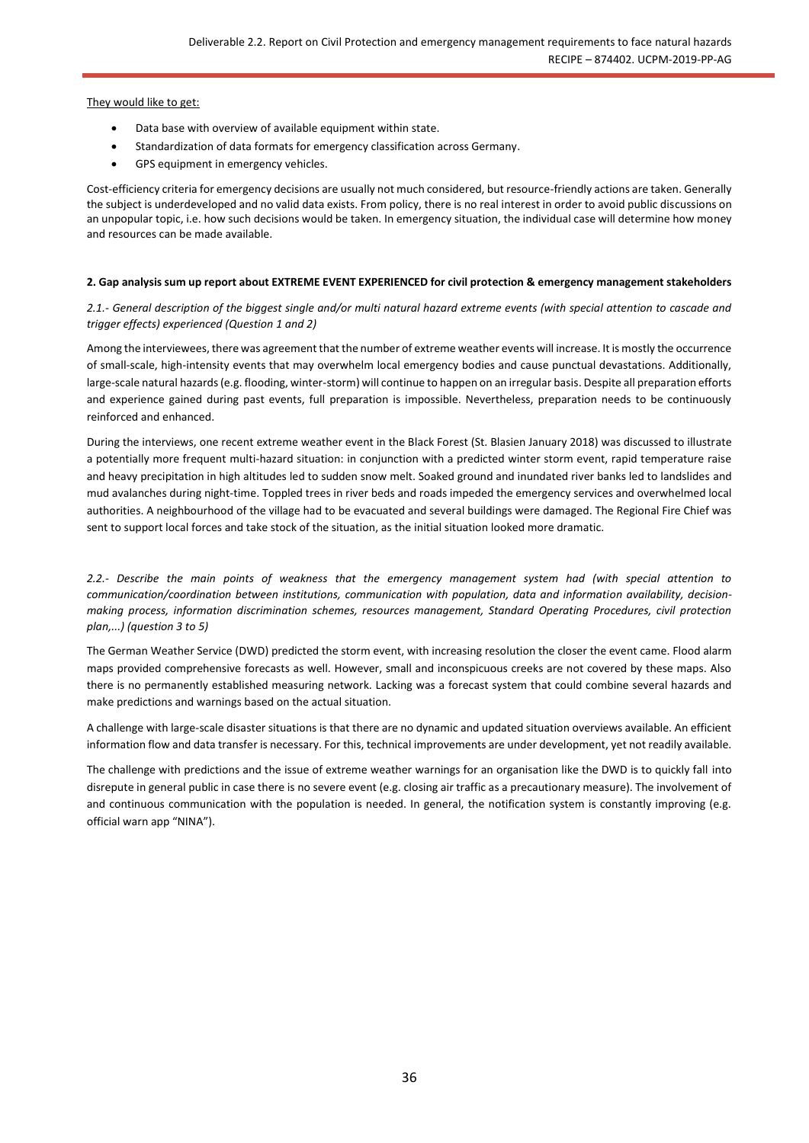They would like to get:

- Data base with overview of available equipment within state.
- Standardization of data formats for emergency classification across Germany.
- GPS equipment in emergency vehicles.

Cost-efficiency criteria for emergency decisions are usually not much considered, but resource-friendly actions are taken. Generally the subject is underdeveloped and no valid data exists. From policy, there is no real interest in order to avoid public discussions on an unpopular topic, i.e. how such decisions would be taken. In emergency situation, the individual case will determine how money and resources can be made available.

#### **2. Gap analysis sum up report about EXTREME EVENT EXPERIENCED for civil protection & emergency management stakeholders**

*2.1.- General description of the biggest single and/or multi natural hazard extreme events (with special attention to cascade and trigger effects) experienced (Question 1 and 2)*

Among the interviewees, there was agreement that the number of extreme weather events will increase. It is mostly the occurrence of small-scale, high-intensity events that may overwhelm local emergency bodies and cause punctual devastations. Additionally, large-scale natural hazards (e.g. flooding, winter-storm) will continue to happen on an irregular basis. Despite all preparation efforts and experience gained during past events, full preparation is impossible. Nevertheless, preparation needs to be continuously reinforced and enhanced.

During the interviews, one recent extreme weather event in the Black Forest (St. Blasien January 2018) was discussed to illustrate a potentially more frequent multi-hazard situation: in conjunction with a predicted winter storm event, rapid temperature raise and heavy precipitation in high altitudes led to sudden snow melt. Soaked ground and inundated river banks led to landslides and mud avalanches during night-time. Toppled trees in river beds and roads impeded the emergency services and overwhelmed local authorities. A neighbourhood of the village had to be evacuated and several buildings were damaged. The Regional Fire Chief was sent to support local forces and take stock of the situation, as the initial situation looked more dramatic.

*2.2.- Describe the main points of weakness that the emergency management system had (with special attention to communication/coordination between institutions, communication with population, data and information availability, decisionmaking process, information discrimination schemes, resources management, Standard Operating Procedures, civil protection plan,...) (question 3 to 5)*

The German Weather Service (DWD) predicted the storm event, with increasing resolution the closer the event came. Flood alarm maps provided comprehensive forecasts as well. However, small and inconspicuous creeks are not covered by these maps. Also there is no permanently established measuring network. Lacking was a forecast system that could combine several hazards and make predictions and warnings based on the actual situation.

A challenge with large-scale disaster situations is that there are no dynamic and updated situation overviews available. An efficient information flow and data transfer is necessary. For this, technical improvements are under development, yet not readily available.

The challenge with predictions and the issue of extreme weather warnings for an organisation like the DWD is to quickly fall into disrepute in general public in case there is no severe event (e.g. closing air traffic as a precautionary measure). The involvement of and continuous communication with the population is needed. In general, the notification system is constantly improving (e.g. official warn app "NINA").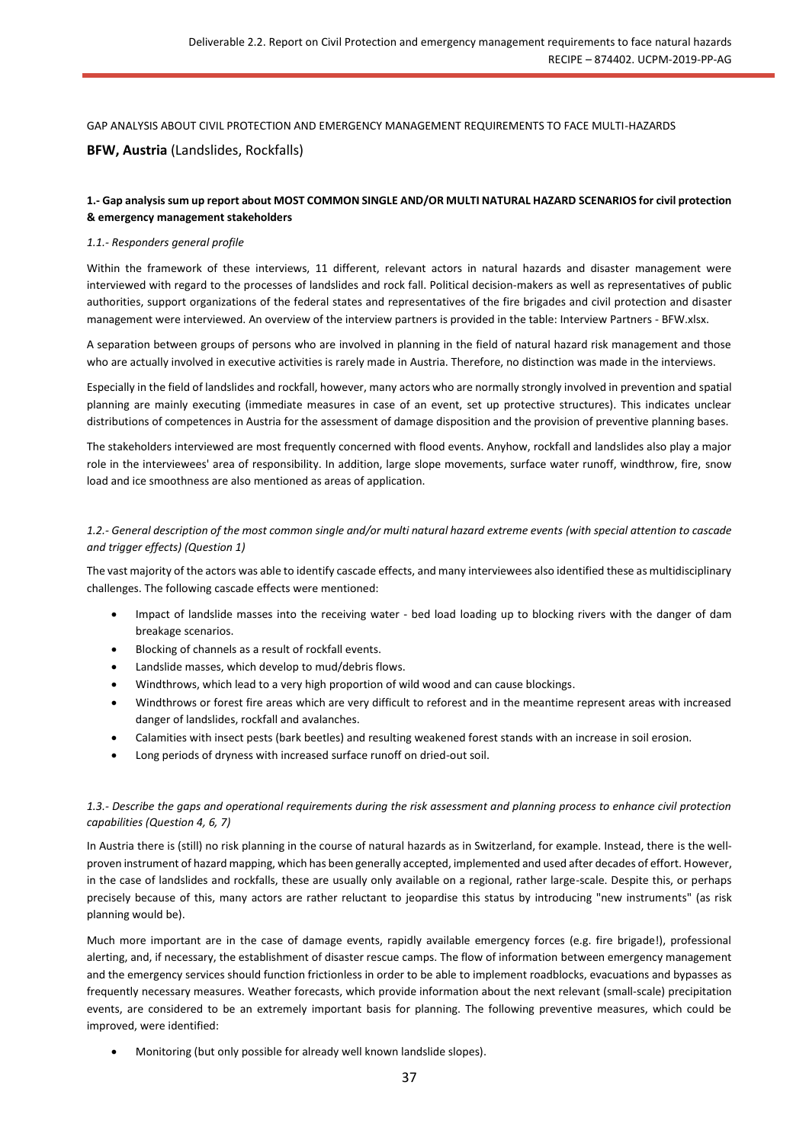GAP ANALYSIS ABOUT CIVIL PROTECTION AND EMERGENCY MANAGEMENT REQUIREMENTS TO FACE MULTI-HAZARDS

## **BFW, Austria** (Landslides, Rockfalls)

## **1.- Gap analysis sum up report about MOST COMMON SINGLE AND/OR MULTI NATURAL HAZARD SCENARIOS for civil protection & emergency management stakeholders**

#### *1.1.- Responders general profile*

Within the framework of these interviews, 11 different, relevant actors in natural hazards and disaster management were interviewed with regard to the processes of landslides and rock fall. Political decision-makers as well as representatives of public authorities, support organizations of the federal states and representatives of the fire brigades and civil protection and disaster management were interviewed. An overview of the interview partners is provided in the table: Interview Partners - BFW.xlsx.

A separation between groups of persons who are involved in planning in the field of natural hazard risk management and those who are actually involved in executive activities is rarely made in Austria. Therefore, no distinction was made in the interviews.

Especially in the field of landslides and rockfall, however, many actors who are normally strongly involved in prevention and spatial planning are mainly executing (immediate measures in case of an event, set up protective structures). This indicates unclear distributions of competences in Austria for the assessment of damage disposition and the provision of preventive planning bases.

The stakeholders interviewed are most frequently concerned with flood events. Anyhow, rockfall and landslides also play a major role in the interviewees' area of responsibility. In addition, large slope movements, surface water runoff, windthrow, fire, snow load and ice smoothness are also mentioned as areas of application.

#### *1.2.- General description of the most common single and/or multi natural hazard extreme events (with special attention to cascade and trigger effects) (Question 1)*

The vast majority of the actors was able to identify cascade effects, and many interviewees also identified these as multidisciplinary challenges. The following cascade effects were mentioned:

- Impact of landslide masses into the receiving water bed load loading up to blocking rivers with the danger of dam breakage scenarios.
- Blocking of channels as a result of rockfall events.
- Landslide masses, which develop to mud/debris flows.
- Windthrows, which lead to a very high proportion of wild wood and can cause blockings.
- Windthrows or forest fire areas which are very difficult to reforest and in the meantime represent areas with increased danger of landslides, rockfall and avalanches.
- Calamities with insect pests (bark beetles) and resulting weakened forest stands with an increase in soil erosion.
- Long periods of dryness with increased surface runoff on dried-out soil.

## *1.3.- Describe the gaps and operational requirements during the risk assessment and planning process to enhance civil protection capabilities (Question 4, 6, 7)*

In Austria there is (still) no risk planning in the course of natural hazards as in Switzerland, for example. Instead, there is the wellproven instrument of hazard mapping, which has been generally accepted, implemented and used after decades of effort. However, in the case of landslides and rockfalls, these are usually only available on a regional, rather large-scale. Despite this, or perhaps precisely because of this, many actors are rather reluctant to jeopardise this status by introducing "new instruments" (as risk planning would be).

Much more important are in the case of damage events, rapidly available emergency forces (e.g. fire brigade!), professional alerting, and, if necessary, the establishment of disaster rescue camps. The flow of information between emergency management and the emergency services should function frictionless in order to be able to implement roadblocks, evacuations and bypasses as frequently necessary measures. Weather forecasts, which provide information about the next relevant (small-scale) precipitation events, are considered to be an extremely important basis for planning. The following preventive measures, which could be improved, were identified:

• Monitoring (but only possible for already well known landslide slopes).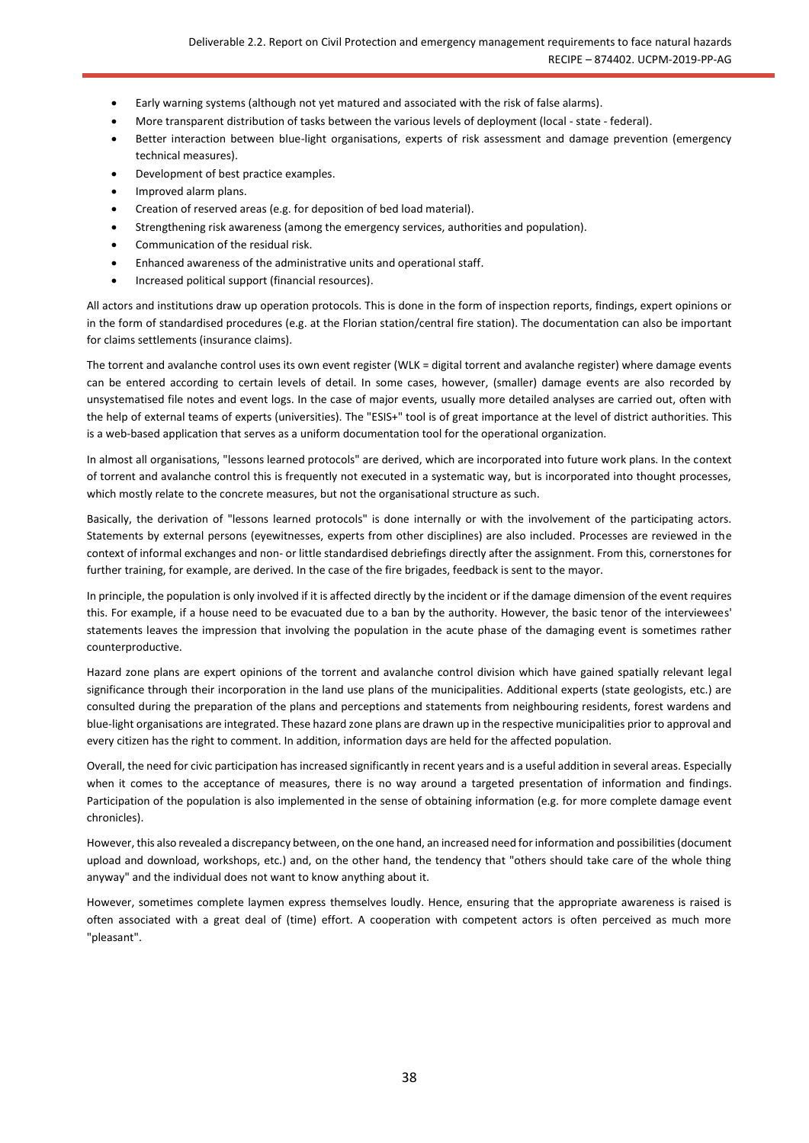- Early warning systems (although not yet matured and associated with the risk of false alarms).
- More transparent distribution of tasks between the various levels of deployment (local state federal).
- Better interaction between blue-light organisations, experts of risk assessment and damage prevention (emergency technical measures).
- Development of best practice examples.
- Improved alarm plans.
- Creation of reserved areas (e.g. for deposition of bed load material).
- Strengthening risk awareness (among the emergency services, authorities and population).
- Communication of the residual risk.
- Enhanced awareness of the administrative units and operational staff.
- Increased political support (financial resources).

All actors and institutions draw up operation protocols. This is done in the form of inspection reports, findings, expert opinions or in the form of standardised procedures (e.g. at the Florian station/central fire station). The documentation can also be important for claims settlements (insurance claims).

The torrent and avalanche control uses its own event register (WLK = digital torrent and avalanche register) where damage events can be entered according to certain levels of detail. In some cases, however, (smaller) damage events are also recorded by unsystematised file notes and event logs. In the case of major events, usually more detailed analyses are carried out, often with the help of external teams of experts (universities). The "ESIS+" tool is of great importance at the level of district authorities. This is a web-based application that serves as a uniform documentation tool for the operational organization.

In almost all organisations, "lessons learned protocols" are derived, which are incorporated into future work plans. In the context of torrent and avalanche control this is frequently not executed in a systematic way, but is incorporated into thought processes, which mostly relate to the concrete measures, but not the organisational structure as such.

Basically, the derivation of "lessons learned protocols" is done internally or with the involvement of the participating actors. Statements by external persons (eyewitnesses, experts from other disciplines) are also included. Processes are reviewed in the context of informal exchanges and non- or little standardised debriefings directly after the assignment. From this, cornerstones for further training, for example, are derived. In the case of the fire brigades, feedback is sent to the mayor.

In principle, the population is only involved if it is affected directly by the incident or if the damage dimension of the event requires this. For example, if a house need to be evacuated due to a ban by the authority. However, the basic tenor of the interviewees' statements leaves the impression that involving the population in the acute phase of the damaging event is sometimes rather counterproductive.

Hazard zone plans are expert opinions of the torrent and avalanche control division which have gained spatially relevant legal significance through their incorporation in the land use plans of the municipalities. Additional experts (state geologists, etc.) are consulted during the preparation of the plans and perceptions and statements from neighbouring residents, forest wardens and blue-light organisations are integrated. These hazard zone plans are drawn up in the respective municipalities prior to approval and every citizen has the right to comment. In addition, information days are held for the affected population.

Overall, the need for civic participation has increased significantly in recent years and is a useful addition in several areas. Especially when it comes to the acceptance of measures, there is no way around a targeted presentation of information and findings. Participation of the population is also implemented in the sense of obtaining information (e.g. for more complete damage event chronicles).

However, this also revealed a discrepancy between, on the one hand, an increased need for information and possibilities (document upload and download, workshops, etc.) and, on the other hand, the tendency that "others should take care of the whole thing anyway" and the individual does not want to know anything about it.

However, sometimes complete laymen express themselves loudly. Hence, ensuring that the appropriate awareness is raised is often associated with a great deal of (time) effort. A cooperation with competent actors is often perceived as much more "pleasant".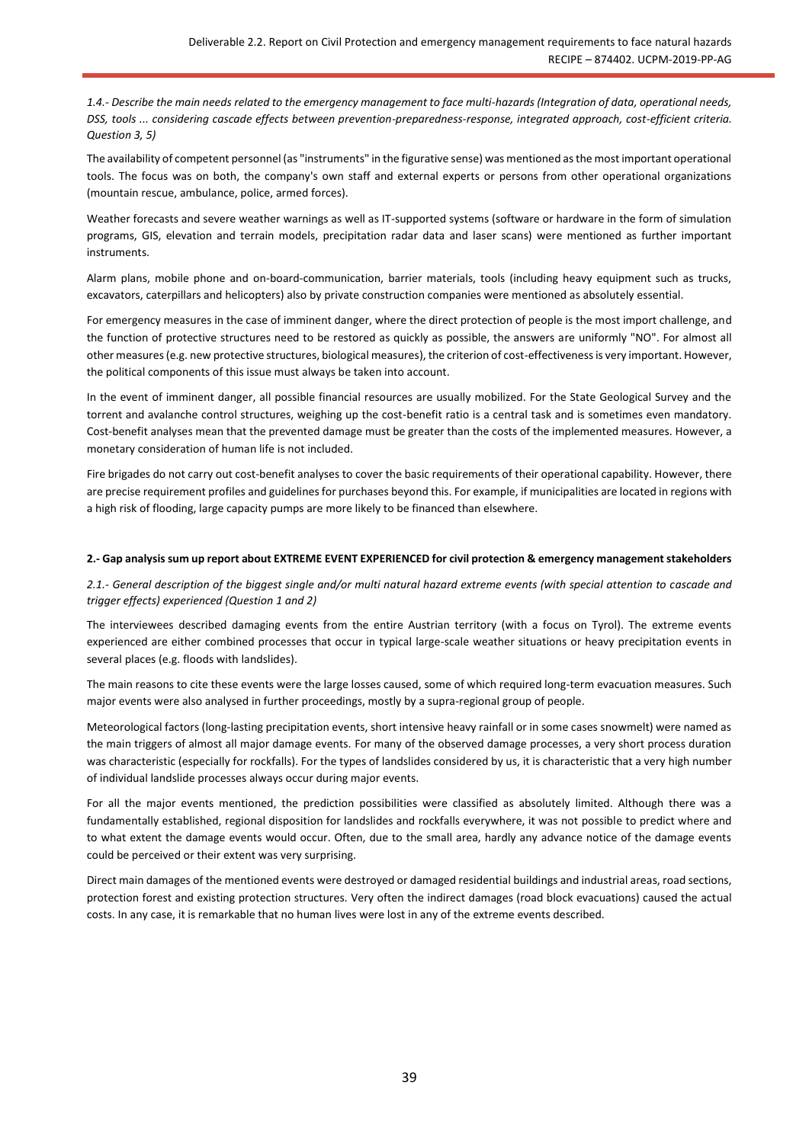*1.4.- Describe the main needs related to the emergency management to face multi-hazards (Integration of data, operational needs, DSS, tools ... considering cascade effects between prevention-preparedness-response, integrated approach, cost-efficient criteria. Question 3, 5)*

The availability of competent personnel (as "instruments" in the figurative sense) was mentioned as the most important operational tools. The focus was on both, the company's own staff and external experts or persons from other operational organizations (mountain rescue, ambulance, police, armed forces).

Weather forecasts and severe weather warnings as well as IT-supported systems (software or hardware in the form of simulation programs, GIS, elevation and terrain models, precipitation radar data and laser scans) were mentioned as further important instruments.

Alarm plans, mobile phone and on-board-communication, barrier materials, tools (including heavy equipment such as trucks, excavators, caterpillars and helicopters) also by private construction companies were mentioned as absolutely essential.

For emergency measures in the case of imminent danger, where the direct protection of people is the most import challenge, and the function of protective structures need to be restored as quickly as possible, the answers are uniformly "NO". For almost all other measures (e.g. new protective structures, biological measures), the criterion of cost-effectiveness is very important. However, the political components of this issue must always be taken into account.

In the event of imminent danger, all possible financial resources are usually mobilized. For the State Geological Survey and the torrent and avalanche control structures, weighing up the cost-benefit ratio is a central task and is sometimes even mandatory. Cost-benefit analyses mean that the prevented damage must be greater than the costs of the implemented measures. However, a monetary consideration of human life is not included.

Fire brigades do not carry out cost-benefit analyses to cover the basic requirements of their operational capability. However, there are precise requirement profiles and guidelines for purchases beyond this. For example, if municipalities are located in regions with a high risk of flooding, large capacity pumps are more likely to be financed than elsewhere.

#### **2.- Gap analysis sum up report about EXTREME EVENT EXPERIENCED for civil protection & emergency management stakeholders**

*2.1.- General description of the biggest single and/or multi natural hazard extreme events (with special attention to cascade and trigger effects) experienced (Question 1 and 2)*

The interviewees described damaging events from the entire Austrian territory (with a focus on Tyrol). The extreme events experienced are either combined processes that occur in typical large-scale weather situations or heavy precipitation events in several places (e.g. floods with landslides).

The main reasons to cite these events were the large losses caused, some of which required long-term evacuation measures. Such major events were also analysed in further proceedings, mostly by a supra-regional group of people.

Meteorological factors (long-lasting precipitation events, short intensive heavy rainfall or in some cases snowmelt) were named as the main triggers of almost all major damage events. For many of the observed damage processes, a very short process duration was characteristic (especially for rockfalls). For the types of landslides considered by us, it is characteristic that a very high number of individual landslide processes always occur during major events.

For all the major events mentioned, the prediction possibilities were classified as absolutely limited. Although there was a fundamentally established, regional disposition for landslides and rockfalls everywhere, it was not possible to predict where and to what extent the damage events would occur. Often, due to the small area, hardly any advance notice of the damage events could be perceived or their extent was very surprising.

Direct main damages of the mentioned events were destroyed or damaged residential buildings and industrial areas, road sections, protection forest and existing protection structures. Very often the indirect damages (road block evacuations) caused the actual costs. In any case, it is remarkable that no human lives were lost in any of the extreme events described.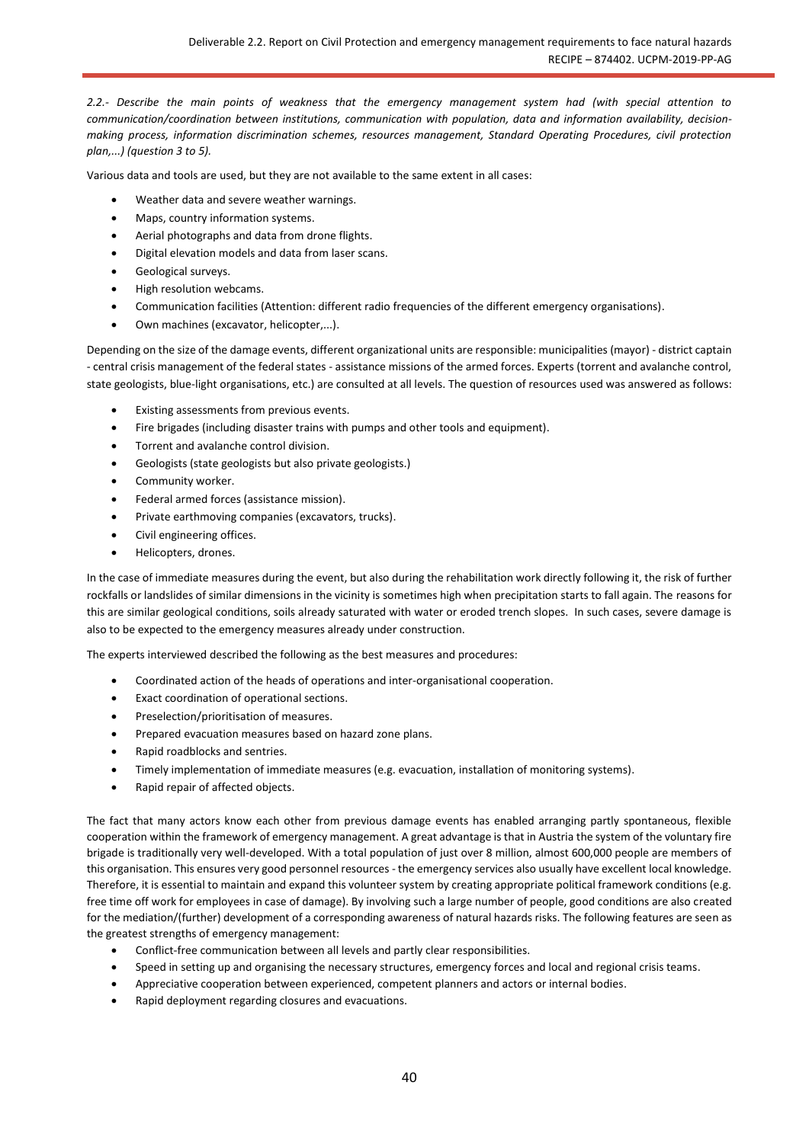*2.2.- Describe the main points of weakness that the emergency management system had (with special attention to communication/coordination between institutions, communication with population, data and information availability, decisionmaking process, information discrimination schemes, resources management, Standard Operating Procedures, civil protection plan,...) (question 3 to 5).*

Various data and tools are used, but they are not available to the same extent in all cases:

- Weather data and severe weather warnings.
- Maps, country information systems.
- Aerial photographs and data from drone flights.
- Digital elevation models and data from laser scans.
- Geological surveys.
- High resolution webcams.
- Communication facilities (Attention: different radio frequencies of the different emergency organisations).
- Own machines (excavator, helicopter,...).

Depending on the size of the damage events, different organizational units are responsible: municipalities (mayor) - district captain - central crisis management of the federal states - assistance missions of the armed forces. Experts (torrent and avalanche control, state geologists, blue-light organisations, etc.) are consulted at all levels. The question of resources used was answered as follows:

- Existing assessments from previous events.
- Fire brigades (including disaster trains with pumps and other tools and equipment).
- Torrent and avalanche control division.
- Geologists (state geologists but also private geologists.)
- Community worker.
- Federal armed forces (assistance mission).
- Private earthmoving companies (excavators, trucks).
- Civil engineering offices.
- Helicopters, drones.

In the case of immediate measures during the event, but also during the rehabilitation work directly following it, the risk of further rockfalls or landslides of similar dimensions in the vicinity is sometimes high when precipitation starts to fall again. The reasons for this are similar geological conditions, soils already saturated with water or eroded trench slopes. In such cases, severe damage is also to be expected to the emergency measures already under construction.

The experts interviewed described the following as the best measures and procedures:

- Coordinated action of the heads of operations and inter-organisational cooperation.
- Exact coordination of operational sections.
- Preselection/prioritisation of measures.
- Prepared evacuation measures based on hazard zone plans.
- Rapid roadblocks and sentries.
- Timely implementation of immediate measures (e.g. evacuation, installation of monitoring systems).
- Rapid repair of affected objects.

The fact that many actors know each other from previous damage events has enabled arranging partly spontaneous, flexible cooperation within the framework of emergency management. A great advantage is that in Austria the system of the voluntary fire brigade is traditionally very well-developed. With a total population of just over 8 million, almost 600,000 people are members of this organisation. This ensures very good personnel resources - the emergency services also usually have excellent local knowledge. Therefore, it is essential to maintain and expand this volunteer system by creating appropriate political framework conditions (e.g. free time off work for employees in case of damage). By involving such a large number of people, good conditions are also created for the mediation/(further) development of a corresponding awareness of natural hazards risks. The following features are seen as the greatest strengths of emergency management:

- Conflict-free communication between all levels and partly clear responsibilities.
- Speed in setting up and organising the necessary structures, emergency forces and local and regional crisis teams.
- Appreciative cooperation between experienced, competent planners and actors or internal bodies.
- Rapid deployment regarding closures and evacuations.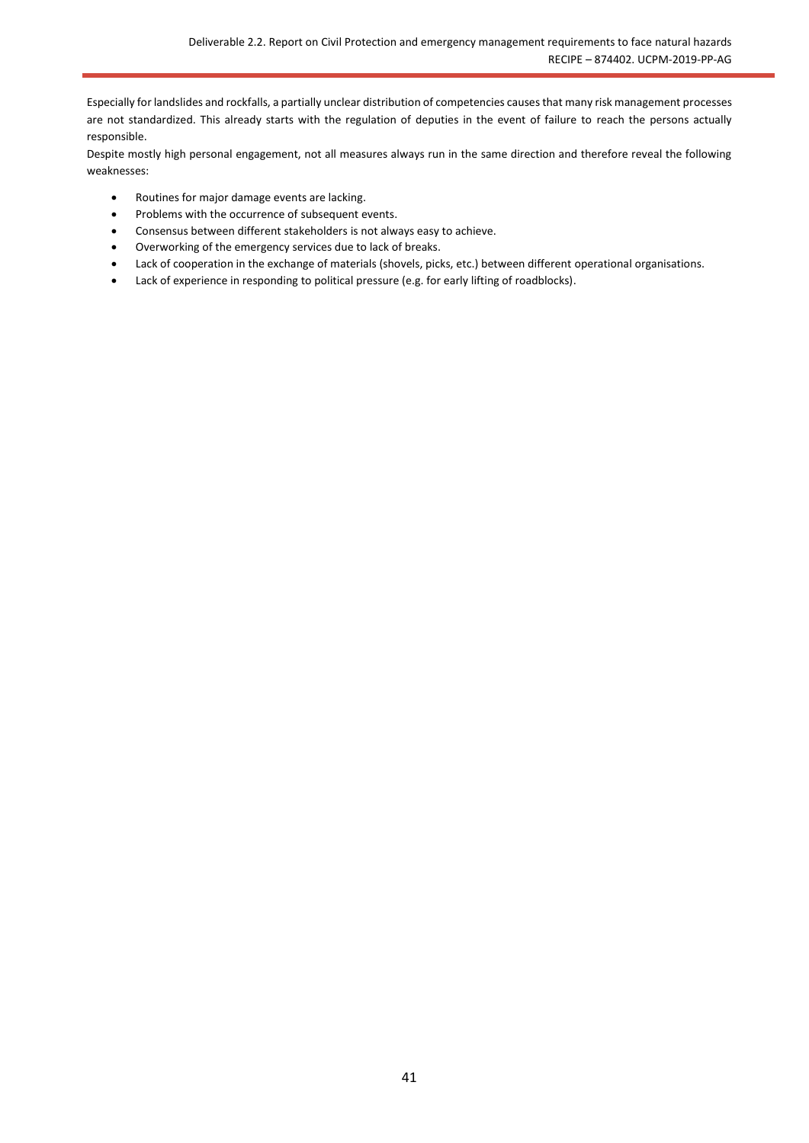Especially for landslides and rockfalls, a partially unclear distribution of competencies causes that many risk management processes are not standardized. This already starts with the regulation of deputies in the event of failure to reach the persons actually responsible.

Despite mostly high personal engagement, not all measures always run in the same direction and therefore reveal the following weaknesses:

- Routines for major damage events are lacking.
- Problems with the occurrence of subsequent events.
- Consensus between different stakeholders is not always easy to achieve.
- Overworking of the emergency services due to lack of breaks.
- Lack of cooperation in the exchange of materials (shovels, picks, etc.) between different operational organisations.
- Lack of experience in responding to political pressure (e.g. for early lifting of roadblocks).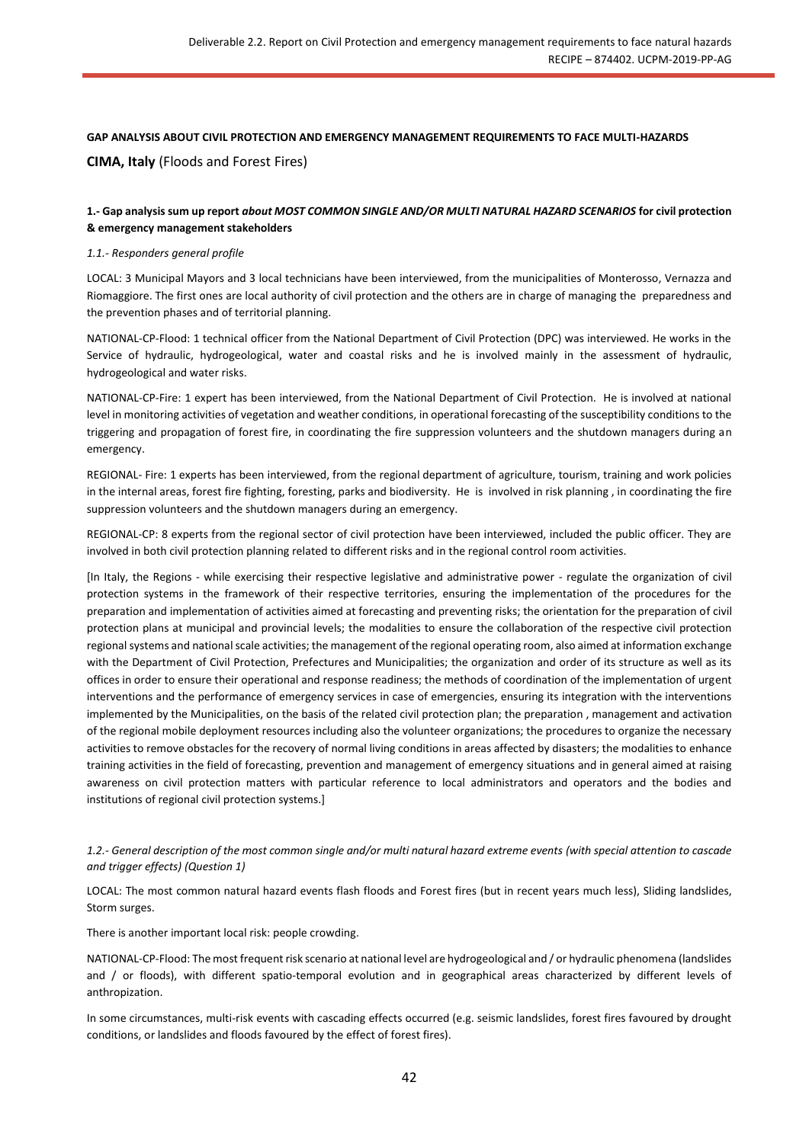## **GAP ANALYSIS ABOUT CIVIL PROTECTION AND EMERGENCY MANAGEMENT REQUIREMENTS TO FACE MULTI-HAZARDS CIMA, Italy** (Floods and Forest Fires)

## **1.- Gap analysis sum up report** *about MOST COMMON SINGLE AND/OR MULTI NATURAL HAZARD SCENARIOS* **for civil protection & emergency management stakeholders**

#### *1.1.- Responders general profile*

LOCAL: 3 Municipal Mayors and 3 local technicians have been interviewed, from the municipalities of Monterosso, Vernazza and Riomaggiore. The first ones are local authority of civil protection and the others are in charge of managing the preparedness and the prevention phases and of territorial planning.

NATIONAL-CP-Flood: 1 technical officer from the National Department of Civil Protection (DPC) was interviewed. He works in the Service of hydraulic, hydrogeological, water and coastal risks and he is involved mainly in the assessment of hydraulic, hydrogeological and water risks.

NATIONAL-CP-Fire: 1 expert has been interviewed, from the National Department of Civil Protection. He is involved at national level in monitoring activities of vegetation and weather conditions, in operational forecasting of the susceptibility conditions to the triggering and propagation of forest fire, in coordinating the fire suppression volunteers and the shutdown managers during an emergency.

REGIONAL- Fire: 1 experts has been interviewed, from the regional department of agriculture, tourism, training and work policies in the internal areas, forest fire fighting, foresting, parks and biodiversity. He is involved in risk planning , in coordinating the fire suppression volunteers and the shutdown managers during an emergency.

REGIONAL-CP: 8 experts from the regional sector of civil protection have been interviewed, included the public officer. They are involved in both civil protection planning related to different risks and in the regional control room activities.

[In Italy, the Regions - while exercising their respective legislative and administrative power - regulate the organization of civil protection systems in the framework of their respective territories, ensuring the implementation of the procedures for the preparation and implementation of activities aimed at forecasting and preventing risks; the orientation for the preparation of civil protection plans at municipal and provincial levels; the modalities to ensure the collaboration of the respective civil protection regional systems and national scale activities; the management of the regional operating room, also aimed at information exchange with the Department of Civil Protection, Prefectures and Municipalities; the organization and order of its structure as well as its offices in order to ensure their operational and response readiness; the methods of coordination of the implementation of urgent interventions and the performance of emergency services in case of emergencies, ensuring its integration with the interventions implemented by the Municipalities, on the basis of the related civil protection plan; the preparation , management and activation of the regional mobile deployment resources including also the volunteer organizations; the procedures to organize the necessary activities to remove obstacles for the recovery of normal living conditions in areas affected by disasters; the modalities to enhance training activities in the field of forecasting, prevention and management of emergency situations and in general aimed at raising awareness on civil protection matters with particular reference to local administrators and operators and the bodies and institutions of regional civil protection systems.]

### *1.2.- General description of the most common single and/or multi natural hazard extreme events (with special attention to cascade and trigger effects) (Question 1)*

LOCAL: The most common natural hazard events flash floods and Forest fires (but in recent years much less), Sliding landslides, Storm surges.

There is another important local risk: people crowding.

NATIONAL-CP-Flood: The most frequent risk scenario at national level are hydrogeological and / or hydraulic phenomena (landslides and / or floods), with different spatio-temporal evolution and in geographical areas characterized by different levels of anthropization.

In some circumstances, multi-risk events with cascading effects occurred (e.g. seismic landslides, forest fires favoured by drought conditions, or landslides and floods favoured by the effect of forest fires).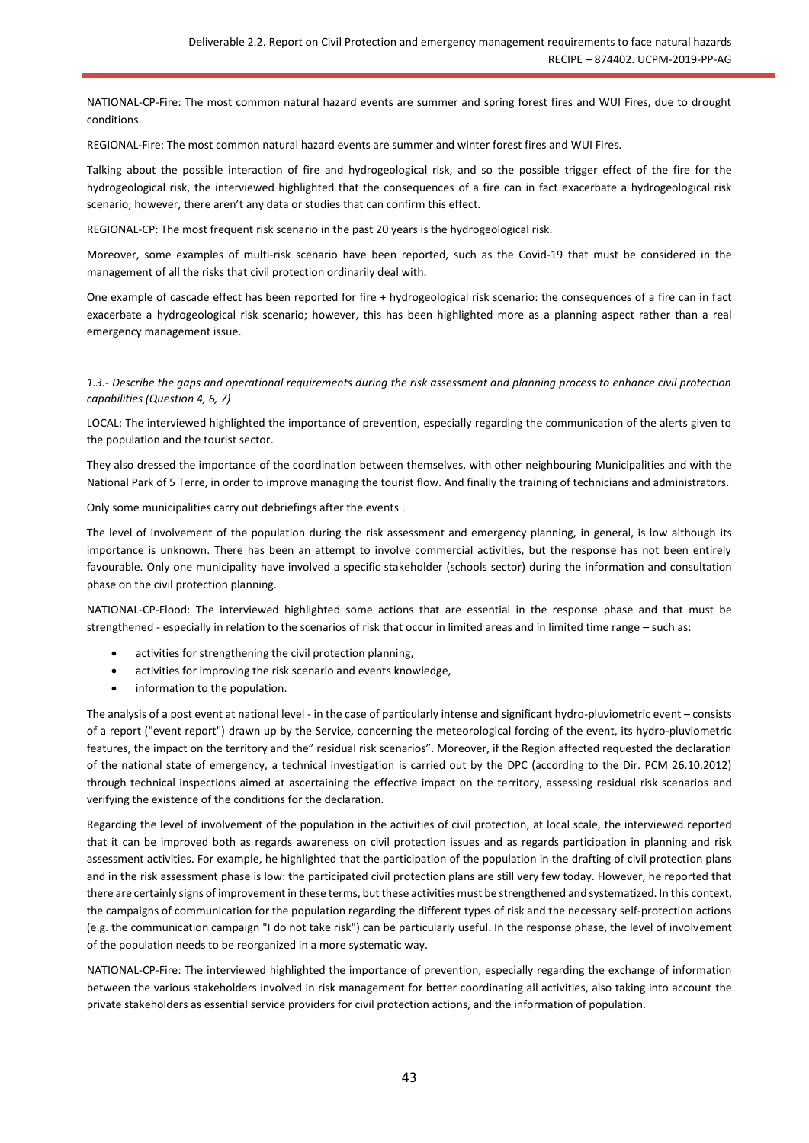NATIONAL-CP-Fire: The most common natural hazard events are summer and spring forest fires and WUI Fires, due to drought conditions.

REGIONAL-Fire: The most common natural hazard events are summer and winter forest fires and WUI Fires.

Talking about the possible interaction of fire and hydrogeological risk, and so the possible trigger effect of the fire for the hydrogeological risk, the interviewed highlighted that the consequences of a fire can in fact exacerbate a hydrogeological risk scenario; however, there aren't any data or studies that can confirm this effect.

REGIONAL-CP: The most frequent risk scenario in the past 20 years is the hydrogeological risk.

Moreover, some examples of multi-risk scenario have been reported, such as the Covid-19 that must be considered in the management of all the risks that civil protection ordinarily deal with.

One example of cascade effect has been reported for fire + hydrogeological risk scenario: the consequences of a fire can in fact exacerbate a hydrogeological risk scenario; however, this has been highlighted more as a planning aspect rather than a real emergency management issue.

*1.3.- Describe the gaps and operational requirements during the risk assessment and planning process to enhance civil protection capabilities (Question 4, 6, 7)*

LOCAL: The interviewed highlighted the importance of prevention, especially regarding the communication of the alerts given to the population and the tourist sector.

They also dressed the importance of the coordination between themselves, with other neighbouring Municipalities and with the National Park of 5 Terre, in order to improve managing the tourist flow. And finally the training of technicians and administrators.

Only some municipalities carry out debriefings after the events .

The level of involvement of the population during the risk assessment and emergency planning, in general, is low although its importance is unknown. There has been an attempt to involve commercial activities, but the response has not been entirely favourable. Only one municipality have involved a specific stakeholder (schools sector) during the information and consultation phase on the civil protection planning.

NATIONAL-CP-Flood: The interviewed highlighted some actions that are essential in the response phase and that must be strengthened - especially in relation to the scenarios of risk that occur in limited areas and in limited time range – such as:

- activities for strengthening the civil protection planning,
- activities for improving the risk scenario and events knowledge,
- information to the population.

The analysis of a post event at national level - in the case of particularly intense and significant hydro-pluviometric event – consists of a report ("event report") drawn up by the Service, concerning the meteorological forcing of the event, its hydro-pluviometric features, the impact on the territory and the" residual risk scenarios". Moreover, if the Region affected requested the declaration of the national state of emergency, a technical investigation is carried out by the DPC (according to the Dir. PCM 26.10.2012) through technical inspections aimed at ascertaining the effective impact on the territory, assessing residual risk scenarios and verifying the existence of the conditions for the declaration.

Regarding the level of involvement of the population in the activities of civil protection, at local scale, the interviewed reported that it can be improved both as regards awareness on civil protection issues and as regards participation in planning and risk assessment activities. For example, he highlighted that the participation of the population in the drafting of civil protection plans and in the risk assessment phase is low: the participated civil protection plans are still very few today. However, he reported that there are certainly signs of improvement in these terms, but these activities must be strengthened and systematized. In this context, the campaigns of communication for the population regarding the different types of risk and the necessary self-protection actions (e.g. the communication campaign "I do not take risk") can be particularly useful. In the response phase, the level of involvement of the population needs to be reorganized in a more systematic way.

NATIONAL-CP-Fire: The interviewed highlighted the importance of prevention, especially regarding the exchange of information between the various stakeholders involved in risk management for better coordinating all activities, also taking into account the private stakeholders as essential service providers for civil protection actions, and the information of population.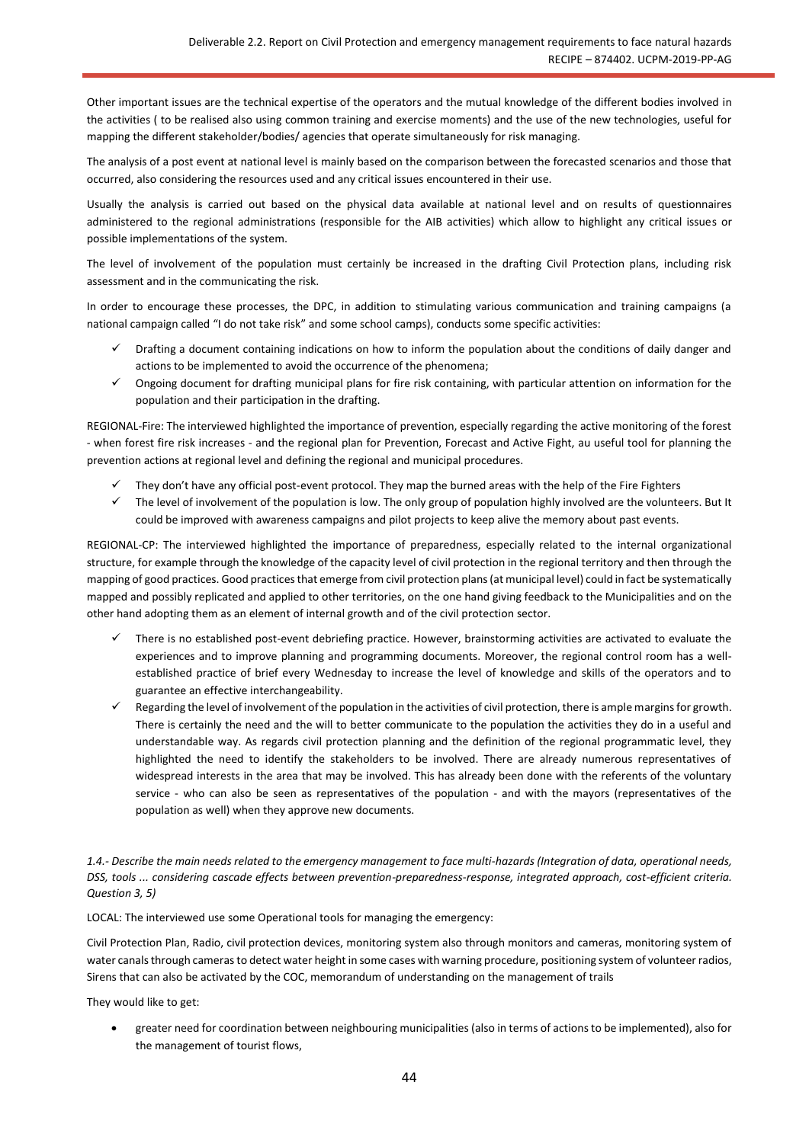Other important issues are the technical expertise of the operators and the mutual knowledge of the different bodies involved in the activities ( to be realised also using common training and exercise moments) and the use of the new technologies, useful for mapping the different stakeholder/bodies/ agencies that operate simultaneously for risk managing.

The analysis of a post event at national level is mainly based on the comparison between the forecasted scenarios and those that occurred, also considering the resources used and any critical issues encountered in their use.

Usually the analysis is carried out based on the physical data available at national level and on results of questionnaires administered to the regional administrations (responsible for the AIB activities) which allow to highlight any critical issues or possible implementations of the system.

The level of involvement of the population must certainly be increased in the drafting Civil Protection plans, including risk assessment and in the communicating the risk.

In order to encourage these processes, the DPC, in addition to stimulating various communication and training campaigns (a national campaign called "I do not take risk" and some school camps), conducts some specific activities:

- Drafting a document containing indications on how to inform the population about the conditions of daily danger and actions to be implemented to avoid the occurrence of the phenomena;
- ✓ Ongoing document for drafting municipal plans for fire risk containing, with particular attention on information for the population and their participation in the drafting.

REGIONAL-Fire: The interviewed highlighted the importance of prevention, especially regarding the active monitoring of the forest - when forest fire risk increases - and the regional plan for Prevention, Forecast and Active Fight, au useful tool for planning the prevention actions at regional level and defining the regional and municipal procedures.

- ✓ They don't have any official post-event protocol. They map the burned areas with the help of the Fire Fighters
- $\checkmark$  The level of involvement of the population is low. The only group of population highly involved are the volunteers. But It could be improved with awareness campaigns and pilot projects to keep alive the memory about past events.

REGIONAL-CP: The interviewed highlighted the importance of preparedness, especially related to the internal organizational structure, for example through the knowledge of the capacity level of civil protection in the regional territory and then through the mapping of good practices. Good practices that emerge from civil protection plans (at municipal level) could in fact be systematically mapped and possibly replicated and applied to other territories, on the one hand giving feedback to the Municipalities and on the other hand adopting them as an element of internal growth and of the civil protection sector.

- There is no established post-event debriefing practice. However, brainstorming activities are activated to evaluate the experiences and to improve planning and programming documents. Moreover, the regional control room has a wellestablished practice of brief every Wednesday to increase the level of knowledge and skills of the operators and to guarantee an effective interchangeability.
- Regarding the level of involvement of the population in the activities of civil protection, there is ample margins for growth. There is certainly the need and the will to better communicate to the population the activities they do in a useful and understandable way. As regards civil protection planning and the definition of the regional programmatic level, they highlighted the need to identify the stakeholders to be involved. There are already numerous representatives of widespread interests in the area that may be involved. This has already been done with the referents of the voluntary service - who can also be seen as representatives of the population - and with the mayors (representatives of the population as well) when they approve new documents.

*1.4.- Describe the main needs related to the emergency management to face multi-hazards (Integration of data, operational needs, DSS, tools ... considering cascade effects between prevention-preparedness-response, integrated approach, cost-efficient criteria. Question 3, 5)*

LOCAL: The interviewed use some Operational tools for managing the emergency:

Civil Protection Plan, Radio, civil protection devices, monitoring system also through monitors and cameras, monitoring system of water canals through cameras to detect water height in some cases with warning procedure, positioning system of volunteer radios, Sirens that can also be activated by the COC, memorandum of understanding on the management of trails

They would like to get:

• greater need for coordination between neighbouring municipalities (also in terms of actions to be implemented), also for the management of tourist flows,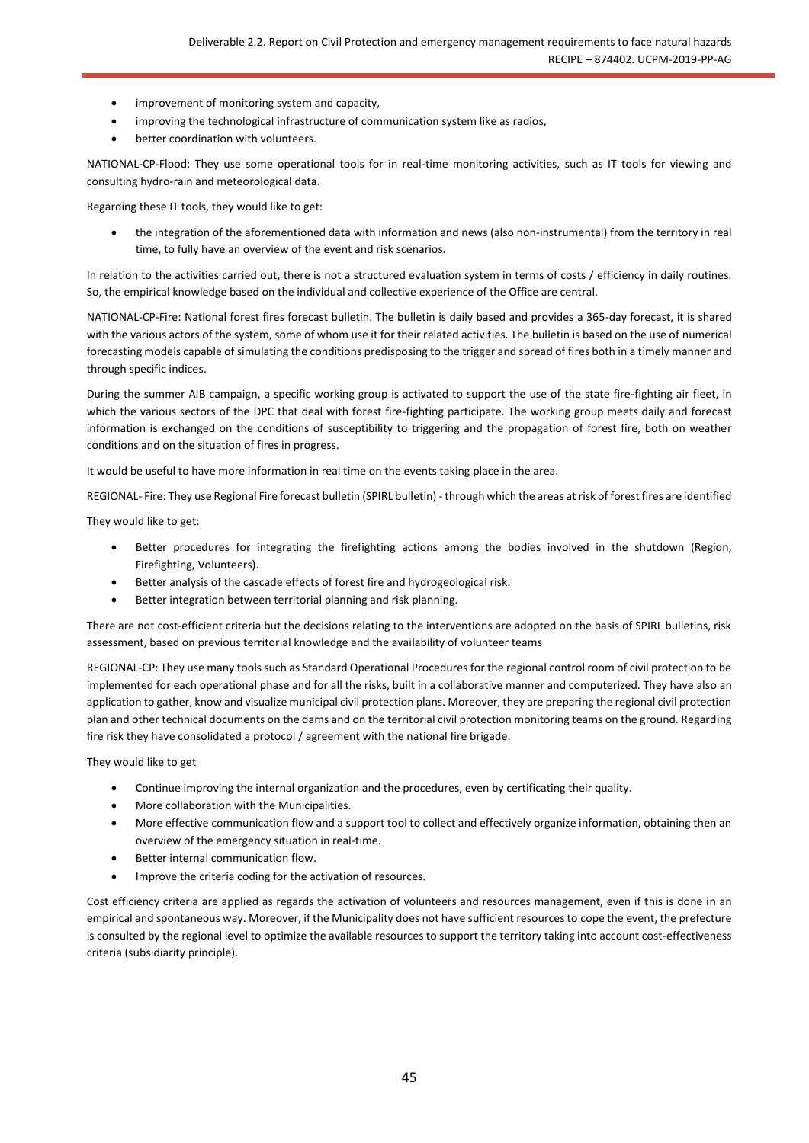- improvement of monitoring system and capacity,
- improving the technological infrastructure of communication system like as radios,
- better coordination with volunteers.

NATIONAL-CP-Flood: They use some operational tools for in real-time monitoring activities, such as IT tools for viewing and consulting hydro-rain and meteorological data.

Regarding these IT tools, they would like to get:

• the integration of the aforementioned data with information and news (also non-instrumental) from the territory in real time, to fully have an overview of the event and risk scenarios.

In relation to the activities carried out, there is not a structured evaluation system in terms of costs / efficiency in daily routines. So, the empirical knowledge based on the individual and collective experience of the Office are central.

NATIONAL-CP-Fire: National forest fires forecast bulletin. The bulletin is daily based and provides a 365-day forecast, it is shared with the various actors of the system, some of whom use it for their related activities. The bulletin is based on the use of numerical forecasting models capable of simulating the conditions predisposing to the trigger and spread of fires both in a timely manner and through specific indices.

During the summer AIB campaign, a specific working group is activated to support the use of the state fire-fighting air fleet, in which the various sectors of the DPC that deal with forest fire-fighting participate. The working group meets daily and forecast information is exchanged on the conditions of susceptibility to triggering and the propagation of forest fire, both on weather conditions and on the situation of fires in progress.

It would be useful to have more information in real time on the events taking place in the area.

REGIONAL- Fire: They use Regional Fire forecast bulletin (SPIRL bulletin) - through which the areas at risk of forest fires are identified

They would like to get:

- Better procedures for integrating the firefighting actions among the bodies involved in the shutdown (Region, Firefighting, Volunteers).
- Better analysis of the cascade effects of forest fire and hydrogeological risk.
- Better integration between territorial planning and risk planning.

There are not cost-efficient criteria but the decisions relating to the interventions are adopted on the basis of SPIRL bulletins, risk assessment, based on previous territorial knowledge and the availability of volunteer teams

REGIONAL-CP: They use many tools such as Standard Operational Procedures for the regional control room of civil protection to be implemented for each operational phase and for all the risks, built in a collaborative manner and computerized. They have also an application to gather, know and visualize municipal civil protection plans. Moreover, they are preparing the regional civil protection plan and other technical documents on the dams and on the territorial civil protection monitoring teams on the ground. Regarding fire risk they have consolidated a protocol / agreement with the national fire brigade.

They would like to get

- Continue improving the internal organization and the procedures, even by certificating their quality.
- More collaboration with the Municipalities.
- More effective communication flow and a support tool to collect and effectively organize information, obtaining then an overview of the emergency situation in real-time.
- Better internal communication flow.
- Improve the criteria coding for the activation of resources.

Cost efficiency criteria are applied as regards the activation of volunteers and resources management, even if this is done in an empirical and spontaneous way. Moreover, if the Municipality does not have sufficient resources to cope the event, the prefecture is consulted by the regional level to optimize the available resources to support the territory taking into account cost-effectiveness criteria (subsidiarity principle).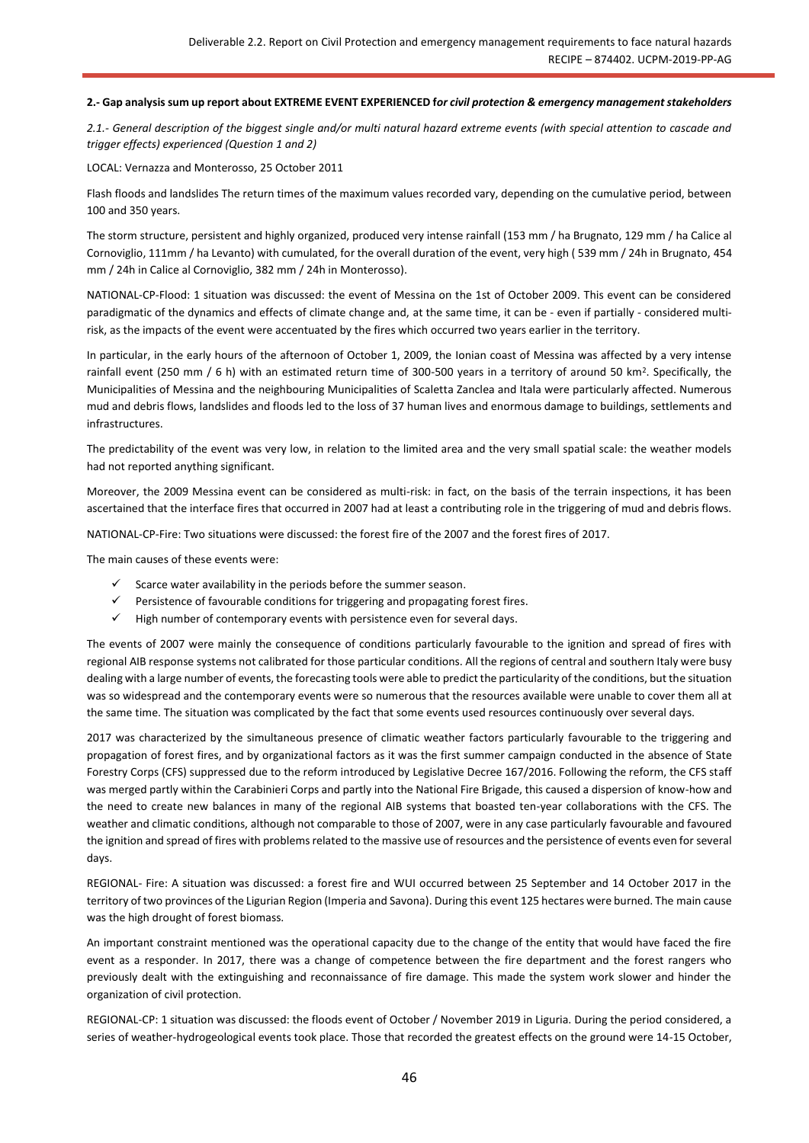#### **2.- Gap analysis sum up report about EXTREME EVENT EXPERIENCED f***or civil protection & emergency management stakeholders*

*2.1.- General description of the biggest single and/or multi natural hazard extreme events (with special attention to cascade and trigger effects) experienced (Question 1 and 2)*

LOCAL: Vernazza and Monterosso, 25 October 2011

Flash floods and landslides The return times of the maximum values recorded vary, depending on the cumulative period, between 100 and 350 years.

The storm structure, persistent and highly organized, produced very intense rainfall (153 mm / ha Brugnato, 129 mm / ha Calice al Cornoviglio, 111mm / ha Levanto) with cumulated, for the overall duration of the event, very high ( 539 mm / 24h in Brugnato, 454 mm / 24h in Calice al Cornoviglio, 382 mm / 24h in Monterosso).

NATIONAL-CP-Flood: 1 situation was discussed: the event of Messina on the 1st of October 2009. This event can be considered paradigmatic of the dynamics and effects of climate change and, at the same time, it can be - even if partially - considered multirisk, as the impacts of the event were accentuated by the fires which occurred two years earlier in the territory.

In particular, in the early hours of the afternoon of October 1, 2009, the Ionian coast of Messina was affected by a very intense rainfall event (250 mm / 6 h) with an estimated return time of 300-500 years in a territory of around 50 km<sup>2</sup>. Specifically, the Municipalities of Messina and the neighbouring Municipalities of Scaletta Zanclea and Itala were particularly affected. Numerous mud and debris flows, landslides and floods led to the loss of 37 human lives and enormous damage to buildings, settlements and infrastructures.

The predictability of the event was very low, in relation to the limited area and the very small spatial scale: the weather models had not reported anything significant.

Moreover, the 2009 Messina event can be considered as multi-risk: in fact, on the basis of the terrain inspections, it has been ascertained that the interface fires that occurred in 2007 had at least a contributing role in the triggering of mud and debris flows.

NATIONAL-CP-Fire: Two situations were discussed: the forest fire of the 2007 and the forest fires of 2017.

The main causes of these events were:

- Scarce water availability in the periods before the summer season.
- Persistence of favourable conditions for triggering and propagating forest fires.
- $\checkmark$  High number of contemporary events with persistence even for several days.

The events of 2007 were mainly the consequence of conditions particularly favourable to the ignition and spread of fires with regional AIB response systems not calibrated for those particular conditions. All the regions of central and southern Italy were busy dealing with a large number of events, the forecasting tools were able to predict the particularity of the conditions, but the situation was so widespread and the contemporary events were so numerous that the resources available were unable to cover them all at the same time. The situation was complicated by the fact that some events used resources continuously over several days.

2017 was characterized by the simultaneous presence of climatic weather factors particularly favourable to the triggering and propagation of forest fires, and by organizational factors as it was the first summer campaign conducted in the absence of State Forestry Corps (CFS) suppressed due to the reform introduced by Legislative Decree 167/2016. Following the reform, the CFS staff was merged partly within the Carabinieri Corps and partly into the National Fire Brigade, this caused a dispersion of know-how and the need to create new balances in many of the regional AIB systems that boasted ten-year collaborations with the CFS. The weather and climatic conditions, although not comparable to those of 2007, were in any case particularly favourable and favoured the ignition and spread of fires with problems related to the massive use of resources and the persistence of events even for several days.

REGIONAL- Fire: A situation was discussed: a forest fire and WUI occurred between 25 September and 14 October 2017 in the territory of two provinces of the Ligurian Region (Imperia and Savona). During this event 125 hectares were burned. The main cause was the high drought of forest biomass.

An important constraint mentioned was the operational capacity due to the change of the entity that would have faced the fire event as a responder. In 2017, there was a change of competence between the fire department and the forest rangers who previously dealt with the extinguishing and reconnaissance of fire damage. This made the system work slower and hinder the organization of civil protection.

REGIONAL-CP: 1 situation was discussed: the floods event of October / November 2019 in Liguria. During the period considered, a series of weather-hydrogeological events took place. Those that recorded the greatest effects on the ground were 14-15 October,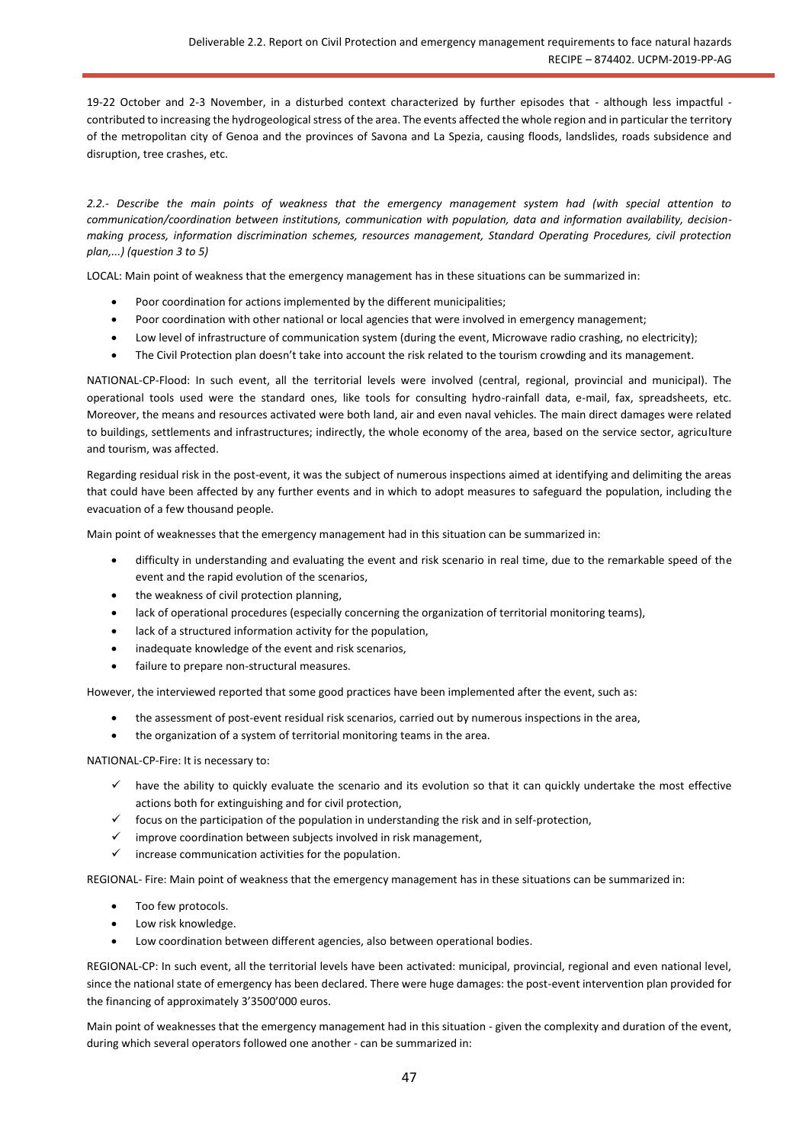19-22 October and 2-3 November, in a disturbed context characterized by further episodes that - although less impactful contributed to increasing the hydrogeological stress of the area. The events affected the whole region and in particular the territory of the metropolitan city of Genoa and the provinces of Savona and La Spezia, causing floods, landslides, roads subsidence and disruption, tree crashes, etc.

*2.2.- Describe the main points of weakness that the emergency management system had (with special attention to communication/coordination between institutions, communication with population, data and information availability, decisionmaking process, information discrimination schemes, resources management, Standard Operating Procedures, civil protection plan,...) (question 3 to 5)*

LOCAL: Main point of weakness that the emergency management has in these situations can be summarized in:

- Poor coordination for actions implemented by the different municipalities;
- Poor coordination with other national or local agencies that were involved in emergency management;
- Low level of infrastructure of communication system (during the event, Microwave radio crashing, no electricity);
- The Civil Protection plan doesn't take into account the risk related to the tourism crowding and its management.

NATIONAL-CP-Flood: In such event, all the territorial levels were involved (central, regional, provincial and municipal). The operational tools used were the standard ones, like tools for consulting hydro-rainfall data, e-mail, fax, spreadsheets, etc. Moreover, the means and resources activated were both land, air and even naval vehicles. The main direct damages were related to buildings, settlements and infrastructures; indirectly, the whole economy of the area, based on the service sector, agriculture and tourism, was affected.

Regarding residual risk in the post-event, it was the subject of numerous inspections aimed at identifying and delimiting the areas that could have been affected by any further events and in which to adopt measures to safeguard the population, including the evacuation of a few thousand people.

Main point of weaknesses that the emergency management had in this situation can be summarized in:

- difficulty in understanding and evaluating the event and risk scenario in real time, due to the remarkable speed of the event and the rapid evolution of the scenarios,
- the weakness of civil protection planning,
- lack of operational procedures (especially concerning the organization of territorial monitoring teams),
- lack of a structured information activity for the population,
- inadequate knowledge of the event and risk scenarios,
- failure to prepare non-structural measures.

However, the interviewed reported that some good practices have been implemented after the event, such as:

- the assessment of post-event residual risk scenarios, carried out by numerous inspections in the area,
- the organization of a system of territorial monitoring teams in the area.

NATIONAL-CP-Fire: It is necessary to:

- ✓ have the ability to quickly evaluate the scenario and its evolution so that it can quickly undertake the most effective actions both for extinguishing and for civil protection,
- ✓ focus on the participation of the population in understanding the risk and in self-protection,
- improve coordination between subjects involved in risk management,
- $\checkmark$  increase communication activities for the population.

REGIONAL- Fire: Main point of weakness that the emergency management has in these situations can be summarized in:

- Too few protocols.
- Low risk knowledge.
- Low coordination between different agencies, also between operational bodies.

REGIONAL-CP: In such event, all the territorial levels have been activated: municipal, provincial, regional and even national level, since the national state of emergency has been declared. There were huge damages: the post-event intervention plan provided for the financing of approximately 3'3500'000 euros.

Main point of weaknesses that the emergency management had in this situation - given the complexity and duration of the event, during which several operators followed one another - can be summarized in: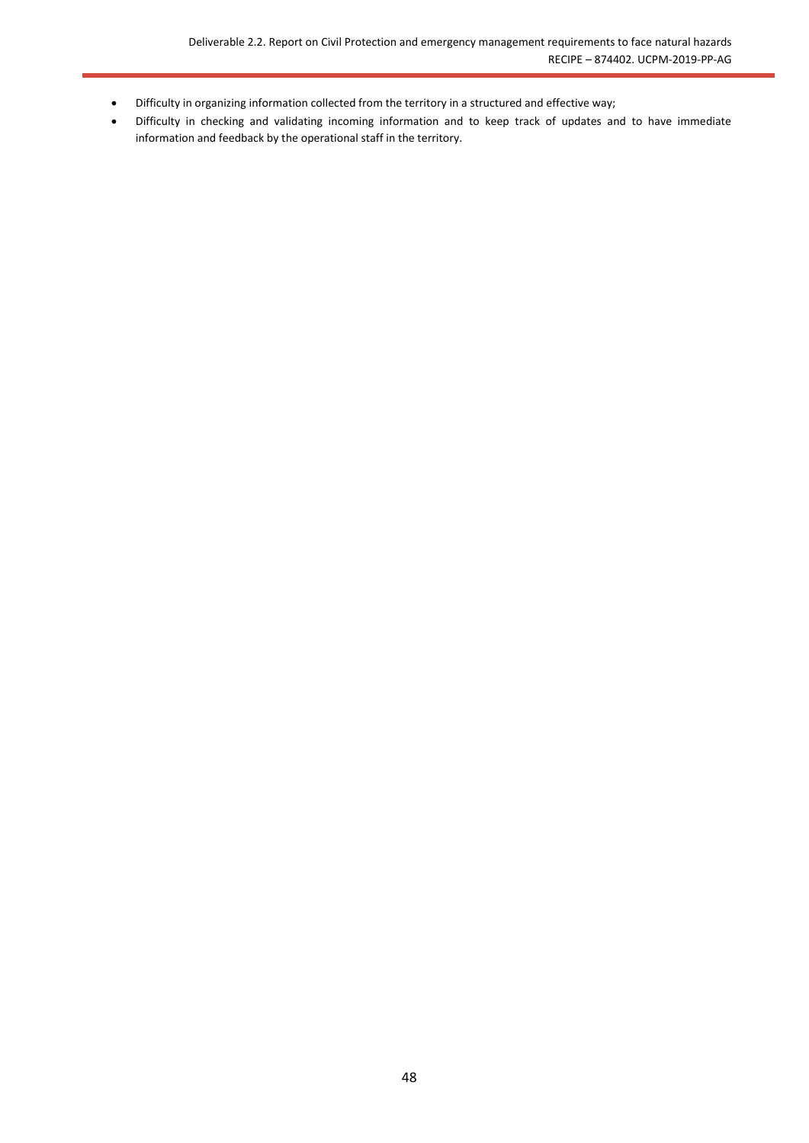- Difficulty in organizing information collected from the territory in a structured and effective way;
- Difficulty in checking and validating incoming information and to keep track of updates and to have immediate information and feedback by the operational staff in the territory.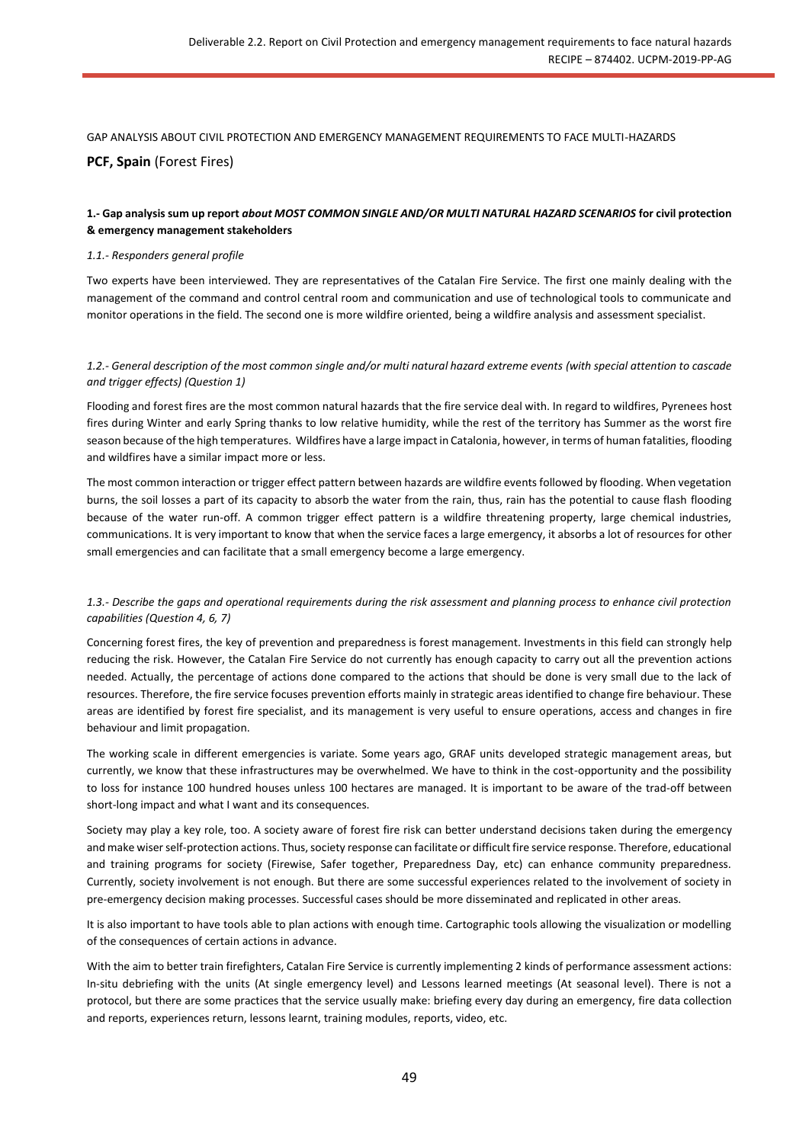GAP ANALYSIS ABOUT CIVIL PROTECTION AND EMERGENCY MANAGEMENT REQUIREMENTS TO FACE MULTI-HAZARDS **PCF, Spain** (Forest Fires)

## **1.- Gap analysis sum up report** *about MOST COMMON SINGLE AND/OR MULTI NATURAL HAZARD SCENARIOS* **for civil protection & emergency management stakeholders**

#### *1.1.- Responders general profile*

Two experts have been interviewed. They are representatives of the Catalan Fire Service. The first one mainly dealing with the management of the command and control central room and communication and use of technological tools to communicate and monitor operations in the field. The second one is more wildfire oriented, being a wildfire analysis and assessment specialist.

#### *1.2.- General description of the most common single and/or multi natural hazard extreme events (with special attention to cascade and trigger effects) (Question 1)*

Flooding and forest fires are the most common natural hazards that the fire service deal with. In regard to wildfires, Pyrenees host fires during Winter and early Spring thanks to low relative humidity, while the rest of the territory has Summer as the worst fire season because of the high temperatures. Wildfires have a large impact in Catalonia, however, in terms of human fatalities, flooding and wildfires have a similar impact more or less.

The most common interaction or trigger effect pattern between hazards are wildfire events followed by flooding. When vegetation burns, the soil losses a part of its capacity to absorb the water from the rain, thus, rain has the potential to cause flash flooding because of the water run-off. A common trigger effect pattern is a wildfire threatening property, large chemical industries, communications. It is very important to know that when the service faces a large emergency, it absorbs a lot of resources for other small emergencies and can facilitate that a small emergency become a large emergency.

## *1.3.- Describe the gaps and operational requirements during the risk assessment and planning process to enhance civil protection capabilities (Question 4, 6, 7)*

Concerning forest fires, the key of prevention and preparedness is forest management. Investments in this field can strongly help reducing the risk. However, the Catalan Fire Service do not currently has enough capacity to carry out all the prevention actions needed. Actually, the percentage of actions done compared to the actions that should be done is very small due to the lack of resources. Therefore, the fire service focuses prevention efforts mainly in strategic areas identified to change fire behaviour. These areas are identified by forest fire specialist, and its management is very useful to ensure operations, access and changes in fire behaviour and limit propagation.

The working scale in different emergencies is variate. Some years ago, GRAF units developed strategic management areas, but currently, we know that these infrastructures may be overwhelmed. We have to think in the cost-opportunity and the possibility to loss for instance 100 hundred houses unless 100 hectares are managed. It is important to be aware of the trad-off between short-long impact and what I want and its consequences.

Society may play a key role, too. A society aware of forest fire risk can better understand decisions taken during the emergency and make wiser self-protection actions. Thus, society response can facilitate or difficult fire service response. Therefore, educational and training programs for society (Firewise, Safer together, Preparedness Day, etc) can enhance community preparedness. Currently, society involvement is not enough. But there are some successful experiences related to the involvement of society in pre-emergency decision making processes. Successful cases should be more disseminated and replicated in other areas.

It is also important to have tools able to plan actions with enough time. Cartographic tools allowing the visualization or modelling of the consequences of certain actions in advance.

With the aim to better train firefighters, Catalan Fire Service is currently implementing 2 kinds of performance assessment actions: In-situ debriefing with the units (At single emergency level) and Lessons learned meetings (At seasonal level). There is not a protocol, but there are some practices that the service usually make: briefing every day during an emergency, fire data collection and reports, experiences return, lessons learnt, training modules, reports, video, etc.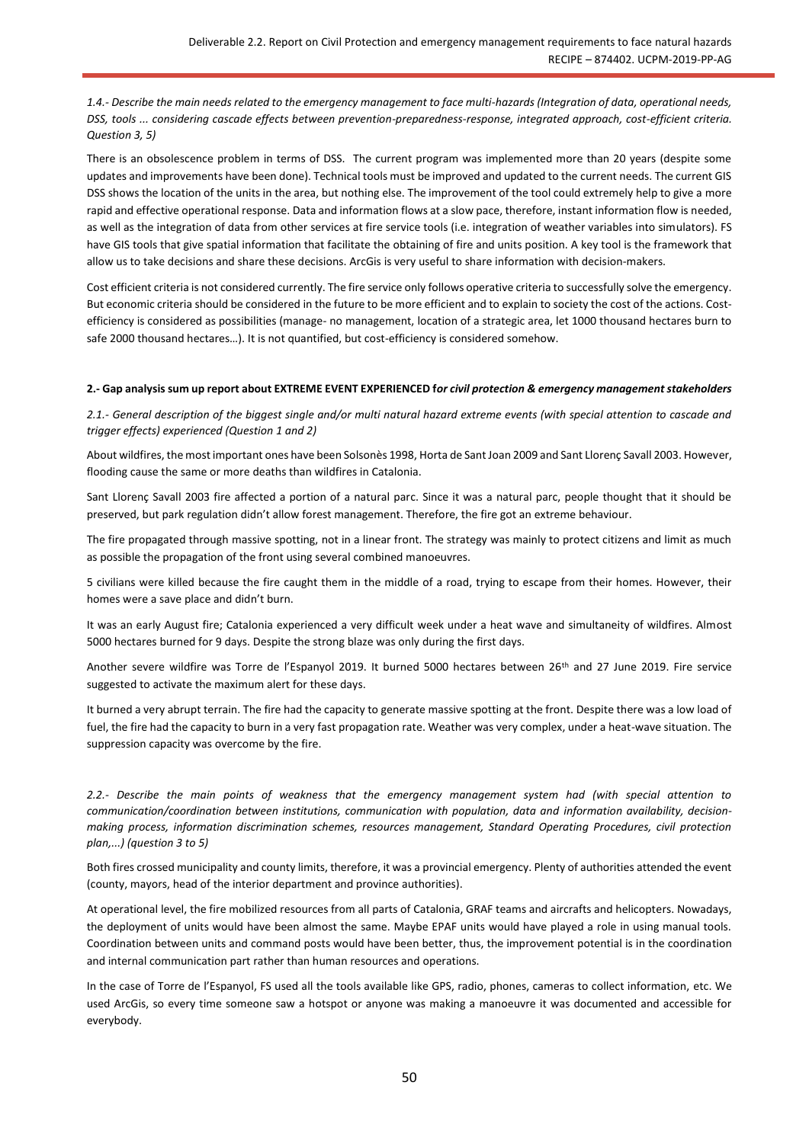*1.4.- Describe the main needs related to the emergency management to face multi-hazards (Integration of data, operational needs, DSS, tools ... considering cascade effects between prevention-preparedness-response, integrated approach, cost-efficient criteria. Question 3, 5)*

There is an obsolescence problem in terms of DSS. The current program was implemented more than 20 years (despite some updates and improvements have been done). Technical tools must be improved and updated to the current needs. The current GIS DSS shows the location of the units in the area, but nothing else. The improvement of the tool could extremely help to give a more rapid and effective operational response. Data and information flows at a slow pace, therefore, instant information flow is needed, as well as the integration of data from other services at fire service tools (i.e. integration of weather variables into simulators). FS have GIS tools that give spatial information that facilitate the obtaining of fire and units position. A key tool is the framework that allow us to take decisions and share these decisions. ArcGis is very useful to share information with decision-makers.

Cost efficient criteria is not considered currently. The fire service only follows operative criteria to successfully solve the emergency. But economic criteria should be considered in the future to be more efficient and to explain to society the cost of the actions. Costefficiency is considered as possibilities (manage- no management, location of a strategic area, let 1000 thousand hectares burn to safe 2000 thousand hectares…). It is not quantified, but cost-efficiency is considered somehow.

#### **2.- Gap analysis sum up report about EXTREME EVENT EXPERIENCED f***or civil protection & emergency management stakeholders*

*2.1.- General description of the biggest single and/or multi natural hazard extreme events (with special attention to cascade and trigger effects) experienced (Question 1 and 2)*

About wildfires, the most important ones have been Solsonès 1998, Horta de Sant Joan 2009 and Sant Llorenç Savall 2003. However, flooding cause the same or more deaths than wildfires in Catalonia.

Sant Llorenç Savall 2003 fire affected a portion of a natural parc. Since it was a natural parc, people thought that it should be preserved, but park regulation didn't allow forest management. Therefore, the fire got an extreme behaviour.

The fire propagated through massive spotting, not in a linear front. The strategy was mainly to protect citizens and limit as much as possible the propagation of the front using several combined manoeuvres.

5 civilians were killed because the fire caught them in the middle of a road, trying to escape from their homes. However, their homes were a save place and didn't burn.

It was an early August fire; Catalonia experienced a very difficult week under a heat wave and simultaneity of wildfires. Almost 5000 hectares burned for 9 days. Despite the strong blaze was only during the first days.

Another severe wildfire was Torre de l'Espanyol 2019. It burned 5000 hectares between 26th and 27 June 2019. Fire service suggested to activate the maximum alert for these days.

It burned a very abrupt terrain. The fire had the capacity to generate massive spotting at the front. Despite there was a low load of fuel, the fire had the capacity to burn in a very fast propagation rate. Weather was very complex, under a heat-wave situation. The suppression capacity was overcome by the fire.

*2.2.- Describe the main points of weakness that the emergency management system had (with special attention to communication/coordination between institutions, communication with population, data and information availability, decisionmaking process, information discrimination schemes, resources management, Standard Operating Procedures, civil protection plan,...) (question 3 to 5)*

Both fires crossed municipality and county limits, therefore, it was a provincial emergency. Plenty of authorities attended the event (county, mayors, head of the interior department and province authorities).

At operational level, the fire mobilized resources from all parts of Catalonia, GRAF teams and aircrafts and helicopters. Nowadays, the deployment of units would have been almost the same. Maybe EPAF units would have played a role in using manual tools. Coordination between units and command posts would have been better, thus, the improvement potential is in the coordination and internal communication part rather than human resources and operations.

In the case of Torre de l'Espanyol, FS used all the tools available like GPS, radio, phones, cameras to collect information, etc. We used ArcGis, so every time someone saw a hotspot or anyone was making a manoeuvre it was documented and accessible for everybody.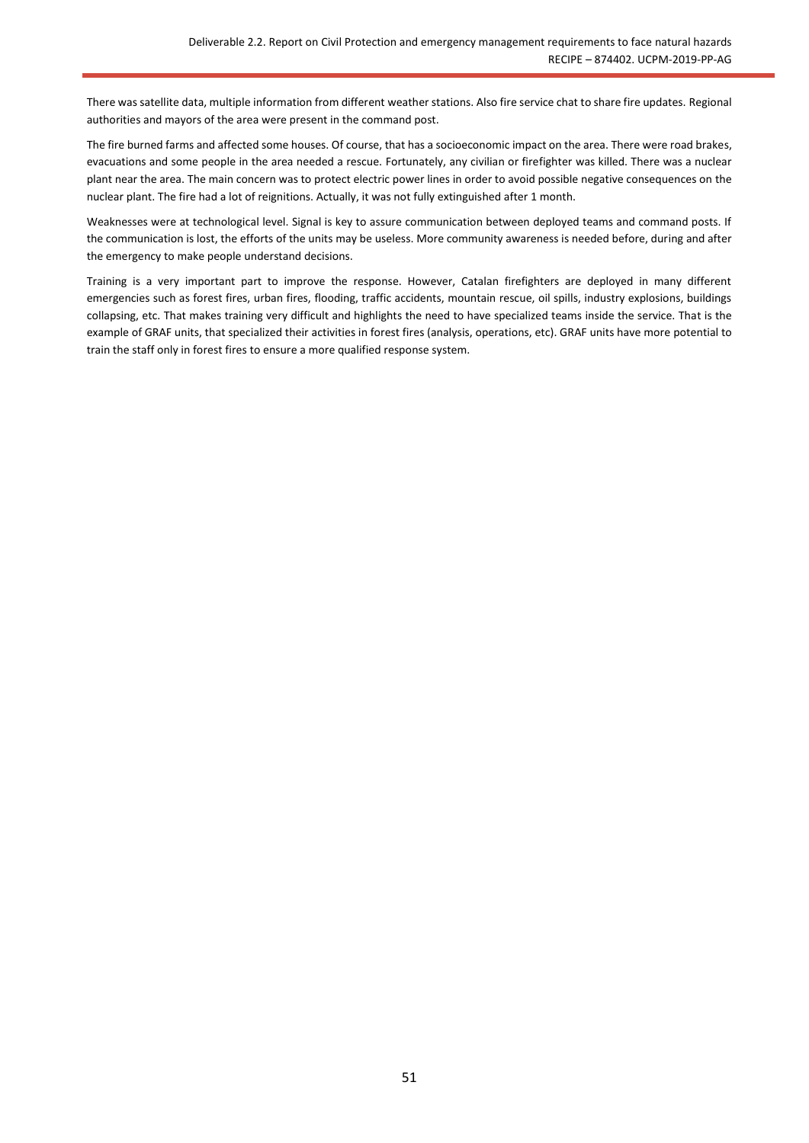There was satellite data, multiple information from different weather stations. Also fire service chat to share fire updates. Regional authorities and mayors of the area were present in the command post.

The fire burned farms and affected some houses. Of course, that has a socioeconomic impact on the area. There were road brakes, evacuations and some people in the area needed a rescue. Fortunately, any civilian or firefighter was killed. There was a nuclear plant near the area. The main concern was to protect electric power lines in order to avoid possible negative consequences on the nuclear plant. The fire had a lot of reignitions. Actually, it was not fully extinguished after 1 month.

Weaknesses were at technological level. Signal is key to assure communication between deployed teams and command posts. If the communication is lost, the efforts of the units may be useless. More community awareness is needed before, during and after the emergency to make people understand decisions.

Training is a very important part to improve the response. However, Catalan firefighters are deployed in many different emergencies such as forest fires, urban fires, flooding, traffic accidents, mountain rescue, oil spills, industry explosions, buildings collapsing, etc. That makes training very difficult and highlights the need to have specialized teams inside the service. That is the example of GRAF units, that specialized their activities in forest fires (analysis, operations, etc). GRAF units have more potential to train the staff only in forest fires to ensure a more qualified response system.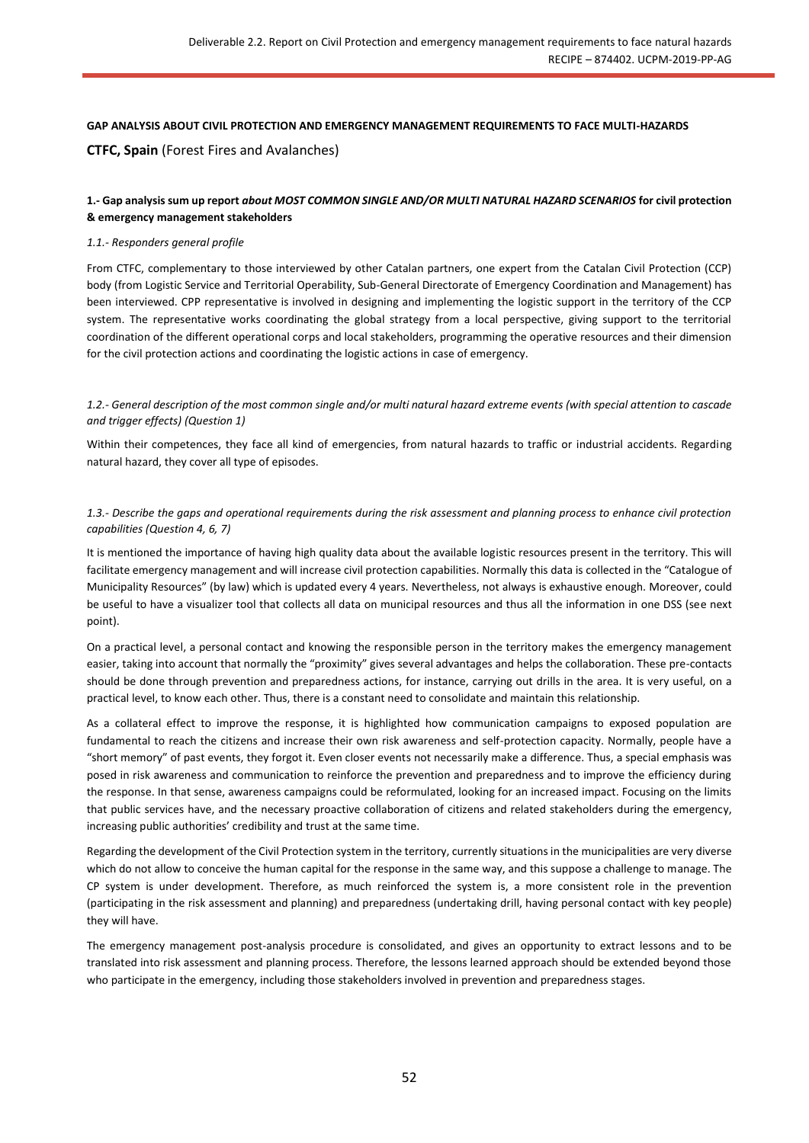#### **GAP ANALYSIS ABOUT CIVIL PROTECTION AND EMERGENCY MANAGEMENT REQUIREMENTS TO FACE MULTI-HAZARDS**

## **CTFC, Spain** (Forest Fires and Avalanches)

## **1.- Gap analysis sum up report** *about MOST COMMON SINGLE AND/OR MULTI NATURAL HAZARD SCENARIOS* **for civil protection & emergency management stakeholders**

#### *1.1.- Responders general profile*

From CTFC, complementary to those interviewed by other Catalan partners, one expert from the Catalan Civil Protection (CCP) body (from Logistic Service and Territorial Operability, Sub-General Directorate of Emergency Coordination and Management) has been interviewed. CPP representative is involved in designing and implementing the logistic support in the territory of the CCP system. The representative works coordinating the global strategy from a local perspective, giving support to the territorial coordination of the different operational corps and local stakeholders, programming the operative resources and their dimension for the civil protection actions and coordinating the logistic actions in case of emergency.

*1.2.- General description of the most common single and/or multi natural hazard extreme events (with special attention to cascade and trigger effects) (Question 1)*

Within their competences, they face all kind of emergencies, from natural hazards to traffic or industrial accidents. Regarding natural hazard, they cover all type of episodes.

### *1.3.- Describe the gaps and operational requirements during the risk assessment and planning process to enhance civil protection capabilities (Question 4, 6, 7)*

It is mentioned the importance of having high quality data about the available logistic resources present in the territory. This will facilitate emergency management and will increase civil protection capabilities. Normally this data is collected in the "Catalogue of Municipality Resources" (by law) which is updated every 4 years. Nevertheless, not always is exhaustive enough. Moreover, could be useful to have a visualizer tool that collects all data on municipal resources and thus all the information in one DSS (see next point).

On a practical level, a personal contact and knowing the responsible person in the territory makes the emergency management easier, taking into account that normally the "proximity" gives several advantages and helps the collaboration. These pre-contacts should be done through prevention and preparedness actions, for instance, carrying out drills in the area. It is very useful, on a practical level, to know each other. Thus, there is a constant need to consolidate and maintain this relationship.

As a collateral effect to improve the response, it is highlighted how communication campaigns to exposed population are fundamental to reach the citizens and increase their own risk awareness and self-protection capacity. Normally, people have a "short memory" of past events, they forgot it. Even closer events not necessarily make a difference. Thus, a special emphasis was posed in risk awareness and communication to reinforce the prevention and preparedness and to improve the efficiency during the response. In that sense, awareness campaigns could be reformulated, looking for an increased impact. Focusing on the limits that public services have, and the necessary proactive collaboration of citizens and related stakeholders during the emergency, increasing public authorities' credibility and trust at the same time.

Regarding the development of the Civil Protection system in the territory, currently situations in the municipalities are very diverse which do not allow to conceive the human capital for the response in the same way, and this suppose a challenge to manage. The CP system is under development. Therefore, as much reinforced the system is, a more consistent role in the prevention (participating in the risk assessment and planning) and preparedness (undertaking drill, having personal contact with key people) they will have.

The emergency management post-analysis procedure is consolidated, and gives an opportunity to extract lessons and to be translated into risk assessment and planning process. Therefore, the lessons learned approach should be extended beyond those who participate in the emergency, including those stakeholders involved in prevention and preparedness stages.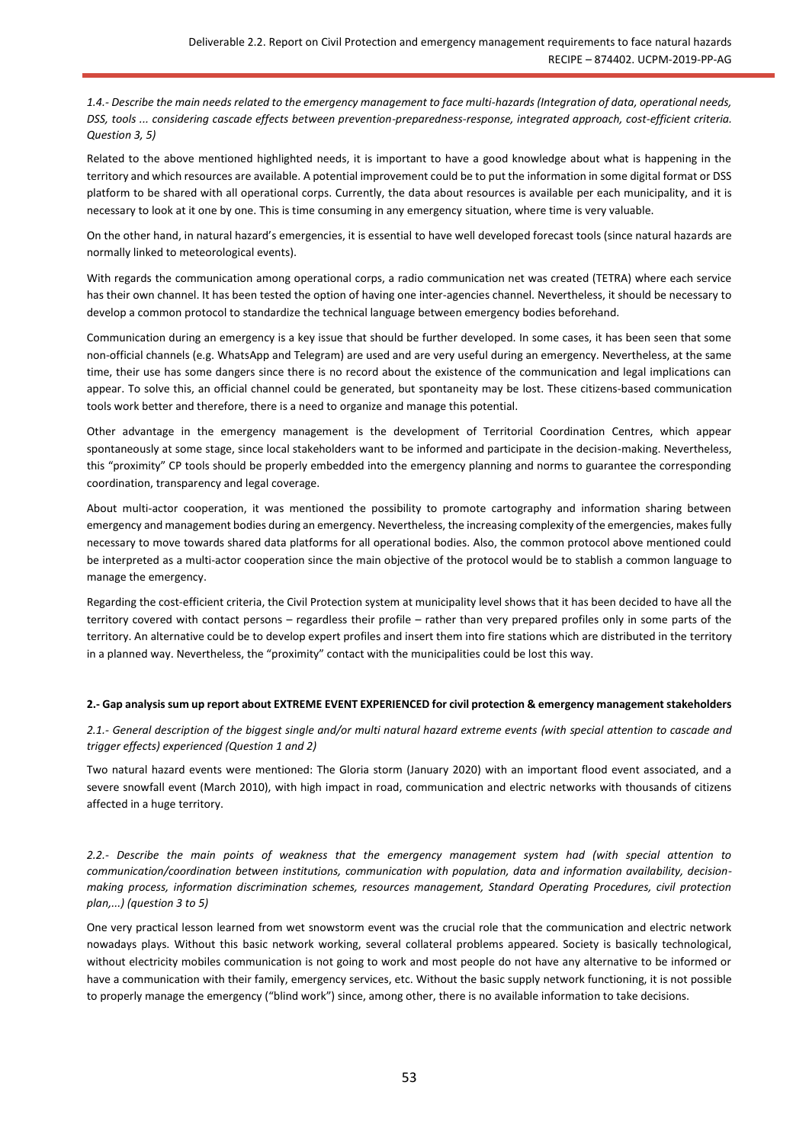*1.4.- Describe the main needs related to the emergency management to face multi-hazards (Integration of data, operational needs, DSS, tools ... considering cascade effects between prevention-preparedness-response, integrated approach, cost-efficient criteria. Question 3, 5)*

Related to the above mentioned highlighted needs, it is important to have a good knowledge about what is happening in the territory and which resources are available. A potential improvement could be to put the information in some digital format or DSS platform to be shared with all operational corps. Currently, the data about resources is available per each municipality, and it is necessary to look at it one by one. This is time consuming in any emergency situation, where time is very valuable.

On the other hand, in natural hazard's emergencies, it is essential to have well developed forecast tools (since natural hazards are normally linked to meteorological events).

With regards the communication among operational corps, a radio communication net was created (TETRA) where each service has their own channel. It has been tested the option of having one inter-agencies channel. Nevertheless, it should be necessary to develop a common protocol to standardize the technical language between emergency bodies beforehand.

Communication during an emergency is a key issue that should be further developed. In some cases, it has been seen that some non-official channels (e.g. WhatsApp and Telegram) are used and are very useful during an emergency. Nevertheless, at the same time, their use has some dangers since there is no record about the existence of the communication and legal implications can appear. To solve this, an official channel could be generated, but spontaneity may be lost. These citizens-based communication tools work better and therefore, there is a need to organize and manage this potential.

Other advantage in the emergency management is the development of Territorial Coordination Centres, which appear spontaneously at some stage, since local stakeholders want to be informed and participate in the decision-making. Nevertheless, this "proximity" CP tools should be properly embedded into the emergency planning and norms to guarantee the corresponding coordination, transparency and legal coverage.

About multi-actor cooperation, it was mentioned the possibility to promote cartography and information sharing between emergency and management bodies during an emergency. Nevertheless, the increasing complexity of the emergencies, makes fully necessary to move towards shared data platforms for all operational bodies. Also, the common protocol above mentioned could be interpreted as a multi-actor cooperation since the main objective of the protocol would be to stablish a common language to manage the emergency.

Regarding the cost-efficient criteria, the Civil Protection system at municipality level shows that it has been decided to have all the territory covered with contact persons – regardless their profile – rather than very prepared profiles only in some parts of the territory. An alternative could be to develop expert profiles and insert them into fire stations which are distributed in the territory in a planned way. Nevertheless, the "proximity" contact with the municipalities could be lost this way.

#### **2.- Gap analysis sum up report about EXTREME EVENT EXPERIENCED for civil protection & emergency management stakeholders**

*2.1.- General description of the biggest single and/or multi natural hazard extreme events (with special attention to cascade and trigger effects) experienced (Question 1 and 2)*

Two natural hazard events were mentioned: The Gloria storm (January 2020) with an important flood event associated, and a severe snowfall event (March 2010), with high impact in road, communication and electric networks with thousands of citizens affected in a huge territory.

*2.2.- Describe the main points of weakness that the emergency management system had (with special attention to communication/coordination between institutions, communication with population, data and information availability, decisionmaking process, information discrimination schemes, resources management, Standard Operating Procedures, civil protection plan,...) (question 3 to 5)*

One very practical lesson learned from wet snowstorm event was the crucial role that the communication and electric network nowadays plays. Without this basic network working, several collateral problems appeared. Society is basically technological, without electricity mobiles communication is not going to work and most people do not have any alternative to be informed or have a communication with their family, emergency services, etc. Without the basic supply network functioning, it is not possible to properly manage the emergency ("blind work") since, among other, there is no available information to take decisions.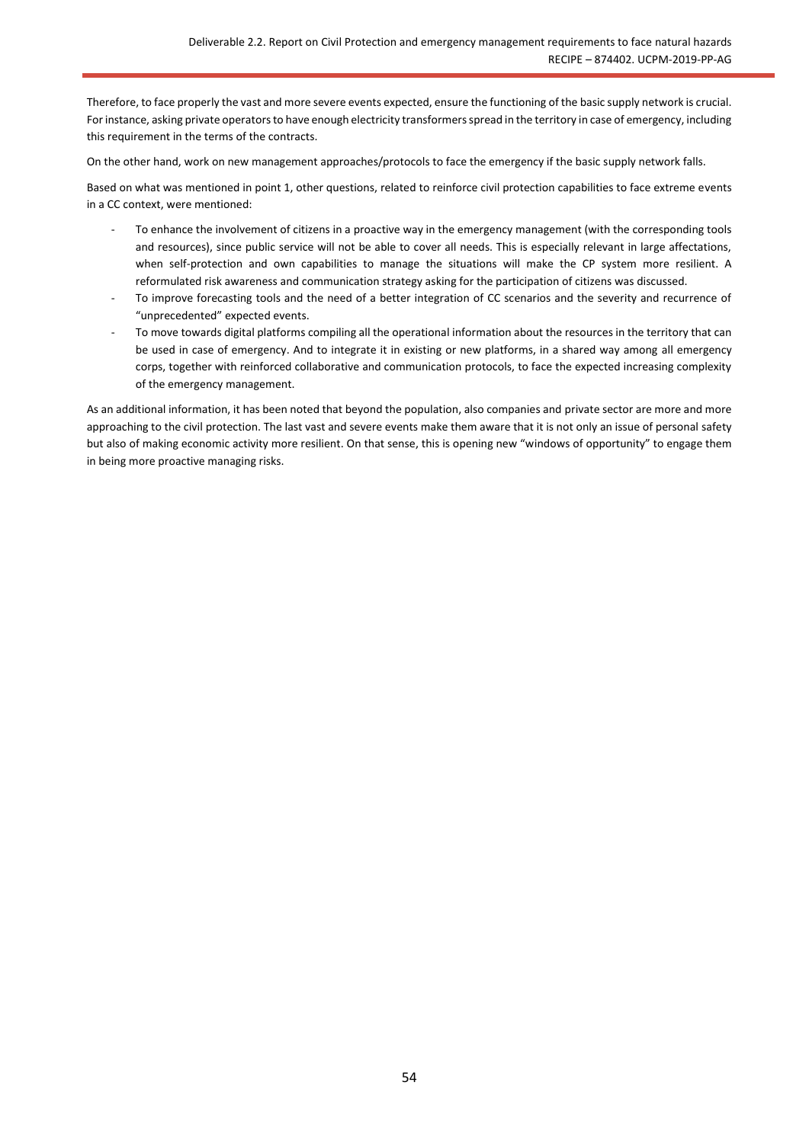Therefore, to face properly the vast and more severe events expected, ensure the functioning of the basic supply network is crucial. For instance, asking private operators to have enough electricity transformers spread in the territory in case of emergency, including this requirement in the terms of the contracts.

On the other hand, work on new management approaches/protocols to face the emergency if the basic supply network falls.

Based on what was mentioned in point 1, other questions, related to reinforce civil protection capabilities to face extreme events in a CC context, were mentioned:

- To enhance the involvement of citizens in a proactive way in the emergency management (with the corresponding tools and resources), since public service will not be able to cover all needs. This is especially relevant in large affectations, when self-protection and own capabilities to manage the situations will make the CP system more resilient. A reformulated risk awareness and communication strategy asking for the participation of citizens was discussed.
- To improve forecasting tools and the need of a better integration of CC scenarios and the severity and recurrence of "unprecedented" expected events.
- To move towards digital platforms compiling all the operational information about the resources in the territory that can be used in case of emergency. And to integrate it in existing or new platforms, in a shared way among all emergency corps, together with reinforced collaborative and communication protocols, to face the expected increasing complexity of the emergency management.

As an additional information, it has been noted that beyond the population, also companies and private sector are more and more approaching to the civil protection. The last vast and severe events make them aware that it is not only an issue of personal safety but also of making economic activity more resilient. On that sense, this is opening new "windows of opportunity" to engage them in being more proactive managing risks.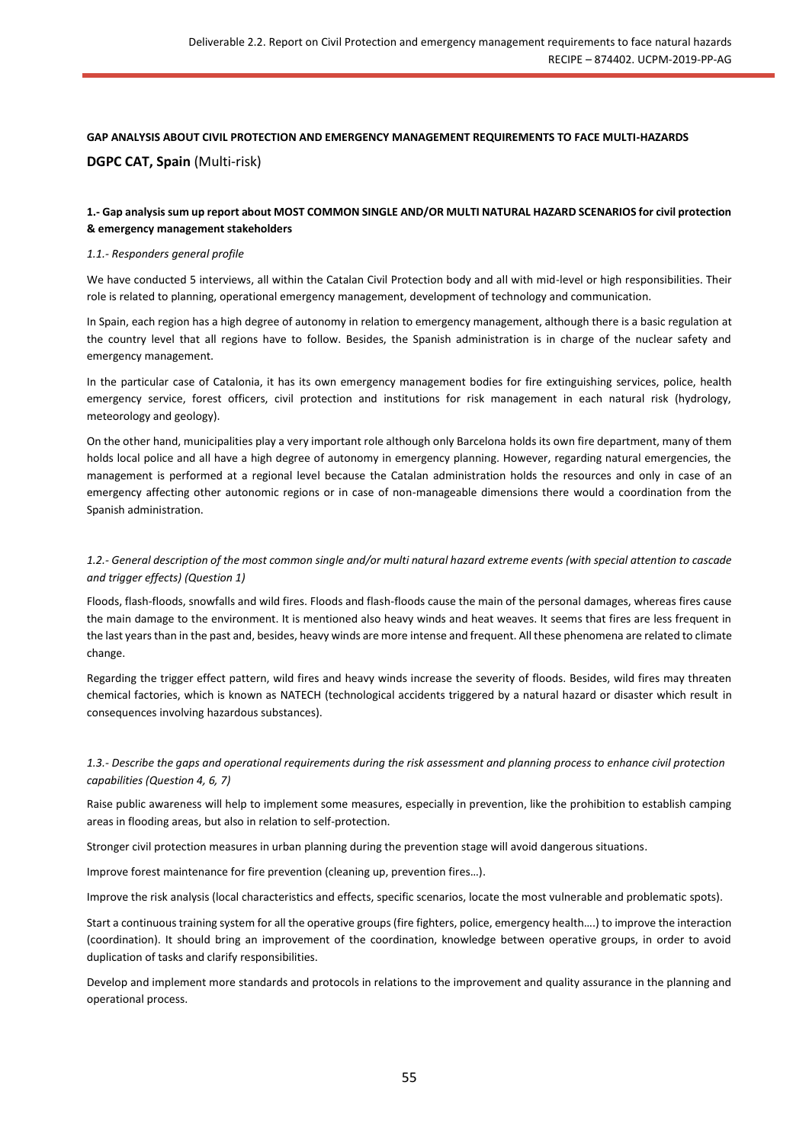# **GAP ANALYSIS ABOUT CIVIL PROTECTION AND EMERGENCY MANAGEMENT REQUIREMENTS TO FACE MULTI-HAZARDS DGPC CAT, Spain** (Multi-risk)

## **1.- Gap analysis sum up report about MOST COMMON SINGLE AND/OR MULTI NATURAL HAZARD SCENARIOS for civil protection & emergency management stakeholders**

#### *1.1.- Responders general profile*

We have conducted 5 interviews, all within the Catalan Civil Protection body and all with mid-level or high responsibilities. Their role is related to planning, operational emergency management, development of technology and communication.

In Spain, each region has a high degree of autonomy in relation to emergency management, although there is a basic regulation at the country level that all regions have to follow. Besides, the Spanish administration is in charge of the nuclear safety and emergency management.

In the particular case of Catalonia, it has its own emergency management bodies for fire extinguishing services, police, health emergency service, forest officers, civil protection and institutions for risk management in each natural risk (hydrology, meteorology and geology).

On the other hand, municipalities play a very important role although only Barcelona holds its own fire department, many of them holds local police and all have a high degree of autonomy in emergency planning. However, regarding natural emergencies, the management is performed at a regional level because the Catalan administration holds the resources and only in case of an emergency affecting other autonomic regions or in case of non-manageable dimensions there would a coordination from the Spanish administration.

#### *1.2.- General description of the most common single and/or multi natural hazard extreme events (with special attention to cascade and trigger effects) (Question 1)*

Floods, flash-floods, snowfalls and wild fires. Floods and flash-floods cause the main of the personal damages, whereas fires cause the main damage to the environment. It is mentioned also heavy winds and heat weaves. It seems that fires are less frequent in the last years than in the past and, besides, heavy winds are more intense and frequent. All these phenomena are related to climate change.

Regarding the trigger effect pattern, wild fires and heavy winds increase the severity of floods. Besides, wild fires may threaten chemical factories, which is known as NATECH (technological accidents triggered by a natural hazard or disaster which result in consequences involving hazardous substances).

## *1.3.- Describe the gaps and operational requirements during the risk assessment and planning process to enhance civil protection capabilities (Question 4, 6, 7)*

Raise public awareness will help to implement some measures, especially in prevention, like the prohibition to establish camping areas in flooding areas, but also in relation to self-protection.

Stronger civil protection measures in urban planning during the prevention stage will avoid dangerous situations.

Improve forest maintenance for fire prevention (cleaning up, prevention fires…).

Improve the risk analysis (local characteristics and effects, specific scenarios, locate the most vulnerable and problematic spots).

Start a continuous training system for all the operative groups (fire fighters, police, emergency health….) to improve the interaction (coordination). It should bring an improvement of the coordination, knowledge between operative groups, in order to avoid duplication of tasks and clarify responsibilities.

Develop and implement more standards and protocols in relations to the improvement and quality assurance in the planning and operational process.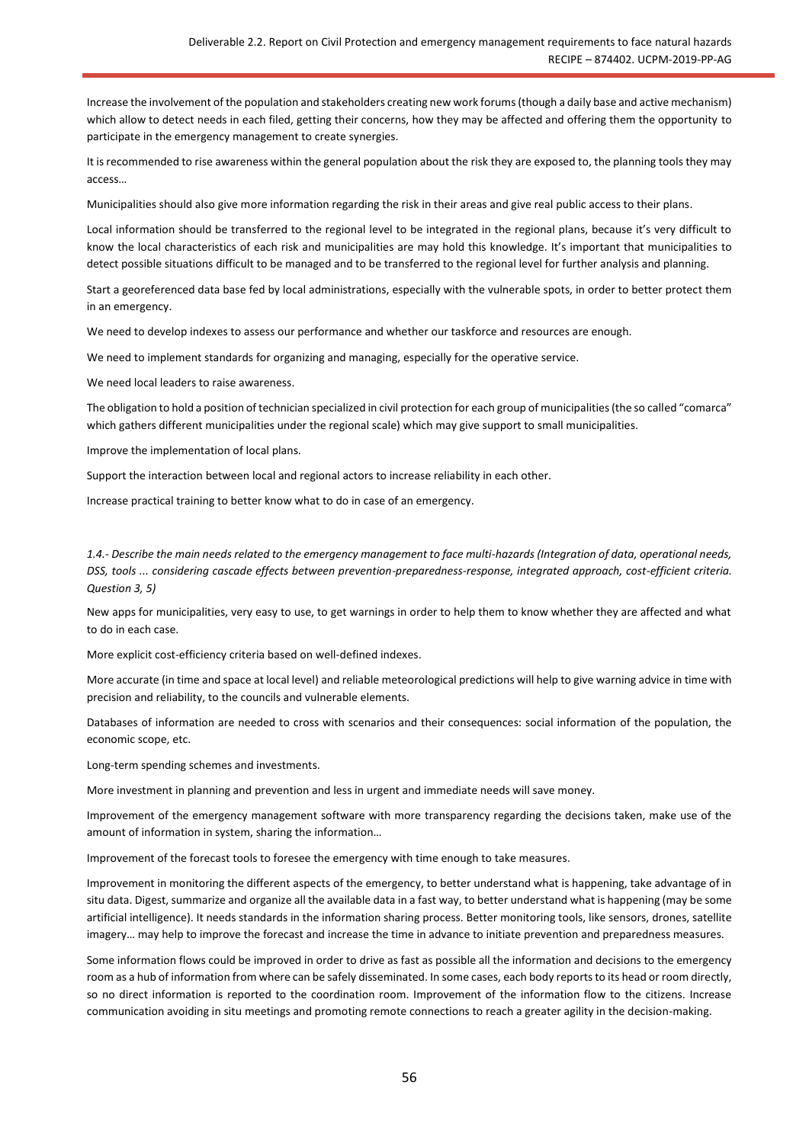Increase the involvement of the population and stakeholders creating new work forums (though a daily base and active mechanism) which allow to detect needs in each filed, getting their concerns, how they may be affected and offering them the opportunity to participate in the emergency management to create synergies.

It is recommended to rise awareness within the general population about the risk they are exposed to, the planning tools they may access…

Municipalities should also give more information regarding the risk in their areas and give real public access to their plans.

Local information should be transferred to the regional level to be integrated in the regional plans, because it's very difficult to know the local characteristics of each risk and municipalities are may hold this knowledge. It's important that municipalities to detect possible situations difficult to be managed and to be transferred to the regional level for further analysis and planning.

Start a georeferenced data base fed by local administrations, especially with the vulnerable spots, in order to better protect them in an emergency.

We need to develop indexes to assess our performance and whether our taskforce and resources are enough.

We need to implement standards for organizing and managing, especially for the operative service.

We need local leaders to raise awareness.

The obligation to hold a position of technician specialized in civil protection for each group of municipalities (the so called "comarca" which gathers different municipalities under the regional scale) which may give support to small municipalities.

Improve the implementation of local plans.

Support the interaction between local and regional actors to increase reliability in each other.

Increase practical training to better know what to do in case of an emergency.

*1.4.- Describe the main needs related to the emergency management to face multi-hazards (Integration of data, operational needs, DSS, tools ... considering cascade effects between prevention-preparedness-response, integrated approach, cost-efficient criteria. Question 3, 5)*

New apps for municipalities, very easy to use, to get warnings in order to help them to know whether they are affected and what to do in each case.

More explicit cost-efficiency criteria based on well-defined indexes.

More accurate (in time and space at local level) and reliable meteorological predictions will help to give warning advice in time with precision and reliability, to the councils and vulnerable elements.

Databases of information are needed to cross with scenarios and their consequences: social information of the population, the economic scope, etc.

Long-term spending schemes and investments.

More investment in planning and prevention and less in urgent and immediate needs will save money.

Improvement of the emergency management software with more transparency regarding the decisions taken, make use of the amount of information in system, sharing the information…

Improvement of the forecast tools to foresee the emergency with time enough to take measures.

Improvement in monitoring the different aspects of the emergency, to better understand what is happening, take advantage of in situ data. Digest, summarize and organize all the available data in a fast way, to better understand what is happening (may be some artificial intelligence). It needs standards in the information sharing process. Better monitoring tools, like sensors, drones, satellite imagery… may help to improve the forecast and increase the time in advance to initiate prevention and preparedness measures.

Some information flows could be improved in order to drive as fast as possible all the information and decisions to the emergency room as a hub of information from where can be safely disseminated. In some cases, each body reports to its head or room directly, so no direct information is reported to the coordination room. Improvement of the information flow to the citizens. Increase communication avoiding in situ meetings and promoting remote connections to reach a greater agility in the decision-making.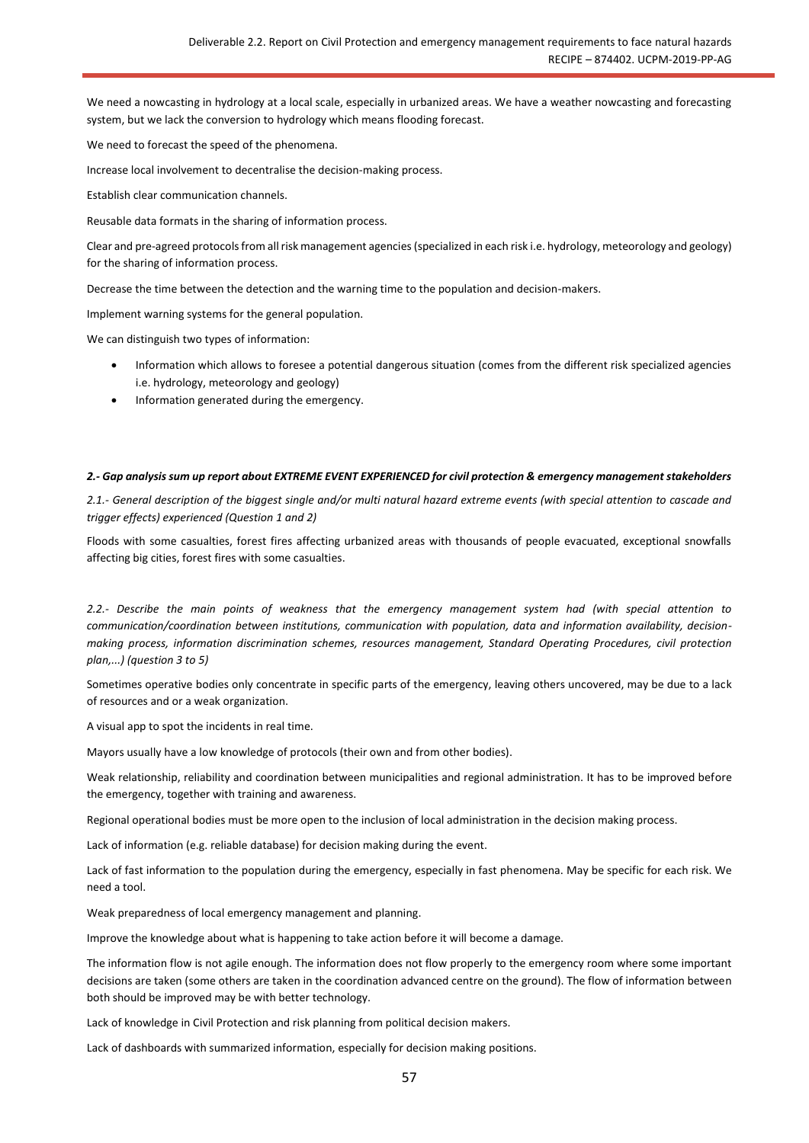We need a nowcasting in hydrology at a local scale, especially in urbanized areas. We have a weather nowcasting and forecasting system, but we lack the conversion to hydrology which means flooding forecast.

We need to forecast the speed of the phenomena.

Increase local involvement to decentralise the decision-making process.

Establish clear communication channels.

Reusable data formats in the sharing of information process.

Clear and pre-agreed protocols from all risk management agencies (specialized in each risk i.e. hydrology, meteorology and geology) for the sharing of information process.

Decrease the time between the detection and the warning time to the population and decision-makers.

Implement warning systems for the general population.

We can distinguish two types of information:

- Information which allows to foresee a potential dangerous situation (comes from the different risk specialized agencies i.e. hydrology, meteorology and geology)
- Information generated during the emergency.

#### *2.- Gap analysis sum up report about EXTREME EVENT EXPERIENCED for civil protection & emergency management stakeholders*

*2.1.- General description of the biggest single and/or multi natural hazard extreme events (with special attention to cascade and trigger effects) experienced (Question 1 and 2)*

Floods with some casualties, forest fires affecting urbanized areas with thousands of people evacuated, exceptional snowfalls affecting big cities, forest fires with some casualties.

*2.2.- Describe the main points of weakness that the emergency management system had (with special attention to communication/coordination between institutions, communication with population, data and information availability, decisionmaking process, information discrimination schemes, resources management, Standard Operating Procedures, civil protection plan,...) (question 3 to 5)*

Sometimes operative bodies only concentrate in specific parts of the emergency, leaving others uncovered, may be due to a lack of resources and or a weak organization.

A visual app to spot the incidents in real time.

Mayors usually have a low knowledge of protocols (their own and from other bodies).

Weak relationship, reliability and coordination between municipalities and regional administration. It has to be improved before the emergency, together with training and awareness.

Regional operational bodies must be more open to the inclusion of local administration in the decision making process.

Lack of information (e.g. reliable database) for decision making during the event.

Lack of fast information to the population during the emergency, especially in fast phenomena. May be specific for each risk. We need a tool.

Weak preparedness of local emergency management and planning.

Improve the knowledge about what is happening to take action before it will become a damage.

The information flow is not agile enough. The information does not flow properly to the emergency room where some important decisions are taken (some others are taken in the coordination advanced centre on the ground). The flow of information between both should be improved may be with better technology.

Lack of knowledge in Civil Protection and risk planning from political decision makers.

Lack of dashboards with summarized information, especially for decision making positions.